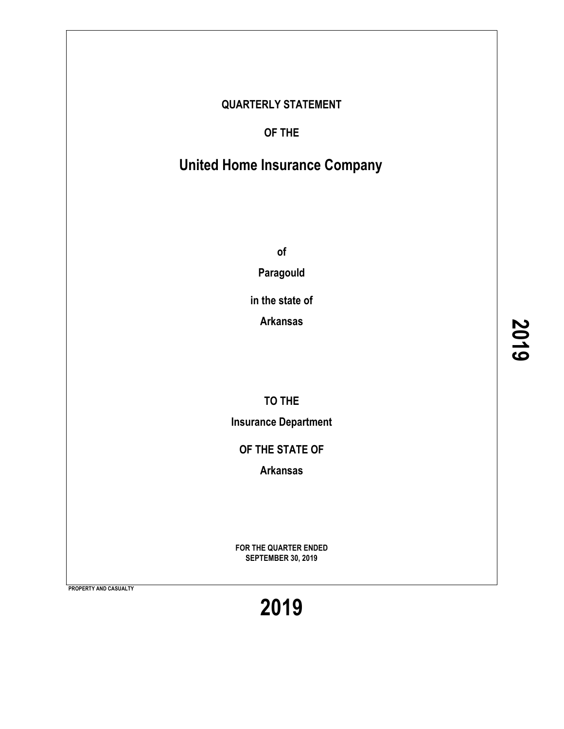### **QUARTERLY STATEMENT**

**OF THE**

# **United Home Insurance Company**

**of**

**Paragould**

**in the state of**

**Arkansas**

**TO THE**

**Insurance Department**

**OF THE STATE OF**

**Arkansas**

**FOR THE QUARTER ENDED SEPTEMBER 30, 2019**

**PROPERTY AND CASUALTY**

**2019**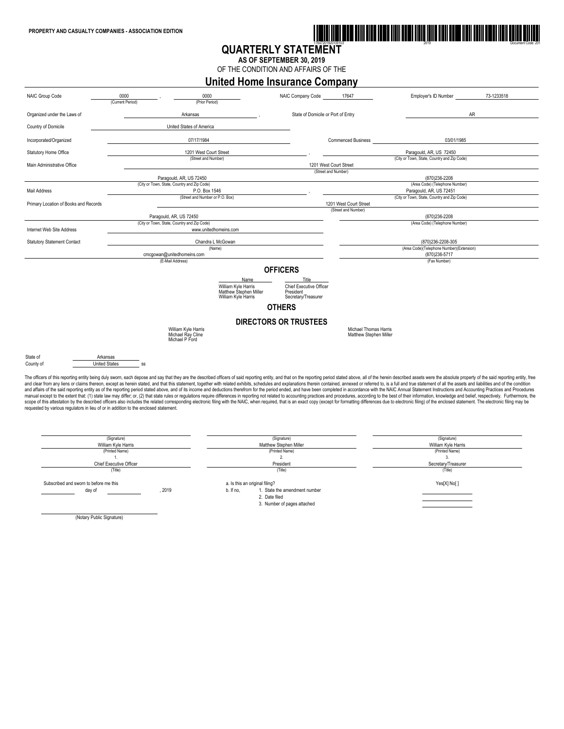

### **QUARTERLY STATEMENT**

**AS OF SEPTEMBER 30, 2019** OF THE CONDITION AND AFFAIRS OF THE

**United Home Insurance Company**



scope of this attestation by the described officers also includes the related corresponding electronic filing with the NAIC, when required, that is an exact copy (except for formatting differences due to electronic filing) requested by various regulators in lieu of or in addition to the enclosed statement.

| (Signature)<br>William Kyle Harris                       | (Signature)<br>Matthew Stephen Miller                                                         | (Signature)<br>William Kyle Harris |
|----------------------------------------------------------|-----------------------------------------------------------------------------------------------|------------------------------------|
| (Printed Name)                                           | (Printed Name)                                                                                | (Printed Name)                     |
|                                                          |                                                                                               |                                    |
| <b>Chief Executive Officer</b>                           | President                                                                                     | Secretary/Treasurer                |
| (Title)                                                  | (Title)                                                                                       | (Title)                            |
| Subscribed and sworn to before me this<br>2019<br>day of | a. Is this an original filing?<br>1. State the amendment number<br>b. If no.<br>2. Date filed | Yes[X] No[]                        |
|                                                          | 3. Number of pages attached                                                                   |                                    |

(Notary Public Signature)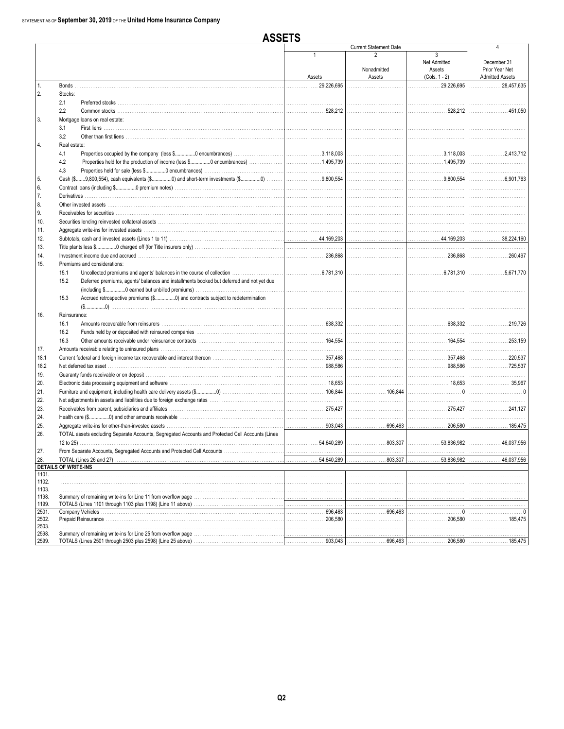**ASSETS** 

|                |                                                                                                                                                                                                                                |                 | <b>Current Statement Date</b> |                                                     | 4                             |
|----------------|--------------------------------------------------------------------------------------------------------------------------------------------------------------------------------------------------------------------------------|-----------------|-------------------------------|-----------------------------------------------------|-------------------------------|
|                |                                                                                                                                                                                                                                | 1               | $\overline{2}$<br>Nonadmitted | 3<br>Net Admitted<br>Assets                         | December 31<br>Prior Year Net |
|                |                                                                                                                                                                                                                                | Assets          | Assets                        | $(Cols. 1 - 2)$                                     | <b>Admitted Assets</b>        |
| $\mathbf{1}$ . | Bonds                                                                                                                                                                                                                          | 29.226.695<br>. |                               | 29,226,695<br>.                                     | 28,457,635<br>.               |
| 2.             | Stocks:                                                                                                                                                                                                                        |                 |                               |                                                     |                               |
|                | 2.1                                                                                                                                                                                                                            |                 |                               |                                                     |                               |
|                | 2.2                                                                                                                                                                                                                            | 528.212         |                               |                                                     | 451.050                       |
| 3.             | Mortgage loans on real estate:                                                                                                                                                                                                 |                 |                               |                                                     |                               |
|                | 3.1                                                                                                                                                                                                                            |                 |                               |                                                     |                               |
|                | 3.2                                                                                                                                                                                                                            |                 |                               |                                                     |                               |
| 4.             | Real estate:                                                                                                                                                                                                                   |                 |                               |                                                     |                               |
|                | 4.1                                                                                                                                                                                                                            |                 |                               | $\ldots$ 3,118,003                                  |                               |
|                | 4.2                                                                                                                                                                                                                            |                 |                               |                                                     |                               |
|                | 4.3                                                                                                                                                                                                                            |                 |                               |                                                     |                               |
| 5.             |                                                                                                                                                                                                                                |                 |                               | 9,800,554                                           | . 6.901.763                   |
| 6.             |                                                                                                                                                                                                                                |                 |                               |                                                     |                               |
| 7.             |                                                                                                                                                                                                                                |                 |                               |                                                     |                               |
| 8.             |                                                                                                                                                                                                                                |                 |                               |                                                     |                               |
| 9.             |                                                                                                                                                                                                                                |                 |                               |                                                     |                               |
| 10.            |                                                                                                                                                                                                                                |                 |                               |                                                     |                               |
| 11.            |                                                                                                                                                                                                                                |                 |                               |                                                     |                               |
| 12.            |                                                                                                                                                                                                                                |                 |                               |                                                     | 38,224,160                    |
| 13.            |                                                                                                                                                                                                                                |                 |                               |                                                     |                               |
| 14.            | myestment income due and accrued measures and compared the control of the state of the control of the control of the control of the control of the control of the control of the control of the control of the control of the  |                 |                               |                                                     |                               |
| 15.            | Premiums and considerations:                                                                                                                                                                                                   |                 |                               |                                                     |                               |
|                | 15.1                                                                                                                                                                                                                           |                 |                               |                                                     |                               |
|                | 15.2<br>Deferred premiums, agents' balances and installments booked but deferred and not yet due                                                                                                                               |                 |                               |                                                     |                               |
|                |                                                                                                                                                                                                                                |                 |                               |                                                     |                               |
|                | 15.3                                                                                                                                                                                                                           |                 |                               |                                                     |                               |
|                |                                                                                                                                                                                                                                |                 |                               |                                                     |                               |
| 16.            | Reinsurance:                                                                                                                                                                                                                   |                 |                               |                                                     |                               |
|                | 16.1<br>16.2                                                                                                                                                                                                                   |                 |                               |                                                     |                               |
|                | 16.3                                                                                                                                                                                                                           |                 |                               | 164,554                                             |                               |
|                |                                                                                                                                                                                                                                |                 |                               |                                                     |                               |
| 17.<br>18.1    | Current federal and foreign income tax recoverable and interest thereon manufactured contract the 357,468                                                                                                                      |                 |                               |                                                     |                               |
| 18.2           |                                                                                                                                                                                                                                |                 |                               |                                                     |                               |
|                |                                                                                                                                                                                                                                |                 |                               |                                                     |                               |
| 19.<br>20.     | Electronic data processing equipment and software measurement contains and container and software measurement and software measurement and software measurement and software measurement and software measurement and software |                 |                               |                                                     |                               |
| 21.            |                                                                                                                                                                                                                                |                 |                               |                                                     |                               |
| 22.            |                                                                                                                                                                                                                                |                 |                               |                                                     |                               |
| 23.            |                                                                                                                                                                                                                                |                 |                               | $\ldots \ldots \ldots \ldots \ldots \ldots 275.427$ |                               |
| 24.            |                                                                                                                                                                                                                                |                 |                               |                                                     |                               |
| 25.            |                                                                                                                                                                                                                                |                 |                               |                                                     |                               |
| 26.            | TOTAL assets excluding Separate Accounts, Segregated Accounts and Protected Cell Accounts (Lines                                                                                                                               |                 |                               |                                                     |                               |
|                |                                                                                                                                                                                                                                |                 | 803,307                       |                                                     |                               |
| 27.            |                                                                                                                                                                                                                                |                 |                               |                                                     |                               |
| 28.            |                                                                                                                                                                                                                                | . 54,640,289    | . 803,307                     |                                                     | . 46,037,956                  |
|                | <b>DETAILS OF WRITE-INS</b>                                                                                                                                                                                                    |                 |                               |                                                     |                               |
| 1101.          |                                                                                                                                                                                                                                |                 |                               |                                                     |                               |
| 1102.          |                                                                                                                                                                                                                                |                 |                               |                                                     |                               |
| 1103.          |                                                                                                                                                                                                                                |                 |                               |                                                     |                               |
| 1198.          |                                                                                                                                                                                                                                |                 |                               |                                                     |                               |
| 1199.<br>2501. |                                                                                                                                                                                                                                | .696,463        | . 696,463                     |                                                     |                               |
| 2502.          |                                                                                                                                                                                                                                |                 |                               |                                                     |                               |
| 2503.          |                                                                                                                                                                                                                                |                 |                               |                                                     |                               |
| 2598.          |                                                                                                                                                                                                                                |                 |                               |                                                     |                               |
| 2599.          |                                                                                                                                                                                                                                |                 |                               |                                                     |                               |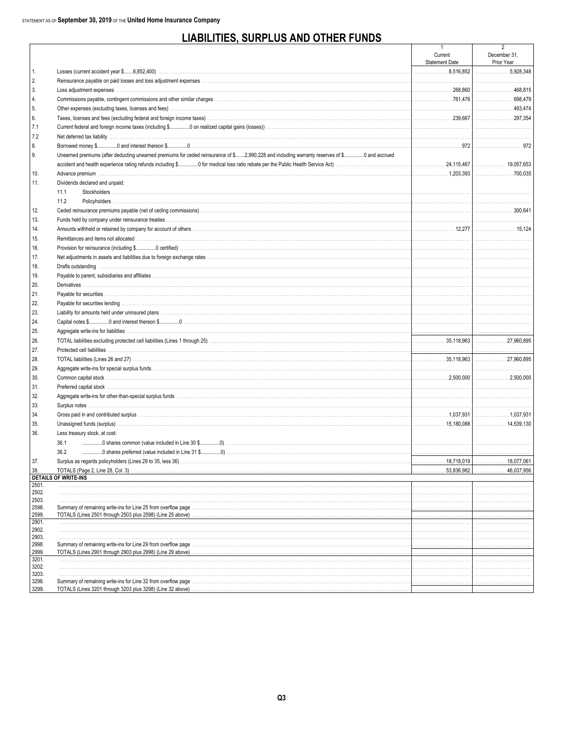### **LIABILITIES, SURPLUS AND OTHER FUNDS**

|                |                                                                                                                                                                                                                                | -1<br>Current         | 2<br>December 31, |
|----------------|--------------------------------------------------------------------------------------------------------------------------------------------------------------------------------------------------------------------------------|-----------------------|-------------------|
|                |                                                                                                                                                                                                                                | <b>Statement Date</b> | Prior Year        |
| 1.             |                                                                                                                                                                                                                                | 8,516,852             |                   |
| 2.             |                                                                                                                                                                                                                                |                       |                   |
| 3.             | Loss adjustment expenses www.communication.com/www.communication.com/www.communication.com/www.communication.com                                                                                                               |                       | 468,815           |
| 4.             |                                                                                                                                                                                                                                |                       |                   |
| 5.             |                                                                                                                                                                                                                                |                       | .493,474          |
| 6.             |                                                                                                                                                                                                                                |                       | 297,354           |
| 7.1            |                                                                                                                                                                                                                                |                       |                   |
| 7.2            |                                                                                                                                                                                                                                |                       |                   |
| 8.             |                                                                                                                                                                                                                                |                       |                   |
| 9.             | Unearned premiums (after deducting unearned premiums for ceded reinsurance of \$2,990,228 and including warranty reserves of \$0 and accrued                                                                                   |                       |                   |
|                |                                                                                                                                                                                                                                |                       | 19,057,653        |
| 10.            |                                                                                                                                                                                                                                |                       |                   |
| 11.            | Dividends declared and unpaid:                                                                                                                                                                                                 |                       |                   |
|                | 11.1                                                                                                                                                                                                                           |                       |                   |
|                | 11.2                                                                                                                                                                                                                           |                       |                   |
| 12.            |                                                                                                                                                                                                                                |                       |                   |
| 13.            | Funds held by company under reinsurance treaties www.communically.com/www.communically.com/www.communically.com/www.communically.com/www.communically.com/www.communically.com/www.communically.com/www.communically.com/www.c |                       |                   |
| 14.            |                                                                                                                                                                                                                                |                       |                   |
| 15.            |                                                                                                                                                                                                                                |                       |                   |
| 16.            |                                                                                                                                                                                                                                |                       |                   |
| 17.            |                                                                                                                                                                                                                                |                       |                   |
| 18.            |                                                                                                                                                                                                                                |                       |                   |
| 19.            |                                                                                                                                                                                                                                |                       |                   |
| 20.            |                                                                                                                                                                                                                                |                       |                   |
| 21.            |                                                                                                                                                                                                                                |                       |                   |
| 22.            |                                                                                                                                                                                                                                |                       |                   |
| 23.            |                                                                                                                                                                                                                                |                       |                   |
| 24.            |                                                                                                                                                                                                                                |                       |                   |
| 25.            |                                                                                                                                                                                                                                |                       |                   |
| 26.            |                                                                                                                                                                                                                                |                       |                   |
| 27.            |                                                                                                                                                                                                                                |                       |                   |
| 28.            |                                                                                                                                                                                                                                |                       |                   |
| 29.            |                                                                                                                                                                                                                                |                       |                   |
| 30.            |                                                                                                                                                                                                                                |                       |                   |
| 31.            |                                                                                                                                                                                                                                |                       |                   |
| 32.            |                                                                                                                                                                                                                                |                       |                   |
| 33.            |                                                                                                                                                                                                                                |                       |                   |
| 34.            |                                                                                                                                                                                                                                | 1,037,931             | 1,037,931         |
| 35.            |                                                                                                                                                                                                                                | 15.180.088            | 14,539,130        |
| 36.            | Less treasury stock, at cost:                                                                                                                                                                                                  |                       |                   |
|                | 36.1                                                                                                                                                                                                                           |                       |                   |
|                | 36.2                                                                                                                                                                                                                           |                       |                   |
|                | Surplus as regards policyholders (Lines 29 to 35, less 36)                                                                                                                                                                     | .18,718,019           | 18,077,067        |
| 37.<br>38.     |                                                                                                                                                                                                                                | 53,836,982            | 46,037,956        |
|                | <b>DETAILS OF WRITE-INS</b>                                                                                                                                                                                                    |                       |                   |
| 2501.          |                                                                                                                                                                                                                                |                       |                   |
| 2502.          |                                                                                                                                                                                                                                |                       |                   |
| 2503.          |                                                                                                                                                                                                                                |                       |                   |
| 2598.<br>2599. | TOTALS (Lines 2501 through 2503 plus 2598) (Line 25 above) material contracts and contract the contract of the contract of the contract of the contract of the contract of the contract of the contract of the contract of the |                       |                   |
| 2901.          |                                                                                                                                                                                                                                |                       |                   |
| 2902.          |                                                                                                                                                                                                                                |                       |                   |
| 2903.          |                                                                                                                                                                                                                                |                       |                   |
| 2998.          |                                                                                                                                                                                                                                |                       |                   |
| 2999.<br>3201. | TOTALS (Lines 2901 through 2903 plus 2998) (Line 29 above)                                                                                                                                                                     |                       |                   |
| 3202.          |                                                                                                                                                                                                                                |                       |                   |
| 3203.          |                                                                                                                                                                                                                                |                       |                   |
| 3298.          |                                                                                                                                                                                                                                |                       |                   |
| 3299.          |                                                                                                                                                                                                                                |                       |                   |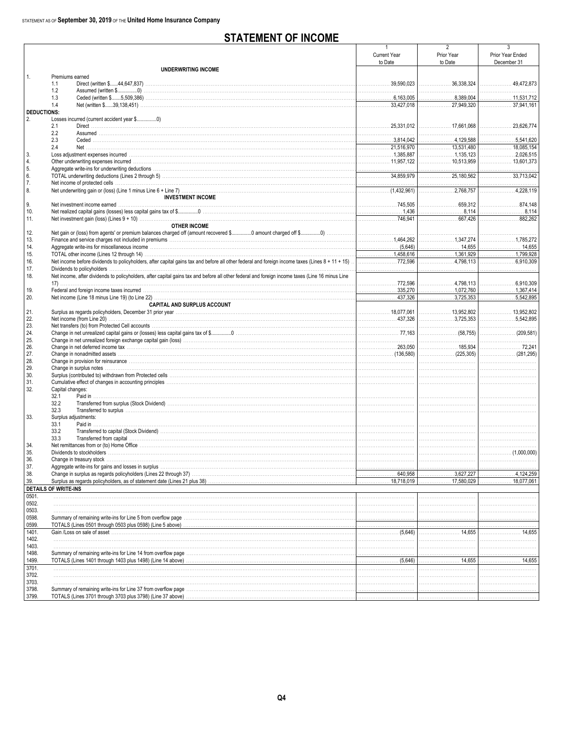### **STATEMENT OF INCOME**

|                    |                                                                                                                                                                                                                                              |                       | 2                                   |                                    |
|--------------------|----------------------------------------------------------------------------------------------------------------------------------------------------------------------------------------------------------------------------------------------|-----------------------|-------------------------------------|------------------------------------|
|                    |                                                                                                                                                                                                                                              | <b>Current Year</b>   | Prior Year                          | Prior Year Ended                   |
|                    |                                                                                                                                                                                                                                              | to Date               | to Date                             | December 31                        |
|                    | UNDERWRITING INCOME                                                                                                                                                                                                                          |                       |                                     |                                    |
| 1.                 | Premiums earned                                                                                                                                                                                                                              |                       |                                     |                                    |
|                    | 1.1                                                                                                                                                                                                                                          |                       |                                     | 49,472,873                         |
|                    | 1.2                                                                                                                                                                                                                                          |                       |                                     |                                    |
|                    | 1.3                                                                                                                                                                                                                                          |                       |                                     |                                    |
|                    | 1.4                                                                                                                                                                                                                                          |                       |                                     |                                    |
| <b>DEDUCTIONS:</b> |                                                                                                                                                                                                                                              |                       |                                     |                                    |
| 2.                 |                                                                                                                                                                                                                                              |                       |                                     |                                    |
|                    | 2.1                                                                                                                                                                                                                                          |                       |                                     |                                    |
|                    | 2.2                                                                                                                                                                                                                                          |                       |                                     |                                    |
|                    | 2.3                                                                                                                                                                                                                                          |                       |                                     | 5,541,620                          |
|                    | 2.4                                                                                                                                                                                                                                          |                       |                                     | 18,085,154                         |
| 3.                 | Loss adjustment expenses incurred measured and the contract of the contract of the contract of the contract of the contract of the contract of the contract of the contract of the contract of the contract of the contract of               |                       |                                     |                                    |
| 4.                 |                                                                                                                                                                                                                                              |                       |                                     |                                    |
| 5.                 |                                                                                                                                                                                                                                              |                       |                                     |                                    |
| 6.                 |                                                                                                                                                                                                                                              |                       |                                     |                                    |
| 7.                 |                                                                                                                                                                                                                                              |                       |                                     |                                    |
| 8.                 |                                                                                                                                                                                                                                              |                       |                                     | $\overline{\phantom{0}}$ 4,228,119 |
|                    | <b>INVESTMENT INCOME</b>                                                                                                                                                                                                                     |                       |                                     |                                    |
| 9.                 | Net investment income earned material contracts and contracts are all the contracts of the contracts and the contracts of the contracts of the contracts of the contracts of the contracts of the contracts of the contracts o               |                       |                                     |                                    |
| 10.                |                                                                                                                                                                                                                                              |                       |                                     |                                    |
| 11.                |                                                                                                                                                                                                                                              |                       |                                     |                                    |
|                    | <b>OTHER INCOME</b>                                                                                                                                                                                                                          |                       |                                     |                                    |
| 12.                |                                                                                                                                                                                                                                              |                       |                                     |                                    |
| 13.                | Finance and service charges not included in premiums with the matrix control and the matrix of the matrix of the matrix of the matrix of the matrix of the matrix of the matrix of the matrix of the matrix of the matrix of t               |                       |                                     |                                    |
| 14.                |                                                                                                                                                                                                                                              |                       |                                     |                                    |
| 15.                |                                                                                                                                                                                                                                              |                       |                                     | $\overline{1,799.928}$             |
| 16.                |                                                                                                                                                                                                                                              |                       | 4,798,113                           | 6.910,309                          |
| 17.                | Dividends to policyholders www.communication.communication.com/news/communications/communications/communication                                                                                                                              |                       |                                     |                                    |
| 18.                | Net income, after dividends to policyholders, after capital gains tax and before all other federal and foreign income taxes (Line 16 minus Line                                                                                              |                       |                                     |                                    |
|                    |                                                                                                                                                                                                                                              |                       |                                     |                                    |
| 19.                | Federal and foreign income taxes incurred manufactured contained and account of the set of the set of the set of the set of the set of the set of the set of the set of the set of the set of the set of the set of the set of               | 335,270               | $1,072,760$ $1,072,760$ $1,367,414$ |                                    |
| 20.                |                                                                                                                                                                                                                                              |                       | 3,725,353                           |                                    |
|                    |                                                                                                                                                                                                                                              |                       |                                     |                                    |
|                    | CAPITAL AND SURPLUS ACCOUNT                                                                                                                                                                                                                  |                       |                                     |                                    |
| 21.                |                                                                                                                                                                                                                                              |                       |                                     |                                    |
| 22.                |                                                                                                                                                                                                                                              |                       |                                     |                                    |
| 23.                |                                                                                                                                                                                                                                              |                       |                                     |                                    |
| 24.                |                                                                                                                                                                                                                                              |                       |                                     |                                    |
| 25.                |                                                                                                                                                                                                                                              |                       |                                     |                                    |
| 26.                |                                                                                                                                                                                                                                              |                       | 185,934                             |                                    |
| 27.                |                                                                                                                                                                                                                                              |                       |                                     |                                    |
| 28.                | Change in provision for reinsurance with the content of the content of the content of the content of the content of the content of the content of the content of the content of the content of the content of the content of t               |                       |                                     |                                    |
| 29.                |                                                                                                                                                                                                                                              |                       |                                     |                                    |
| 30.                |                                                                                                                                                                                                                                              |                       |                                     |                                    |
| 31.                |                                                                                                                                                                                                                                              |                       |                                     |                                    |
| 32.                | Capital changes:                                                                                                                                                                                                                             |                       |                                     |                                    |
|                    | 32.1<br><u>Paid in with the commutation of the commutation of the commutation of the commutation of the commutation of the commutation of the commutation of the commutation of the commutation of the commutation of the commutation of</u> |                       |                                     |                                    |
|                    | 32.2                                                                                                                                                                                                                                         |                       |                                     |                                    |
|                    | 32.3                                                                                                                                                                                                                                         |                       |                                     |                                    |
| 33.                | Surplus adjustments:                                                                                                                                                                                                                         |                       |                                     |                                    |
|                    | 33.1                                                                                                                                                                                                                                         |                       |                                     |                                    |
|                    | 33.2                                                                                                                                                                                                                                         |                       |                                     |                                    |
|                    | 33.3                                                                                                                                                                                                                                         |                       |                                     |                                    |
| 34.                |                                                                                                                                                                                                                                              |                       |                                     |                                    |
| 35.                |                                                                                                                                                                                                                                              |                       |                                     |                                    |
| 36.                |                                                                                                                                                                                                                                              |                       |                                     |                                    |
| 37.                |                                                                                                                                                                                                                                              |                       |                                     |                                    |
| 38.                |                                                                                                                                                                                                                                              | 640,958<br>.          | .3,627,227                          | .4,124,259                         |
| 39.                |                                                                                                                                                                                                                                              | 18,718,019<br>.       | . 17,580,029                        | 18,077,061                         |
|                    | <b>DETAILS OF WRITE-INS</b>                                                                                                                                                                                                                  |                       |                                     |                                    |
| 0501.              |                                                                                                                                                                                                                                              |                       |                                     |                                    |
| 0502.              |                                                                                                                                                                                                                                              |                       |                                     |                                    |
| 0503.              |                                                                                                                                                                                                                                              |                       |                                     |                                    |
| 0598.              |                                                                                                                                                                                                                                              |                       |                                     |                                    |
| 0599.              |                                                                                                                                                                                                                                              |                       |                                     |                                    |
| 1401.              |                                                                                                                                                                                                                                              |                       |                                     |                                    |
| 1402.              |                                                                                                                                                                                                                                              |                       |                                     |                                    |
| 1403.              |                                                                                                                                                                                                                                              |                       |                                     |                                    |
| 1498.              |                                                                                                                                                                                                                                              |                       |                                     |                                    |
| 1499.              |                                                                                                                                                                                                                                              | $\frac{1}{2}$ (5,646) |                                     |                                    |
| 3701.              |                                                                                                                                                                                                                                              |                       |                                     |                                    |
|                    |                                                                                                                                                                                                                                              |                       |                                     |                                    |
| 3702.              |                                                                                                                                                                                                                                              |                       |                                     |                                    |
| 3703.              |                                                                                                                                                                                                                                              |                       |                                     |                                    |
| 3798.              |                                                                                                                                                                                                                                              |                       |                                     |                                    |
| 3799.              |                                                                                                                                                                                                                                              |                       |                                     |                                    |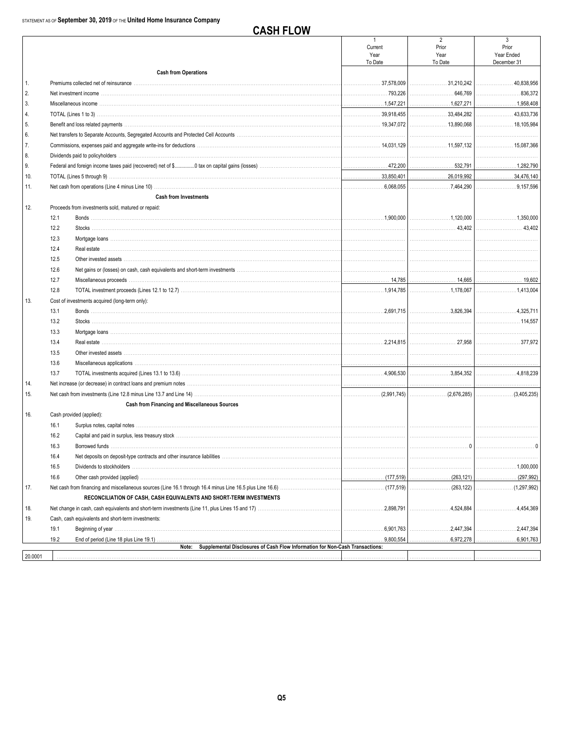**CASH FLOW** 

|         |      |                                                                                                                                                                                                                                | $\mathbf{1}$    | $\overline{2}$                                        | 3                      |
|---------|------|--------------------------------------------------------------------------------------------------------------------------------------------------------------------------------------------------------------------------------|-----------------|-------------------------------------------------------|------------------------|
|         |      |                                                                                                                                                                                                                                | Current<br>Year | Prior<br>Year                                         | Prior<br>Year Ended    |
|         |      |                                                                                                                                                                                                                                | To Date         | To Date                                               | December 31            |
|         |      | <b>Cash from Operations</b>                                                                                                                                                                                                    |                 |                                                       |                        |
| 1.      |      | Premiums collected net of reinsurance measurements are accommodated and relationship of the contract of the contract of the contract of the contract of the contract of the contract of the contract of the contract of the co |                 |                                                       | 40,838,956             |
| 2.      |      |                                                                                                                                                                                                                                |                 |                                                       |                        |
| 3.      |      |                                                                                                                                                                                                                                |                 | 1,627,271                                             |                        |
| 4.      |      |                                                                                                                                                                                                                                |                 |                                                       |                        |
| 5.      |      |                                                                                                                                                                                                                                |                 |                                                       |                        |
| 6.      |      |                                                                                                                                                                                                                                |                 |                                                       |                        |
| 7.      |      |                                                                                                                                                                                                                                |                 |                                                       |                        |
| 8.      |      |                                                                                                                                                                                                                                |                 |                                                       |                        |
| 9.      |      |                                                                                                                                                                                                                                |                 |                                                       |                        |
| 10.     |      |                                                                                                                                                                                                                                |                 |                                                       | 34,476,140             |
| 11.     |      |                                                                                                                                                                                                                                |                 | 7,464,290                                             | 9,157,596              |
|         |      | <b>Cash from Investments</b>                                                                                                                                                                                                   |                 |                                                       |                        |
| 12.     |      | Proceeds from investments sold, matured or repaid:                                                                                                                                                                             |                 |                                                       |                        |
|         | 12.1 |                                                                                                                                                                                                                                |                 |                                                       | 1,350,000              |
|         | 12.2 |                                                                                                                                                                                                                                |                 |                                                       |                        |
|         | 12.3 |                                                                                                                                                                                                                                |                 |                                                       |                        |
|         | 12.4 |                                                                                                                                                                                                                                |                 |                                                       |                        |
|         | 12.5 | Other invested assets                                                                                                                                                                                                          |                 |                                                       |                        |
|         | 12.6 |                                                                                                                                                                                                                                |                 |                                                       |                        |
|         | 12.7 |                                                                                                                                                                                                                                |                 |                                                       |                        |
|         | 12.8 |                                                                                                                                                                                                                                |                 | $\ldots \ldots \ldots \ldots \ldots \ldots 1,178,067$ | 1.413.004              |
| 13.     |      | Cost of investments acquired (long-term only):                                                                                                                                                                                 |                 |                                                       |                        |
|         | 13.1 |                                                                                                                                                                                                                                |                 |                                                       |                        |
|         | 13.2 |                                                                                                                                                                                                                                |                 |                                                       |                        |
|         | 13.3 |                                                                                                                                                                                                                                |                 |                                                       |                        |
|         | 13.4 |                                                                                                                                                                                                                                |                 |                                                       | 377.972                |
|         | 13.5 |                                                                                                                                                                                                                                |                 |                                                       |                        |
|         |      |                                                                                                                                                                                                                                |                 |                                                       |                        |
|         | 13.6 |                                                                                                                                                                                                                                |                 |                                                       |                        |
|         | 13.7 |                                                                                                                                                                                                                                |                 | 3,854,352                                             |                        |
| 14.     |      | Net increase (or decrease) in contract loans and premium notes matches and contained according to the increase or decrease) in contract loans and premium notes matches and contained a service of the service of the service  |                 |                                                       |                        |
| 15.     |      |                                                                                                                                                                                                                                |                 | $(2,991,745)$ $(2,991,745)$                           | (3,405,235)            |
|         |      | Cash from Financing and Miscellaneous Sources                                                                                                                                                                                  |                 |                                                       |                        |
| 16.     |      | Cash provided (applied):                                                                                                                                                                                                       |                 |                                                       |                        |
|         | 16.1 |                                                                                                                                                                                                                                |                 |                                                       |                        |
|         | 16.2 |                                                                                                                                                                                                                                |                 |                                                       |                        |
|         | 16.3 |                                                                                                                                                                                                                                |                 |                                                       |                        |
|         | 16.4 |                                                                                                                                                                                                                                |                 |                                                       |                        |
|         | 16.5 | Dividends to stockholders                                                                                                                                                                                                      |                 |                                                       | $\dots$ 1,000,000<br>. |
|         | 16.6 |                                                                                                                                                                                                                                |                 |                                                       |                        |
| 17.     |      |                                                                                                                                                                                                                                |                 |                                                       |                        |
|         |      | RECONCILIATION OF CASH, CASH EQUIVALENTS AND SHORT-TERM INVESTMENTS                                                                                                                                                            |                 |                                                       |                        |
| 18.     |      |                                                                                                                                                                                                                                |                 |                                                       | 4,454,369<br>.         |
| 19.     |      | Cash, cash equivalents and short-term investments:                                                                                                                                                                             |                 |                                                       |                        |
|         | 19.1 |                                                                                                                                                                                                                                |                 | .2,447,394                                            | .2,447,394             |
|         | 19.2 | Note: Supplemental Disclosures of Cash Flow Information for Non-Cash Transactions:                                                                                                                                             | .9,800,554      | 6,972,278                                             | .6,901,763             |
| 20,0001 |      |                                                                                                                                                                                                                                |                 |                                                       |                        |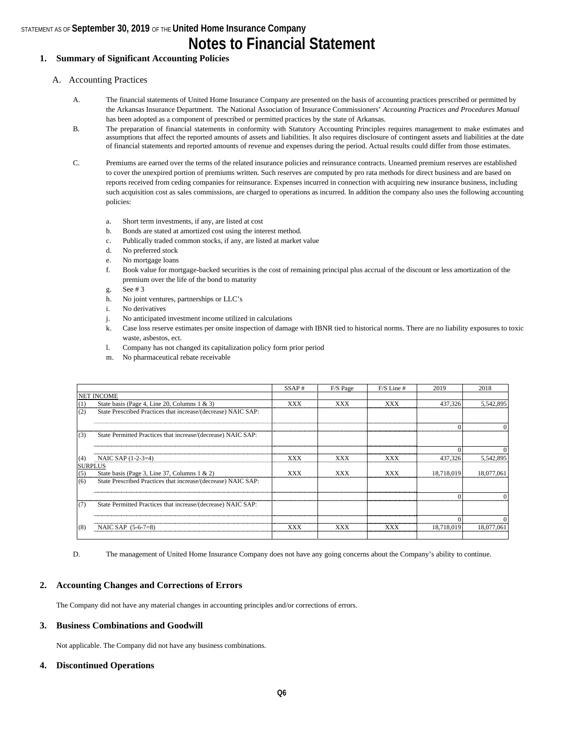**Notes to Financial Statement**

#### **1. Summary of Significant Accounting Policies**

#### A. Accounting Practices

- A. The financial statements of United Home Insurance Company are presented on the basis of accounting practices prescribed or permitted by the Arkansas Insurance Department. The National Association of Insurance Commissioners' *Accounting Practices and Procedures Manual*  has been adopted as a component of prescribed or permitted practices by the state of Arkansas.
- B. The preparation of financial statements in conformity with Statutory Accounting Principles requires management to make estimates and assumptions that affect the reported amounts of assets and liabilities. It also requires disclosure of contingent assets and liabilities at the date of financial statements and reported amounts of revenue and expenses during the period. Actual results could differ from those estimates.
- C. Premiums are earned over the terms of the related insurance policies and reinsurance contracts. Unearned premium reserves are established to cover the unexpired portion of premiums written. Such reserves are computed by pro rata methods for direct business and are based on reports received from ceding companies for reinsurance. Expenses incurred in connection with acquiring new insurance business, including such acquisition cost as sales commissions, are charged to operations as incurred. In addition the company also uses the following accounting policies:
	- a. Short term investments, if any, are listed at cost
	- b. Bonds are stated at amortized cost using the interest method.
	- c. Publically traded common stocks, if any, are listed at market value
	- d. No preferred stock
	- e. No mortgage loans
	- f. Book value for mortgage-backed securities is the cost of remaining principal plus accrual of the discount or less amortization of the premium over the life of the bond to maturity
	- g. See # 3
	- h. No joint ventures, partnerships or LLC's
	- i. No derivatives
	- j. No anticipated investment income utilized in calculations
	- k. Case loss reserve estimates per onsite inspection of damage with IBNR tied to historical norms. There are no liability exposures to toxic waste, asbestos, ect.
	- l. Company has not changed its capitalization policy form prior period
	- m. No pharmaceutical rebate receivable

|          |                                                               | SSAP#      | F/S Page   | $F/S$ Line # | 2019       | 2018       |
|----------|---------------------------------------------------------------|------------|------------|--------------|------------|------------|
|          | <b>NET INCOME</b>                                             |            |            |              |            |            |
| $^{(1)}$ | State basis (Page 4, Line 20, Columns $1 \& 3$ )              | <b>XXX</b> | <b>XXX</b> | <b>XXX</b>   | 437,326    | 5.542.895  |
| (2)      | State Prescribed Practices that increase/(decrease) NAIC SAP: |            |            |              |            |            |
|          |                                                               |            |            |              |            |            |
| (3)      | State Permitted Practices that increase/(decrease) NAIC SAP:  |            |            |              |            |            |
|          |                                                               |            |            |              |            |            |
| (4)      | NAIC SAP (1-2-3=4)                                            | XXX        | <b>XXX</b> | XXX          | 437,326    | 5,542,895  |
|          | <b>SURPLUS</b>                                                |            |            |              |            |            |
| (5)      | State basis (Page 3, Line 37, Columns $1 \& 2$ )              | <b>XXX</b> | XXX        | XXX          | 18,718,019 | 18,077,061 |
| (6)      | State Prescribed Practices that increase/(decrease) NAIC SAP: |            |            |              |            |            |
|          |                                                               |            |            |              |            |            |
| (7)      | State Permitted Practices that increase/(decrease) NAIC SAP:  |            |            |              |            |            |
|          |                                                               |            |            |              |            |            |
| (8)      | NAIC SAP $(5-6-7=8)$                                          | xxx        | xxx        | xxx          | 18.718.019 |            |
|          |                                                               |            |            |              |            |            |

D. The management of United Home Insurance Company does not have any going concerns about the Company's ability to continue.

#### **2. Accounting Changes and Corrections of Errors**

The Company did not have any material changes in accounting principles and/or corrections of errors.

#### **3. Business Combinations and Goodwill**

Not applicable. The Company did not have any business combinations.

#### **4. Discontinued Operations**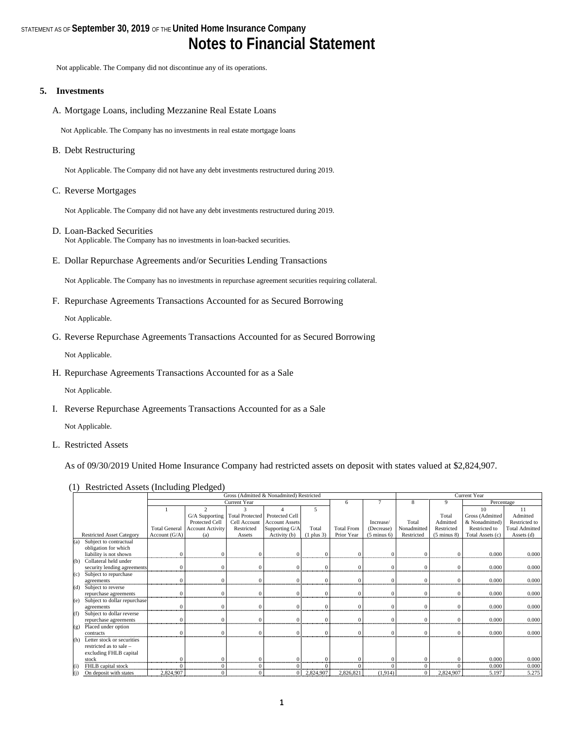## STATEMENT AS OF **September 30, 2019** OF THE **United Home Insurance Company Notes to Financial Statement**

Not applicable. The Company did not discontinue any of its operations.

#### **5. Investments**

A. Mortgage Loans, including Mezzanine Real Estate Loans

Not Applicable. The Company has no investments in real estate mortgage loans

B. Debt Restructuring

Not Applicable. The Company did not have any debt investments restructured during 2019.

C. Reverse Mortgages

Not Applicable. The Company did not have any debt investments restructured during 2019.

- D. Loan-Backed Securities Not Applicable. The Company has no investments in loan-backed securities.
- E. Dollar Repurchase Agreements and/or Securities Lending Transactions

Not Applicable. The Company has no investments in repurchase agreement securities requiring collateral.

F. Repurchase Agreements Transactions Accounted for as Secured Borrowing

Not Applicable.

G. Reverse Repurchase Agreements Transactions Accounted for as Secured Borrowing

Not Applicable.

H. Repurchase Agreements Transactions Accounted for as a Sale

Not Applicable.

I. Reverse Repurchase Agreements Transactions Accounted for as a Sale

Not Applicable.

L. Restricted Assets

As of 09/30/2019 United Home Insurance Company had restricted assets on deposit with states valued at \$2,824,907.

(1) Restricted Assets (Including Pledged)

|     |                                  |                      |                         |                 | Gross (Admitted & Nonadmited) Restricted |              |                   |                        |             | <b>Current Year</b>    |                  |                       |
|-----|----------------------------------|----------------------|-------------------------|-----------------|------------------------------------------|--------------|-------------------|------------------------|-------------|------------------------|------------------|-----------------------|
|     |                                  |                      |                         | Current Year    |                                          |              | 6                 |                        | 8           | 9                      | Percentage       |                       |
|     |                                  |                      | $\mathfrak{D}$          |                 |                                          | 5            |                   |                        |             |                        | 10               | 11                    |
|     |                                  |                      | G/A Supporting          | Total Protected | <b>Protected Cell</b>                    |              |                   |                        |             | Total                  | Gross (Admitted  | Admitted              |
|     |                                  |                      | Protected Cell          | Cell Account    | <b>Account Assets</b>                    |              |                   | Increase/              | Total       | Admitted               | & Nonadmitted)   | Restricted to         |
|     |                                  | <b>Total General</b> | <b>Account Activity</b> | Restricted      | Supporting G/A                           | Total        | <b>Total From</b> | (Decrease)             | Nonadmitted | Restricted             | Restricted to    | <b>Total Admitted</b> |
|     | <b>Restricted Asset Category</b> | Account $(G/A)$      | (a)                     | Assets          | Activity (b)                             | $(1$ plus 3) | Prior Year        | $(5 \text{ minus } 6)$ | Restricted  | $(5 \text{ minus } 8)$ | Total Assets (c) | Assets $(d)$          |
| (a) | Subject to contractual           |                      |                         |                 |                                          |              |                   |                        |             |                        |                  |                       |
|     | obligation for which             |                      |                         |                 |                                          |              |                   |                        |             |                        |                  |                       |
|     | liability is not shown           |                      |                         |                 |                                          |              | $\Omega$          |                        |             |                        | 0.000            | 0.000                 |
| (b) | Collateral held under            |                      |                         |                 |                                          |              |                   |                        |             |                        |                  |                       |
|     | security lending agreements      |                      |                         |                 |                                          | $\Omega$     | $\Omega$          |                        | $\sqrt{ }$  |                        | 0.000            | 0.000                 |
| (c) | Subject to repurchase            |                      |                         |                 |                                          |              |                   |                        |             |                        |                  |                       |
|     | agreements                       |                      |                         |                 |                                          | $\Omega$     | $\Omega$          |                        |             |                        | 0.000            | 0.000                 |
| (d) | Subject to reverse               |                      |                         |                 |                                          |              |                   |                        |             |                        |                  |                       |
|     | repurchase agreements            |                      |                         |                 |                                          | $\Omega$     | $\Omega$          |                        |             |                        | 0.000            | 0.000                 |
| (e) | Subject to dollar repurchase     |                      |                         |                 |                                          |              |                   |                        |             |                        |                  |                       |
|     | agreements                       |                      |                         |                 |                                          | $\Omega$     | $\Omega$          |                        |             |                        | 0.000            | 0.000                 |
| (f) | Subject to dollar reverse        |                      |                         |                 |                                          |              |                   |                        |             |                        |                  |                       |
|     | repurchase agreements            |                      |                         |                 |                                          |              | $\Omega$          |                        |             |                        | 0.000            | 0.000                 |
| (g) | Placed under option              |                      |                         |                 |                                          |              |                   |                        |             |                        |                  |                       |
|     | contracts                        |                      |                         |                 |                                          |              | $\Omega$          |                        |             |                        | 0.000            | 0.000                 |
| (h) | Letter stock or securities       |                      |                         |                 |                                          |              |                   |                        |             |                        |                  |                       |
|     | restricted as to sale -          |                      |                         |                 |                                          |              |                   |                        |             |                        |                  |                       |
|     | excluding FHLB capital           |                      |                         |                 |                                          |              |                   |                        |             |                        |                  |                       |
|     | stock                            |                      |                         |                 |                                          |              |                   |                        |             |                        | 0.000            | 0.000                 |
| (i) | FHLB capital stock               |                      |                         |                 |                                          |              |                   |                        |             |                        | 0.000            | 0.000                 |
| (j) | On deposit with states           | 2,824,907            | U                       |                 |                                          | 2,824,907    | 2,826,821         | (1,914)                |             | 2,824,907              | 5.197            | 5.275                 |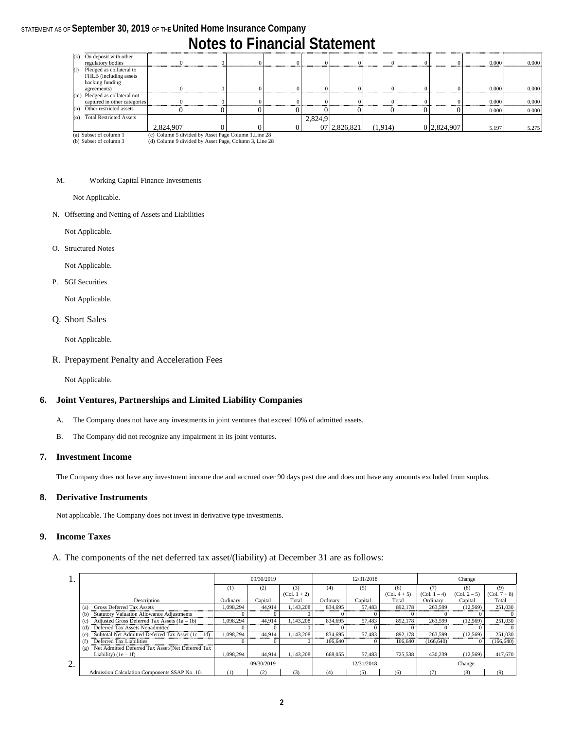## **Notes to Financial Statement**

|     | (k) On deposit with other     |           |                                                      |  |         |              |         |             |       |       |
|-----|-------------------------------|-----------|------------------------------------------------------|--|---------|--------------|---------|-------------|-------|-------|
|     | regulatory bodies             |           |                                                      |  |         |              |         |             | 0.000 | 0.000 |
| (1) | Pledged as collateral to      |           |                                                      |  |         |              |         |             |       |       |
|     | FHLB (including assets        |           |                                                      |  |         |              |         |             |       |       |
|     | backing funding               |           |                                                      |  |         |              |         |             |       |       |
|     | agreements)                   |           |                                                      |  |         |              |         |             | 0.000 | 0.000 |
|     | (m) Pledged as collateral not |           |                                                      |  |         |              |         |             |       |       |
|     | captured in other categories  |           |                                                      |  |         |              |         |             | 0.000 | 0.000 |
| (n) | Other restricted assets       |           |                                                      |  |         |              |         |             | 0.000 | 0.000 |
|     | (o) Total Restricted Assets   |           |                                                      |  | 2,824,9 |              |         |             |       |       |
|     |                               | 2,824,907 |                                                      |  |         | 07 2,826,821 | (1.914) | 0 2.824,907 | 5.197 | 5.275 |
|     | (a) Subset of column 1        |           | (c) Column 5 divided by Asset Page Column 1. Line 28 |  |         |              |         |             |       |       |

(a) Subset of column 1 (b) Subset of column 3

(c) Column 5 divided by Asset Page Column 1,Line 28 (d) Column 9 divided by Asset Page, Column 3, Line 28

#### M. Working Capital Finance Investments

Not Applicable.

N. Offsetting and Netting of Assets and Liabilities

Not Applicable.

O. Structured Notes

Not Applicable.

P. 5GI Securities

Not Applicable.

Q. Short Sales

Not Applicable.

#### R. Prepayment Penalty and Acceleration Fees

Not Applicable.

#### **6. Joint Ventures, Partnerships and Limited Liability Companies**

- A. The Company does not have any investments in joint ventures that exceed 10% of admitted assets.
- B. The Company did not recognize any impairment in its joint ventures.

#### **7. Investment Income**

The Company does not have any investment income due and accrued over 90 days past due and does not have any amounts excluded from surplus.

#### **8. Derivative Instruments**

Not applicable. The Company does not invest in derivative type investments.

#### **9. Income Taxes**

A. The components of the net deferred tax asset/(liability) at December 31 are as follows:

| 1. |                                                             |           | 09/30/2019 |                | 12/31/2018 |            |                | Change         |                |                |
|----|-------------------------------------------------------------|-----------|------------|----------------|------------|------------|----------------|----------------|----------------|----------------|
|    |                                                             | (1)       | (2)        | (3)            | (4)        | (5)        | (6)            |                | (8)            | (9)            |
|    |                                                             |           |            | $(Col. 1 + 2)$ |            |            | $(Col. 4 + 5)$ | $(Col. 1 - 4)$ | $(Col. 2 - 5)$ | $(Col. 7 + 8)$ |
|    | Description                                                 | Ordinary  | Capital    | Total          | Ordinary   | Capital    | Total          | Ordinary       | Capital        | Total          |
|    | <b>Gross Deferred Tax Assets</b><br>(a)                     | 1.098.294 | 44.914     | 1.143.208      | 834,695    | 57.483     | 892.178        | 263,599        | (12.569)       | 251.030        |
|    | Statutory Valuation Allowance Adjustments<br>(b)            |           |            |                |            |            |                |                |                | 0              |
|    | Adjusted Gross Deferred Tax Assets $(1a - 1b)$<br>(c)       | 1.098.294 | 44.914     | 1.143.208      | 834.695    | 57.483     | 892.178        | 263,599        | (12.569)       | 251.030        |
|    | Deferred Tax Assets Nonadmitted<br>(d)                      |           |            |                |            |            |                |                |                | 0              |
|    | Subtotal Net Admitted Deferred Tax Asset $(1c - 1d)$<br>(e) | 1.098.294 | 44.914     | 1.143.208      | 834.695    | 57.483     | 892.178        | 263,599        | (12.569)       | 251.030        |
|    | Deferred Tax Liabilities<br>(f)                             |           |            | O              | 166,640    |            | 166,640        | (166, 640)     |                | (166, 640)     |
|    | Net Admitted Deferred Tax Asset/(Net Deferred Tax<br>(g)    |           |            |                |            |            |                |                |                |                |
|    | Liability) $(1e - 1f)$                                      | 1.098.294 | 44,914     | 1.143.208      | 668,055    | 57,483     | 725.538        | 430,239        | (12,569)       | 417,670        |
| 2. |                                                             |           | 09/30/2019 |                |            | 12/31/2018 |                |                | Change         |                |
|    | Admission Calculation Components SSAP No. 101               | (1)       | (2)        | (3)            | (4)        | (5)        | (6)            |                | (8)            | (9)            |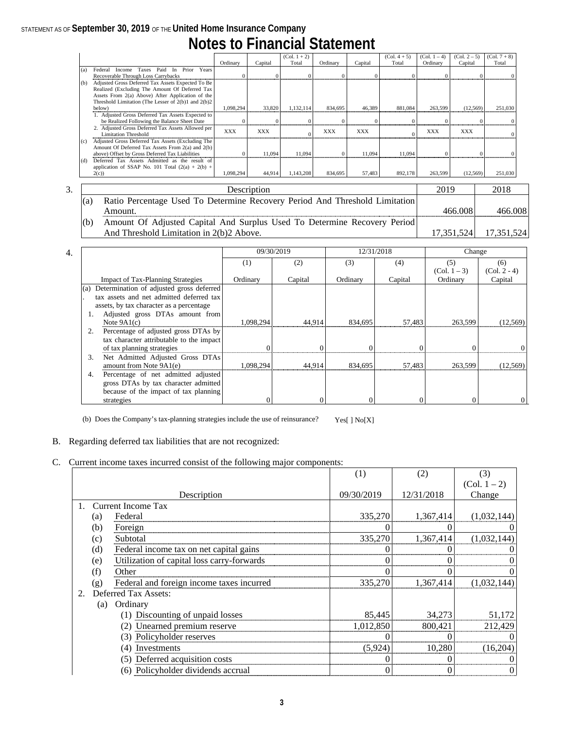## **Notes to Financial Statement**

|     |                                                             |            |            | $(Col. 1 + 2)$ |            |            | $(Col. 4 + 5)$ | (Col. 1 – 4) | $(Col. 2 - 5)$ | $(Col. 7 + 8)$ |  |  |  |
|-----|-------------------------------------------------------------|------------|------------|----------------|------------|------------|----------------|--------------|----------------|----------------|--|--|--|
|     |                                                             | Ordinary   | Capital    | Total          | Ordinary   | Capital    | Total          | Ordinary     | Capital        | Total          |  |  |  |
| (a) | Prior<br>Years<br>Federal<br>Paid<br>In.<br>Taxes<br>Income |            |            |                |            |            |                |              |                |                |  |  |  |
|     | Recoverable Through Loss Carrybacks                         |            |            |                |            |            |                |              |                |                |  |  |  |
| (b) | Adjusted Gross Deferred Tax Assets Expected To Be           |            |            |                |            |            |                |              |                |                |  |  |  |
|     | Realized (Excluding The Amount Of Deferred Tax              |            |            |                |            |            |                |              |                |                |  |  |  |
|     | Assets From 2(a) Above) After Application of the            |            |            |                |            |            |                |              |                |                |  |  |  |
|     | Threshold Limitation (The Lesser of $2(b)1$ and $2(b)2$     |            |            |                |            |            |                |              |                |                |  |  |  |
|     | below)                                                      | 1.098.294  | 33.820     | 1.132.114      | 834.695    | 46.389     | 881.084        | 263,599      | (12.569)       | 251.030        |  |  |  |
|     | 1. Adjusted Gross Deferred Tax Assets Expected to           |            |            |                |            |            |                |              |                |                |  |  |  |
|     | be Realized Following the Balance Sheet Date                |            |            |                |            |            |                |              |                |                |  |  |  |
|     | 2. Adjusted Gross Deferred Tax Assets Allowed per           | <b>XXX</b> | <b>XXX</b> |                | <b>XXX</b> | <b>XXX</b> |                | XXX          | <b>XXX</b>     |                |  |  |  |
|     | <b>Limitation Threshold</b>                                 |            |            |                |            |            |                |              |                |                |  |  |  |
| (c) | Adjusted Gross Deferred Tax Assets (Excluding The           |            |            |                |            |            |                |              |                |                |  |  |  |
|     | Amount Of Deferred Tax Assets From 2(a) and 2(b)            |            |            |                |            |            |                |              |                |                |  |  |  |
|     | above) Offset by Gross Deferred Tax Liabilities             |            | 11.094     | 11.094         |            | 11.094     | 11.094         |              |                |                |  |  |  |
| (d) | Deferred Tax Assets Admitted as the result of               |            |            |                |            |            |                |              |                |                |  |  |  |
|     | application of SSAP No. 101 Total $(2(a) + 2(b) +$          |            |            |                |            |            |                |              |                |                |  |  |  |
|     | 2(c)                                                        | 1.098.294  | 44.914     | 1.143.208      | 834.695    | 57.483     | 892,178        | 263,599      | (12.569)       | 251,030        |  |  |  |

| c. | Description                                                                 | 2019       | 2018       |
|----|-----------------------------------------------------------------------------|------------|------------|
|    | Ratio Percentage Used To Determine Recovery Period And Threshold Limitation |            |            |
|    | Amount.                                                                     | 466.008    | 466.008    |
|    | Amount Of Adjusted Capital And Surplus Used To Determine Recovery Period    |            |            |
|    | And Threshold Limitation in 2(b)2 Above.                                    | 17.351.524 | 17,351,524 |

|     |                                          |           | 09/30/2019 | 12/31/2018 |         | Change         |                |
|-----|------------------------------------------|-----------|------------|------------|---------|----------------|----------------|
|     |                                          | (1)       | (2)        | (3)        | (4)     | (5)            | (6)            |
|     |                                          |           |            |            |         | $(Col. 1 - 3)$ | $(Col. 2 - 4)$ |
|     | <b>Impact of Tax-Planning Strategies</b> | Ordinary  | Capital    | Ordinary   | Capital | Ordinary       | Capital        |
| (a) | Determination of adjusted gross deferred |           |            |            |         |                |                |
|     | tax assets and net admitted deferred tax |           |            |            |         |                |                |
|     | assets, by tax character as a percentage |           |            |            |         |                |                |
|     | Adjusted gross DTAs amount from          |           |            |            |         |                |                |
|     | Note $9A1(c)$                            | 1.098.294 | 44.914     | 834.695    | 57.483  | 263.599        | (12, 569)      |
|     | Percentage of adjusted gross DTAs by     |           |            |            |         |                |                |
|     | tax character attributable to the impact |           |            |            |         |                |                |
|     | of tax planning strategies               |           |            |            |         |                |                |
| 3.  | Net Admitted Adjusted Gross DTAs         |           |            |            |         |                |                |
|     | amount from Note 9A1(e)                  | 1.098.294 | 44.914     | 834.695    | 57,483  | 263.599        | (12, 569)      |
| 4.  | Percentage of net admitted adjusted      |           |            |            |         |                |                |
|     | gross DTAs by tax character admitted     |           |            |            |         |                |                |
|     | because of the impact of tax planning    |           |            |            |         |                |                |
|     | strategies                               |           |            |            |         |                | $\Omega$       |

(b) Does the Company's tax-planning strategies include the use of reinsurance? Yes[ ] No[X]

#### B. Regarding deferred tax liabilities that are not recognized:

#### C. Current income taxes incurred consist of the following major components:

|    |     |                                            | (1)        | (2)        | (3)            |
|----|-----|--------------------------------------------|------------|------------|----------------|
|    |     |                                            |            |            | $(Col. 1 - 2)$ |
|    |     | Description                                | 09/30/2019 | 12/31/2018 | Change         |
|    |     | Current Income Tax                         |            |            |                |
|    | (a) | Federal                                    | 335,270    | 1,367,414  | (1,032,144)    |
|    | (b) | Foreign                                    |            |            |                |
|    | (c) | Subtotal                                   | 335,270    | 1,367,414  | (1,032,144)    |
|    | (d) | Federal income tax on net capital gains    |            |            |                |
|    | (e) | Utilization of capital loss carry-forwards |            |            |                |
|    | (f) | Other                                      |            |            |                |
|    | (g) | Federal and foreign income taxes incurred  | 335,270    | 1,367,414  | (1,032,144)    |
| 2. |     | Deferred Tax Assets:                       |            |            |                |
|    | (a) | Ordinary                                   |            |            |                |
|    |     | (1) Discounting of unpaid losses           | 85,445     | 34,273     | 51,172         |
|    |     | (2) Unearned premium reserve               | 1,012,850  | 800,421    | 212,429        |
|    |     | (3) Policyholder reserves                  |            |            |                |
|    |     | Investments<br>(4)                         | (5,924)    | 10,280     | (16,204)       |
|    |     | (5) Deferred acquisition costs             |            |            |                |
|    |     | (6) Policyholder dividends accrual         |            |            |                |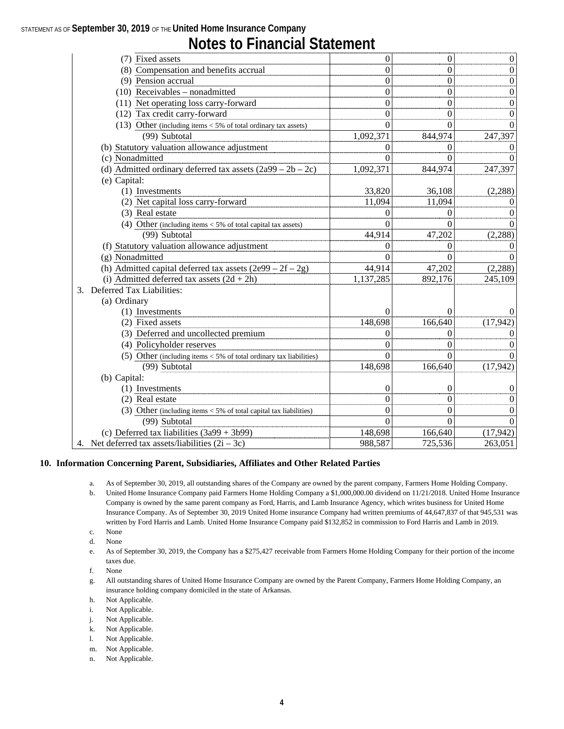## **Notes to Financial Statement**

| (7) Fixed assets                                                     | $\theta$  | O        | $\boldsymbol{0}$ |
|----------------------------------------------------------------------|-----------|----------|------------------|
| (8) Compensation and benefits accrual                                | $\Omega$  | 0        | $\boldsymbol{0}$ |
| (9) Pension accrual                                                  | 0         | 0        | $\boldsymbol{0}$ |
| $(10)$ Receivables - nonadmitted                                     | $\theta$  | $\theta$ | $\overline{0}$   |
| (11) Net operating loss carry-forward                                | $\theta$  | $\theta$ | $\boldsymbol{0}$ |
| (12) Tax credit carry-forward                                        | $\Omega$  | $\theta$ | $\theta$         |
| (13) Other (including items $<$ 5% of total ordinary tax assets)     | 0         | 0        | 0                |
| (99) Subtotal                                                        | 1,092,371 | 844,974  | 247,397          |
| (b) Statutory valuation allowance adjustment                         |           |          | 0                |
| (c) Nonadmitted                                                      |           |          | $\Omega$         |
| (d) Admitted ordinary deferred tax assets $(2a99 - 2b - 2c)$         | 1,092,371 | 844,974  | 247,397          |
| (e) Capital:                                                         |           |          |                  |
| (1) Investments                                                      | 33,820    | 36,108   | (2, 288)         |
| (2) Net capital loss carry-forward                                   | 11,094    | 11,094   | 0                |
| (3) Real estate                                                      |           | $\theta$ | 0                |
| (4) Other (including items $<$ 5% of total capital tax assets)       |           |          | 0                |
| (99) Subtotal                                                        | 44,914    | 47,202   | (2, 288)         |
| (f) Statutory valuation allowance adjustment                         | 0         | $\theta$ | $\Omega$         |
| (g) Nonadmitted                                                      |           |          | $\Omega$         |
| (h) Admitted capital deferred tax assets $(2e99 - 2f - 2g)$          | 44,914    | 47,202   | (2, 288)         |
| (i) Admitted deferred tax assets $(2d + 2h)$                         | 1,137,285 | 892,176  | 245,109          |
| Deferred Tax Liabilities:<br>3.                                      |           |          |                  |
| (a) Ordinary                                                         |           |          |                  |
| (1) Investments                                                      |           | 0        | $\Omega$         |
| (2) Fixed assets                                                     | 148,698   | 166,640  | (17, 942)        |
| (3) Deferred and uncollected premium                                 | 0         | $\theta$ | $\Omega$         |
| (4) Policyholder reserves                                            | 0         | 0        | 0                |
| (5) Other (including items $<$ 5% of total ordinary tax liabilities) |           | 0        | 0                |
| (99) Subtotal                                                        | 148,698   | 166,640  | (17, 942)        |
| (b) Capital:                                                         |           |          |                  |
| (1) Investments                                                      | 0         | 0        | 0                |
| (2) Real estate                                                      | $\theta$  | $\theta$ | 0                |
| (3) Other (including items $<$ 5% of total capital tax liabilities)  | $\theta$  | 0        | $\boldsymbol{0}$ |
| (99) Subtotal                                                        | $\Omega$  | $\Omega$ | $\Omega$         |
| (c) Deferred tax liabilities $(3a99 + 3b99)$                         | 148,698   | 166,640  | (17, 942)        |
| 4. Net deferred tax assets/liabilities $(2i – 3c)$                   | 988,587   | 725,536  | 263,051          |
|                                                                      |           |          |                  |

#### **10. Information Concerning Parent, Subsidiaries, Affiliates and Other Related Parties**

- a. As of September 30, 2019, all outstanding shares of the Company are owned by the parent company, Farmers Home Holding Company.
- b. United Home Insurance Company paid Farmers Home Holding Company a \$1,000,000.00 dividend on 11/21/2018. United Home Insurance Company is owned by the same parent company as Ford, Harris, and Lamb Insurance Agency, which writes business for United Home Insurance Company. As of September 30, 2019 United Home insurance Company had written premiums of 44,647,837 of that 945,531 was written by Ford Harris and Lamb. United Home Insurance Company paid \$132,852 in commission to Ford Harris and Lamb in 2019.
- c. None d. None
- e. As of September 30, 2019, the Company has a \$275,427 receivable from Farmers Home Holding Company for their portion of the income taxes due.
- f. None
- g. All outstanding shares of United Home Insurance Company are owned by the Parent Company, Farmers Home Holding Company, an insurance holding company domiciled in the state of Arkansas.
- h. Not Applicable.
- i. Not Applicable.
- j. Not Applicable.
- k. Not Applicable.
- l. Not Applicable.
- m. Not Applicable.
- n. Not Applicable.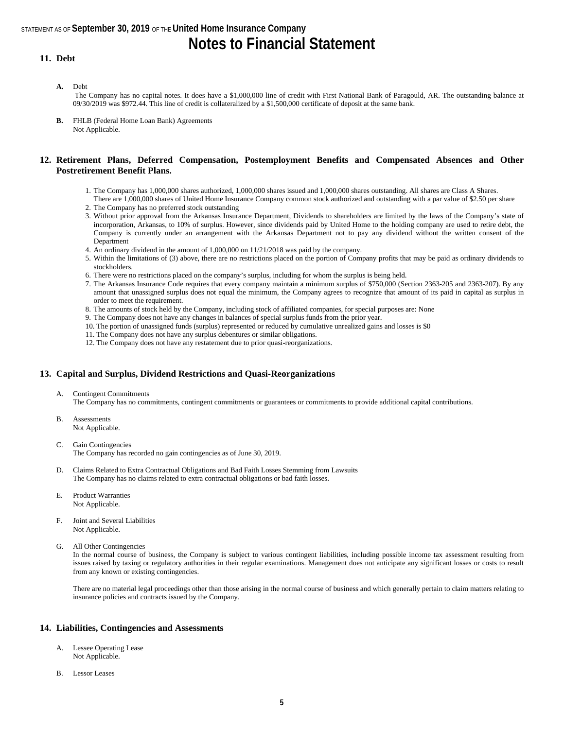## **Notes to Financial Statement**

#### **11. Debt**

**A.** Debt

The Company has no capital notes. It does have a \$1,000,000 line of credit with First National Bank of Paragould, AR. The outstanding balance at 09/30/2019 was \$972.44. This line of credit is collateralized by a \$1,500,000 certificate of deposit at the same bank.

**B.** FHLB (Federal Home Loan Bank) Agreements Not Applicable.

#### **12. Retirement Plans, Deferred Compensation, Postemployment Benefits and Compensated Absences and Other Postretirement Benefit Plans.**

- 1. The Company has 1,000,000 shares authorized, 1,000,000 shares issued and 1,000,000 shares outstanding. All shares are Class A Shares.
- There are 1,000,000 shares of United Home Insurance Company common stock authorized and outstanding with a par value of \$2.50 per share 2. The Company has no preferred stock outstanding
- 3. Without prior approval from the Arkansas Insurance Department, Dividends to shareholders are limited by the laws of the Company's state of incorporation, Arkansas, to 10% of surplus. However, since dividends paid by United Home to the holding company are used to retire debt, the Company is currently under an arrangement with the Arkansas Department not to pay any dividend without the written consent of the **Department**
- 4. An ordinary dividend in the amount of 1,000,000 on 11/21/2018 was paid by the company.
- 5. Within the limitations of (3) above, there are no restrictions placed on the portion of Company profits that may be paid as ordinary dividends to stockholders.
- 6. There were no restrictions placed on the company's surplus, including for whom the surplus is being held.
- 7. The Arkansas Insurance Code requires that every company maintain a minimum surplus of \$750,000 (Section 2363-205 and 2363-207). By any amount that unassigned surplus does not equal the minimum, the Company agrees to recognize that amount of its paid in capital as surplus in order to meet the requirement.
- 8. The amounts of stock held by the Company, including stock of affiliated companies, for special purposes are: None
- 9. The Company does not have any changes in balances of special surplus funds from the prior year.
- 10. The portion of unassigned funds (surplus) represented or reduced by cumulative unrealized gains and losses is \$0
- 11. The Company does not have any surplus debentures or similar obligations.
- 12. The Company does not have any restatement due to prior quasi-reorganizations.

#### **13. Capital and Surplus, Dividend Restrictions and Quasi-Reorganizations**

A. Contingent Commitments

The Company has no commitments, contingent commitments or guarantees or commitments to provide additional capital contributions.

- B. Assessments
	- Not Applicable.
- C. Gain Contingencies The Company has recorded no gain contingencies as of June 30, 2019.
- D. Claims Related to Extra Contractual Obligations and Bad Faith Losses Stemming from Lawsuits The Company has no claims related to extra contractual obligations or bad faith losses.
- E. Product Warranties Not Applicable.
- F. Joint and Several Liabilities Not Applicable.
- G. All Other Contingencies

In the normal course of business, the Company is subject to various contingent liabilities, including possible income tax assessment resulting from issues raised by taxing or regulatory authorities in their regular examinations. Management does not anticipate any significant losses or costs to result from any known or existing contingencies.

There are no material legal proceedings other than those arising in the normal course of business and which generally pertain to claim matters relating to insurance policies and contracts issued by the Company.

#### **14. Liabilities, Contingencies and Assessments**

- A. Lessee Operating Lease Not Applicable.
- B. Lessor Leases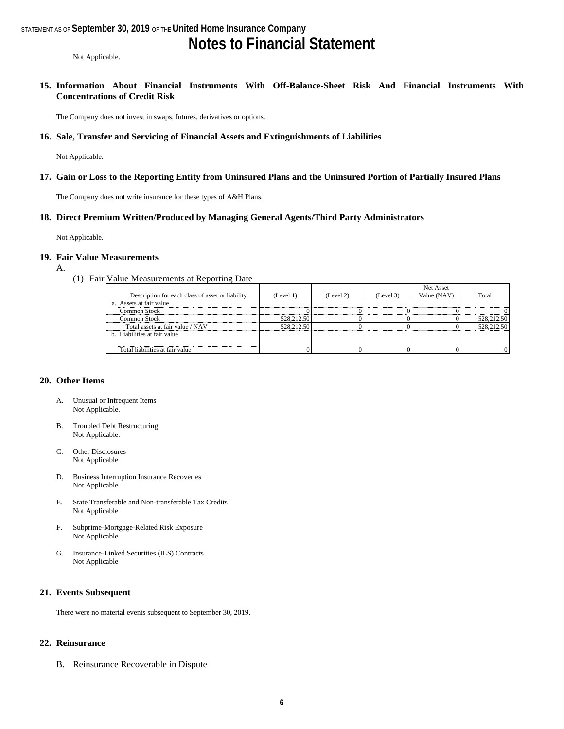## **Notes to Financial Statement**

Not Applicable.

**15. Information About Financial Instruments With Off-Balance-Sheet Risk And Financial Instruments With Concentrations of Credit Risk**

The Company does not invest in swaps, futures, derivatives or options.

#### **16. Sale, Transfer and Servicing of Financial Assets and Extinguishments of Liabilities**

Not Applicable.

#### **17. Gain or Loss to the Reporting Entity from Uninsured Plans and the Uninsured Portion of Partially Insured Plans**

The Company does not write insurance for these types of A&H Plans.

#### **18. Direct Premium Written/Produced by Managing General Agents/Third Party Administrators**

Not Applicable.

#### **19. Fair Value Measurements**

- A.
- (1) Fair Value Measurements at Reporting Date

|                                                  |            |           |           | Net Asset   |            |
|--------------------------------------------------|------------|-----------|-----------|-------------|------------|
| Description for each class of asset or liability | (Level 1)  | (Level 2) | (Level 3) | Value (NAV) | Total      |
| a. Assets at fair value                          |            |           |           |             |            |
| Common Stock                                     |            |           |           |             |            |
| Common Stock                                     | 528,212.50 |           |           |             | 528,212.50 |
| Total assets at fair value / NAV                 | 528,212.50 |           |           |             | 528,212.50 |
| b. Liabilities at fair value                     |            |           |           |             |            |
|                                                  |            |           |           |             |            |
| Total liabilities at fair value                  |            |           |           |             |            |

#### **20. Other Items**

- A. Unusual or Infrequent Items Not Applicable.
- B. Troubled Debt Restructuring Not Applicable.
- C. Other Disclosures Not Applicable
- D. Business Interruption Insurance Recoveries Not Applicable
- E. State Transferable and Non-transferable Tax Credits Not Applicable
- F. Subprime-Mortgage-Related Risk Exposure Not Applicable
- G. Insurance-Linked Securities (ILS) Contracts Not Applicable

#### **21. Events Subsequent**

There were no material events subsequent to September 30, 2019.

#### **22. Reinsurance**

B. Reinsurance Recoverable in Dispute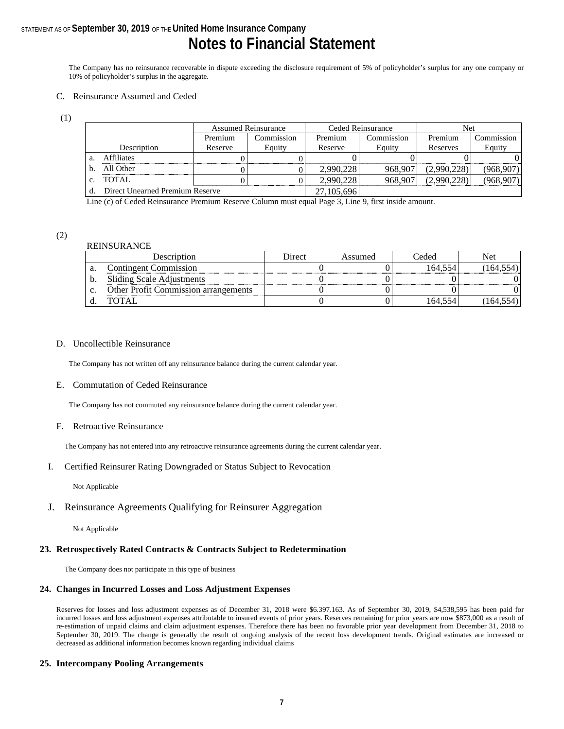### STATEMENT AS OF **September 30, 2019** OF THE **United Home Insurance Company Notes to Financial Statement**

The Company has no reinsurance recoverable in dispute exceeding the disclosure requirement of 5% of policyholder's surplus for any one company or 10% of policyholder's surplus in the aggregate.

#### C. Reinsurance Assumed and Ceded

(1)

|    |                                 |         | <b>Assumed Reinsurance</b> |            | Ceded Reinsurance | Net         |            |
|----|---------------------------------|---------|----------------------------|------------|-------------------|-------------|------------|
|    |                                 | Premium | Commission                 | Premium    | Commission        | Premium     | Commission |
|    | Description                     | Reserve | Equity                     | Reserve    | Equity            | Reserves    | Equity     |
| a. | <b>Affiliates</b>               |         |                            |            |                   |             |            |
| b. | All Other                       |         |                            | 2,990,228  | 968.907           | (2.990.228) | (968, 907) |
| C. | TOTAL                           |         |                            | 2.990.228  | 968.907           | (2.990.228) | (968.907)  |
|    | Direct Unearned Premium Reserve |         |                            | 27,105,696 |                   |             |            |

Line (c) of Ceded Reinsurance Premium Reserve Column must equal Page 3, Line 9, first inside amount.

#### (2)

#### REINSURANCE

|    | Description                                 | Direct | Assumed | Ceded   | Net     |
|----|---------------------------------------------|--------|---------|---------|---------|
| a. | <b>Contingent Commission</b>                |        |         | 164.554 | 164.554 |
|    | Sliding Scale Adjustments                   |        |         |         |         |
|    | <b>Other Profit Commission arrangements</b> |        |         |         |         |
|    | <b>TOTAL</b>                                |        |         | 164.554 |         |

#### D. Uncollectible Reinsurance

The Company has not written off any reinsurance balance during the current calendar year.

#### E. Commutation of Ceded Reinsurance

The Company has not commuted any reinsurance balance during the current calendar year.

#### F. Retroactive Reinsurance

The Company has not entered into any retroactive reinsurance agreements during the current calendar year.

#### I. Certified Reinsurer Rating Downgraded or Status Subject to Revocation

Not Applicable

#### J. Reinsurance Agreements Qualifying for Reinsurer Aggregation

Not Applicable

#### **23. Retrospectively Rated Contracts & Contracts Subject to Redetermination**

The Company does not participate in this type of business

#### **24. Changes in Incurred Losses and Loss Adjustment Expenses**

Reserves for losses and loss adjustment expenses as of December 31, 2018 were \$6.397.163. As of September 30, 2019, \$4,538,595 has been paid for incurred losses and loss adjustment expenses attributable to insured events of prior years. Reserves remaining for prior years are now \$873,000 as a result of re-estimation of unpaid claims and claim adjustment expenses. Therefore there has been no favorable prior year development from December 31, 2018 to September 30, 2019. The change is generally the result of ongoing analysis of the recent loss development trends. Original estimates are increased or decreased as additional information becomes known regarding individual claims

#### **25. Intercompany Pooling Arrangements**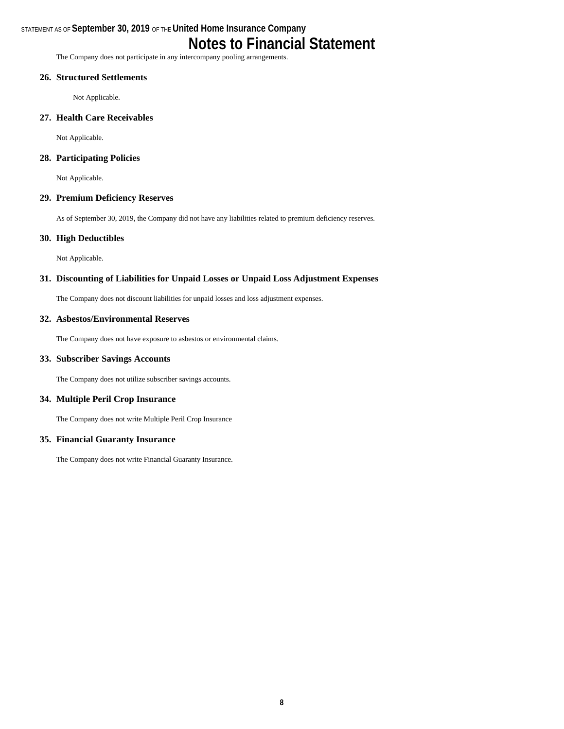## **Notes to Financial Statement**

The Company does not participate in any intercompany pooling arrangements.

#### **26. Structured Settlements**

Not Applicable.

#### **27. Health Care Receivables**

Not Applicable.

#### **28. Participating Policies**

Not Applicable.

#### **29. Premium Deficiency Reserves**

As of September 30, 2019, the Company did not have any liabilities related to premium deficiency reserves.

#### **30. High Deductibles**

Not Applicable.

#### **31. Discounting of Liabilities for Unpaid Losses or Unpaid Loss Adjustment Expenses**

The Company does not discount liabilities for unpaid losses and loss adjustment expenses.

#### **32. Asbestos/Environmental Reserves**

The Company does not have exposure to asbestos or environmental claims.

#### **33. Subscriber Savings Accounts**

The Company does not utilize subscriber savings accounts.

#### **34. Multiple Peril Crop Insurance**

The Company does not write Multiple Peril Crop Insurance

#### **35. Financial Guaranty Insurance**

The Company does not write Financial Guaranty Insurance.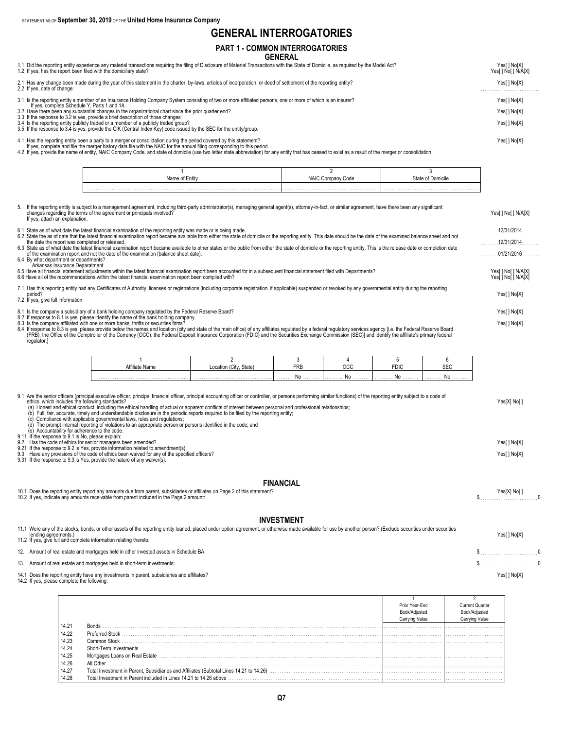## **GENERAL INTERROGATORIES**

|                                                                                                                                                                                                                                                                                                                                                                                                                                                                                                                                                                                                                                                                                                                                                                                                                                                                                                                                                                                                                                                                                                                                                                                                                            |                                        | LIVAL III I LINNUUA I UINILU |                                     |                   |                        |                                            |  |
|----------------------------------------------------------------------------------------------------------------------------------------------------------------------------------------------------------------------------------------------------------------------------------------------------------------------------------------------------------------------------------------------------------------------------------------------------------------------------------------------------------------------------------------------------------------------------------------------------------------------------------------------------------------------------------------------------------------------------------------------------------------------------------------------------------------------------------------------------------------------------------------------------------------------------------------------------------------------------------------------------------------------------------------------------------------------------------------------------------------------------------------------------------------------------------------------------------------------------|----------------------------------------|------------------------------|-------------------------------------|-------------------|------------------------|--------------------------------------------|--|
|                                                                                                                                                                                                                                                                                                                                                                                                                                                                                                                                                                                                                                                                                                                                                                                                                                                                                                                                                                                                                                                                                                                                                                                                                            | <b>PART 1 - COMMON INTERROGATORIES</b> | <b>GENERAL</b>               |                                     |                   |                        |                                            |  |
| 1.1 Did the reporting entity experience any material transactions requiring the filing of Disclosure of Material Transactions with the State of Domicile, as required by the Model Act?<br>1.2 If yes, has the report been filed with the domiciliary state?                                                                                                                                                                                                                                                                                                                                                                                                                                                                                                                                                                                                                                                                                                                                                                                                                                                                                                                                                               |                                        |                              |                                     |                   |                        | Yes[] No[X]<br>Yes[ ] No[ ] N/A[X]         |  |
| 2.1 Has any change been made during the year of this statement in the charter, by-laws, articles of incorporation, or deed of settlement of the reporting entity?<br>2.2 If yes, date of change:                                                                                                                                                                                                                                                                                                                                                                                                                                                                                                                                                                                                                                                                                                                                                                                                                                                                                                                                                                                                                           |                                        |                              |                                     |                   |                        |                                            |  |
| 3.1 Is the reporting entity a member of an Insurance Holding Company System consisting of two or more affiliated persons, one or more of which is an insurer?<br>If yes, complete Schedule Y, Parts 1 and 1A.<br>3.2 Have there been<br>3.3 If the response to 3.2 is yes, provide a brief description of those changes:<br>3.4 Is the reporting entity publicly traded or a member of a publicly traded group?<br>3.5 If the response to 3.4 is yes, provide the CIK (Central Index Key) code issued by the SEC for the entity/group.<br>4.1 Has the reporting entity been a party to a merger or consolidation during the period covered by this statement?                                                                                                                                                                                                                                                                                                                                                                                                                                                                                                                                                              |                                        |                              |                                     |                   |                        |                                            |  |
| If yes, complete and file the merger history data file with the NAIC for the annual filing corresponding to this period.<br>4.2 If yes, provide the name of entity, NAIC Company Code, and state of domicile (use two letter state abbreviation) for any entity that has ceased to exist as a result of the merger or consolidation.                                                                                                                                                                                                                                                                                                                                                                                                                                                                                                                                                                                                                                                                                                                                                                                                                                                                                       |                                        |                              |                                     |                   |                        |                                            |  |
|                                                                                                                                                                                                                                                                                                                                                                                                                                                                                                                                                                                                                                                                                                                                                                                                                                                                                                                                                                                                                                                                                                                                                                                                                            | $\overline{1}$<br>Name of Entity       |                              | $\overline{2}$<br>NAIC Company Code |                   | 3<br>State of Domicile |                                            |  |
| 5. If the reporting entity is subject to a management agreement, including third-party administrator(s), managing general agent(s), attorney-in-fact, or similar agreement, have there been any significant<br>changes regarding the terms of the agreement or principals involved?<br>If yes, attach an explanation.                                                                                                                                                                                                                                                                                                                                                                                                                                                                                                                                                                                                                                                                                                                                                                                                                                                                                                      |                                        |                              |                                     |                   |                        | Yes[] No[] N/A[X]                          |  |
| 6.1 State as of what date the latest financial examination of the reporting entity was made or is being made.<br>6.2 State the as of date that the latest financial examination report became available from either the state of domicile or the reporting entity. This date should be the date of the examined balance sheet and not<br>the date the report was completed or released.<br>6.3 State as of what date the latest financial examination report became available to other states or the public from either the state of domicile or the reporting entity. This is the release date or completion date<br>of the examination report and not the date of the examination (balance sheet date).<br>6.4 By what department or departments?                                                                                                                                                                                                                                                                                                                                                                                                                                                                        |                                        |                              |                                     |                   |                        | 12/31/2014<br>$12/31/2014$<br>01/21/2016   |  |
| Arkansas Insurance Deparatment<br>6.5 Have all financial statement adjustments within the latest financial examination report been accounted for in a subsequent financial statement filed with Departments?<br>6.6 Have all of the recommendations within the latest financial examination report been complied with?                                                                                                                                                                                                                                                                                                                                                                                                                                                                                                                                                                                                                                                                                                                                                                                                                                                                                                     |                                        |                              |                                     |                   |                        | Yes[ ] No[ ] N/A[X]<br>Yes[ ] No[ ] N/A[X] |  |
| 7.1 Has this reporting entity had any Certificates of Authority, licenses or registrations (including corporate registration, if applicable) suspended or revoked by any governmental entity during the reporting<br>period?<br>7.2 If yes, give full information                                                                                                                                                                                                                                                                                                                                                                                                                                                                                                                                                                                                                                                                                                                                                                                                                                                                                                                                                          |                                        |                              |                                     |                   |                        | Yes[] No[X]                                |  |
| 8.1 Is the company a subsidiary of a bank holding company regulated by the Federal Reserve Board?<br>8.2 If response to 8.1 is yes, please identify the name of the bank holding company.<br>8.3 Is the company affiliated with one or more banks, thrifts or securities firms?<br>8.4 If response to 8.3 is yes, please provide below the names and location (city and state of the main office) of any affiliates regulated by a federal regulatory services agency [i.e. the Federal Reserve Board<br>(FRB), the Office of the Comptroller of the Currency (OCC), the Federal Deposit Insurance Corporation (FDIC) and the Securities Exchange Commission (SEC)] and identify the affiliate's primary federal<br>regulator.]                                                                                                                                                                                                                                                                                                                                                                                                                                                                                            |                                        |                              |                                     |                   |                        | Yes[] No[X]<br>Yes[] No[X]                 |  |
| -1                                                                                                                                                                                                                                                                                                                                                                                                                                                                                                                                                                                                                                                                                                                                                                                                                                                                                                                                                                                                                                                                                                                                                                                                                         | $\overline{2}$                         | 3                            | 4                                   | 5                 | 6                      |                                            |  |
| Affiliate Name                                                                                                                                                                                                                                                                                                                                                                                                                                                                                                                                                                                                                                                                                                                                                                                                                                                                                                                                                                                                                                                                                                                                                                                                             | Location (City, State)                 | <b>FRB</b><br>No             | <b>OCC</b><br>No                    | <b>FDIC</b><br>No | <b>SEC</b><br>No       |                                            |  |
| 9.1 Are the senior officers (principal executive officer, principal financial officer, principal accounting officer or controller, or persons performing similar functions) of the reporting entity subject to a code of<br>ethics, which includes the following standards?<br>(a) Honest and ethical conduct, including the ethical handling of actual or apparent conflicts of interest between personal and professional relationships;<br>Full, fair, accurate, timely and understandable disclosure in the periodic reports required to be filed by the reporting entity;<br>(b)<br>Compliance with applicable governmental laws, rules and regulations;<br>The prompt internal reporting of violations to an appropriate person or persons identified in the code; and<br>(d)<br>(e) Accountability for adherence to the code.<br>9.11 If the response to 9.1 is No, please explain:<br>9.2 Has the code of ethics for senior managers been amended?<br>9.21 If the response to 9.2 is Yes, provide information related to amendment(s).<br>9.3 Have any provisions of the code of ethics been waived for any of the specified officers?<br>9.31 If the response to 9.3 is Yes, provide the nature of any waiver(s). |                                        |                              |                                     |                   |                        | Yes[X] No[]<br>Yes[] No[X]<br>Yes[] No[X]  |  |
|                                                                                                                                                                                                                                                                                                                                                                                                                                                                                                                                                                                                                                                                                                                                                                                                                                                                                                                                                                                                                                                                                                                                                                                                                            |                                        | <b>FINANCIAL</b>             |                                     |                   |                        |                                            |  |
| 10.1 Does the reporting entity report any amounts due from parent, subsidiaries or affiliates on Page 2 of this statement?<br>10.2 If yes, indicate any amounts receivable from parent included in the Page 2 amount:                                                                                                                                                                                                                                                                                                                                                                                                                                                                                                                                                                                                                                                                                                                                                                                                                                                                                                                                                                                                      |                                        |                              |                                     |                   |                        | Yes[X] No[]<br>$\Omega$<br>$\mathsf{\$}$   |  |

#### **INVESTMENT**

| <u>INVESIMENI</u>                                                                                                                                                                                                                                                                                           |             |
|-------------------------------------------------------------------------------------------------------------------------------------------------------------------------------------------------------------------------------------------------------------------------------------------------------------|-------------|
| 11.1 Were any of the stocks, bonds, or other assets of the reporting entity loaned, placed under option agreement, or otherwise made available for use by another person? (Exclude securities under securities<br>lending agreements.)<br>11.2 If yes, give full and complete information relating thereto: | Yes[] No[X] |
| 12. Amount of real estate and mortgages held in other invested assets in Schedule BA:                                                                                                                                                                                                                       |             |
| 13. Amount of real estate and mortgages held in short-term investments:                                                                                                                                                                                                                                     |             |
| 14.1 Does the reporting entity have any investments in parent, subsidiaries and affiliates?<br>14.2 If yes, please complete the following:                                                                                                                                                                  | Yes[] No[X] |

|       |                                                                   | Prior Year-End |  |
|-------|-------------------------------------------------------------------|----------------|--|
|       |                                                                   |                |  |
|       |                                                                   |                |  |
| 14.21 | Bonds                                                             |                |  |
| 14.22 | <b>Preferred Stock</b>                                            |                |  |
| 14.23 | Common Stock                                                      |                |  |
| 14.24 | Short-Term Investments                                            |                |  |
| 14.25 | Mortgages Loans on Real Estate                                    |                |  |
| 14.26 | All Other                                                         |                |  |
| 14.27 |                                                                   |                |  |
| 14.28 | Total Investment in Parent included in Lines 14.21 to 14.26 above |                |  |

 $\overline{\phantom{0}}$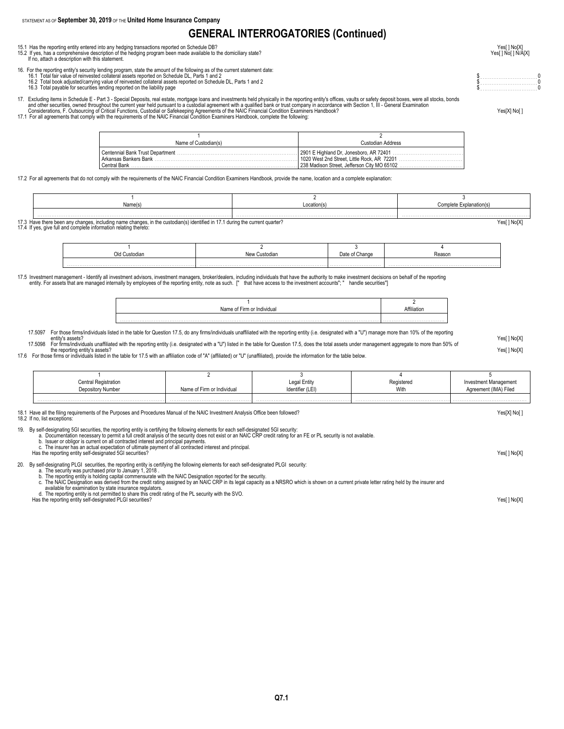### **GENERAL INTERROGATORIES (Continued)**

- 15.1 Has the reporting entity entered into any hedging transactions reported on Schedule DB? Yeses and the head of the hedging program been made available to the domiciliary state? Yeses and protect on Schedule DB and the
- 15.2 If yes, has a comprehensive description of the hedging program been made available to the domiciliary state?<br>If no, attach a description with this statement. West and this statement.
- 16. For the reporting entity's security lending program, state the amount of the following as of the current statement date:<br>16.1 Total fair value of reinvested collateral assets reported on Schedule DL, Parts 1 and 2 and
- 
- 16.2 Total book adjusted/carrying value of reinvested collateral assets reported on Schedule DL, Parts 1 and 2<br>16.3 Total payable for securities lending reported on the liability page the biology of the biology of the bio
- 17. Excluding items in Schedule E Part 3 Special Deposits, real estate, mortgage loans and investments held physically in the reporting entity's offices, vaults or safety deposit boxes, were all stocks, bonds<br>and othe
	-

| Name of Custodian(s)              | Custodian Address                           |
|-----------------------------------|---------------------------------------------|
| Centennial Bank Trust Department. |                                             |
| Arkansas Bankers Bank             | 1020 West 2nd Street. Little Rock. AR 72201 |
| Central Bank                      | 238 Madison Street, Jefferson City MO 65102 |

17.2 For all agreements that do not comply with the requirements of the NAIC Financial Condition Examiners Handbook, provide the name, location and a complete explanation:

|  | Location(s |  |
|--|------------|--|
|  |            |  |

17.3 Have there been any changes, including name changes, in the custodian(s) identified in 17.1 during the current quarter?<br>17.4 If yes, give full and complete information relating thereto:

| `ustodiar <sub>'</sub> | Date or<br>viiailus | .eason |
|------------------------|---------------------|--------|
|                        |                     |        |

17.5 Investment management - Identify all investment advisors, investment managers, broker/dealers, including individuals that have the authority to make investment decisions on behalf of the reporting entity rore assuch.

| Name<br>dua. | ·liatio |
|--------------|---------|
|              |         |
|              |         |

17.5097 For those firms/individuals listed in the table for Question 17.5, do any firms/individuals unaffiliated with the reporting entity (i.e. designated with a "U") manage more than 10% of the reporting

entity's assets?<br>17.5098 For firms/individuals unaffiliated with the reporting entity (i.e. designated with a "U") listed in the table for Question 17.5, does the total assets under management aggregate to more than 50%

17.6 For those firms or individuals listed in the table for 17.5 with an affiliation code of "A" (affiliated) or "U" (unaffiliated), provide the information for the table below.<br>17.6 For those firms or individuals listed i

| <b>Central Registration</b> |                            | Legal Entity     | Registered | Investment Management |
|-----------------------------|----------------------------|------------------|------------|-----------------------|
| Depository Number           | Name of Firm or Individual | Identifier (LEI) | With       | Agreement (IMA) Filed |
|                             |                            |                  |            |                       |

18.1 Have all the filing requirements of the Purposes and Procedures Manual of the NAIC Investment Analysis Office been followed? Yesel Yesel No [1] No [1] No [1] No [1] No [1] No [1] No [1] No [1] No [1] No [1] No [1] No

18.2 If no, list exceptions

19. By self-designating 5GI securities, the reporting entity is certifying the following elements for each self-designated 5GI security:<br>a. Documentation necessary to permit a full credit analysis of the security does not

b. Issuer or obligor is current on all contracted interest and principal payments.<br>c. The insurer has an actual expectation of ultimate payment of all contracted interest and principal.<br>Has the reporting entity self-design

20. By self-designating PLGI securities, the reporting entity is certifying the following elements for each self-designated PLGI security:

a. The security was purchased prior to January 1, 2018 .<br>b. The reporting entity is holding capital commensurate with the NAIC Designation reported for the security.<br>c. The NAIC Designation was derived from the credit rati

available for examination by state insurance regulators. d. The reporting entity is not permitted to share this credit rating of the PL security with the SVO.

Has the reporting entity self-designated PLGI securities? The result of the reporting entity self-designated PLGI securities?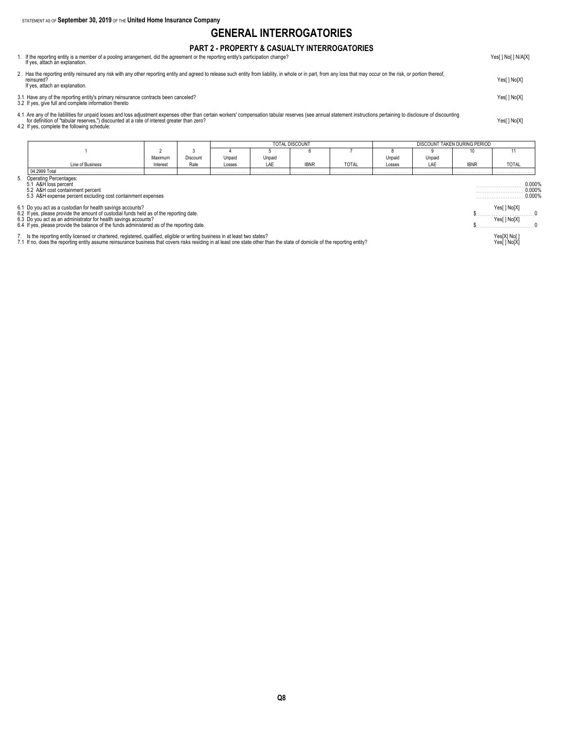### **GENERAL INTERROGATORIES**

#### **PART 2 - PROPERTY & CASUALTY INTERROGATORIES** 1. If the reporting entity is a member of a pooling arrangement, did the agreement or the reporting entity's participation change?

| If yes, attach an explanation.                                                                                                                                                                                                                                      |             |
|---------------------------------------------------------------------------------------------------------------------------------------------------------------------------------------------------------------------------------------------------------------------|-------------|
| 2. Has the reporting entity reinsured any risk with any other reporting entity and agreed to release such entity from liability, in whole or in part, from any loss that may occur on the risk, or portion thereof,<br>reinsured?<br>If yes, attach an explanation. | Yes[] No[X] |
| 3.1 Have any of the reporting entity's primary reinsurance contracts been canceled?<br>3.2 If yes, give full and complete information thereto                                                                                                                       | Yes[] No[X] |
|                                                                                                                                                                                                                                                                     |             |

4.1 Are any of the liabilities for unpaid losses and loss adjustment expenses other than certain workers' compensation tabular reserves (see annual statement instructions pertaining to disclosure of discounting to disclos

|                                                                                                                                                                                                                                   |                                                                                                                                                                                                                                                                                                                        |          |          |        | <b>TOTAL DISCOUNT</b> |             |              |        | DISCOUNT TAKEN DURING PERIOD |                              |                             |
|-----------------------------------------------------------------------------------------------------------------------------------------------------------------------------------------------------------------------------------|------------------------------------------------------------------------------------------------------------------------------------------------------------------------------------------------------------------------------------------------------------------------------------------------------------------------|----------|----------|--------|-----------------------|-------------|--------------|--------|------------------------------|------------------------------|-----------------------------|
|                                                                                                                                                                                                                                   |                                                                                                                                                                                                                                                                                                                        |          |          |        |                       |             |              |        |                              | 10                           |                             |
|                                                                                                                                                                                                                                   |                                                                                                                                                                                                                                                                                                                        | Maximum  | Discount | Unpaid | Unpaid                |             |              | Unpaid | Unpaid                       |                              |                             |
|                                                                                                                                                                                                                                   | Line of Business                                                                                                                                                                                                                                                                                                       | Interest | Rate     | Losses | LAE                   | <b>IBNR</b> | <b>TOTAL</b> | Losses | LAF                          | <b>IBNR</b>                  | <b>TOTAL</b>                |
|                                                                                                                                                                                                                                   | 04.2999 Total                                                                                                                                                                                                                                                                                                          |          |          |        |                       |             |              |        |                              |                              |                             |
| Operating Percentages:<br>5.1 A&H loss percent<br>5.2 A&H cost containment percent<br>5.3 A&H expense percent excluding cost containment expenses                                                                                 |                                                                                                                                                                                                                                                                                                                        |          |          |        |                       |             |              |        |                              |                              | 0.000%<br>0.000%<br>0.000%  |
|                                                                                                                                                                                                                                   | 6.1 Do you act as a custodian for health savings accounts?<br>6.2 If yes, please provide the amount of custodial funds held as of the reporting date.<br>6.3 Do you act as an administrator for health savings accounts?<br>6.4 If yes, please provide the balance of the funds administered as of the reporting date. |          |          |        |                       |             |              |        |                              |                              | Yes[ ] No[X]<br>Yes[] No[X] |
| 7. Is the reporting entity licensed or chartered, registered, qualified, eligible or writing business in at least two states?<br>7.1 If no, does the reporting entity assume reinsurance business that covers risks residing in a |                                                                                                                                                                                                                                                                                                                        |          |          |        |                       |             |              |        |                              | Yes[X] No[ ]<br>Yes[ ] No[X] |                             |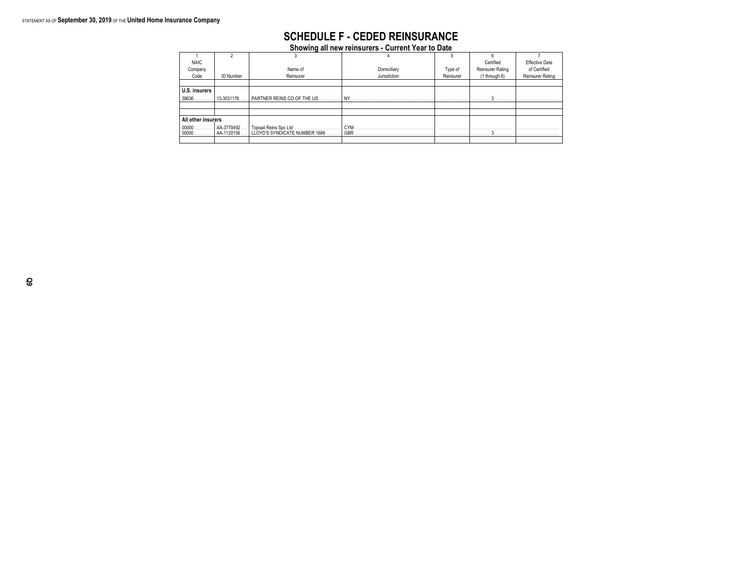### **SCHEDULE F - CEDED REINSURANCE**

**Showing all new reinsurers - Current Year to Date**

| <b>NAIC</b>        |                          |                                                          |              |           | Certified               | <b>Effective Date</b>   |
|--------------------|--------------------------|----------------------------------------------------------|--------------|-----------|-------------------------|-------------------------|
| Company            |                          | Name of                                                  | Domiciliary  | Type of   | <b>Reinsurer Rating</b> | of Certified            |
| Code               | <b>ID Number</b>         | Reinsurer                                                | Jurisdiction | Reinsurer | (1 through 6)           | <b>Reinsurer Rating</b> |
|                    |                          |                                                          |              |           |                         |                         |
| U.S. insurers      |                          |                                                          |              |           |                         |                         |
| 38636              | 13-3031176.              | . I PARTNER REINS CO OF THE US.                          | <b>NY</b>    |           |                         |                         |
|                    |                          |                                                          |              |           |                         |                         |
|                    |                          |                                                          |              |           |                         |                         |
| All other insurers |                          |                                                          |              |           |                         |                         |
| $00000$<br>$00000$ | AA-3770492<br>AA-1120156 | . Topsail Reins Spc Ltd<br>LLOYD'S SYNDICATE NUMBER 1686 | CYM<br>GBR   |           |                         |                         |
|                    |                          |                                                          |              |           |                         |                         |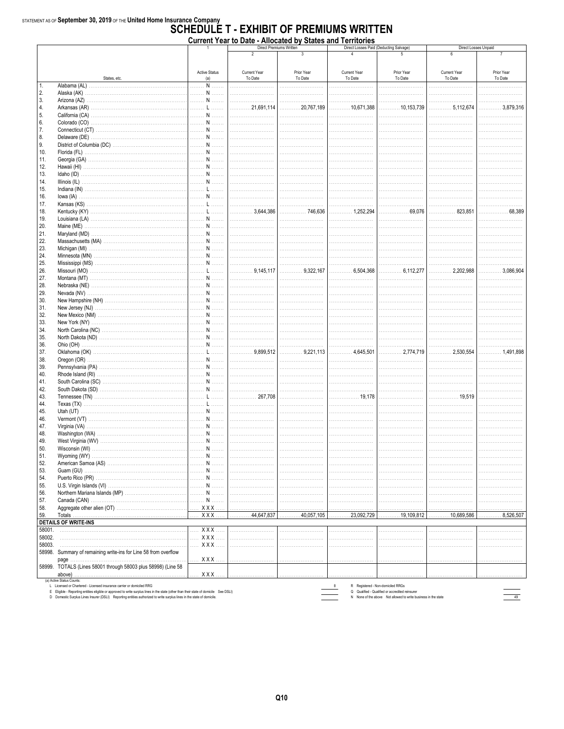### $\frac{1}{\text{STATEMENT AS OF September 30, 2019 OF THE United Home Insurance Company}}$  SCHEDULE T - EXHIBIT OF PREMIUMS WRITTEN  $\overline{\mathbf{v}}$

|        |                                                                 |                                                        | Current Year to Date - Allocated by States and Territories |                         |                                        |                                   | Direct Losses Unpaid |                |  |  |
|--------|-----------------------------------------------------------------|--------------------------------------------------------|------------------------------------------------------------|-------------------------|----------------------------------------|-----------------------------------|----------------------|----------------|--|--|
|        |                                                                 |                                                        | $\overline{\phantom{a}}$                                   | Direct Premiums Written | Direct Losses Paid (Deducting Salvage) |                                   | 6                    |                |  |  |
|        |                                                                 |                                                        |                                                            |                         |                                        |                                   |                      |                |  |  |
|        |                                                                 |                                                        |                                                            |                         |                                        |                                   |                      |                |  |  |
|        |                                                                 | <b>Active Status</b>                                   | <b>Current Year</b>                                        | Prior Year              | <b>Current Year</b>                    | Prior Year                        | Current Year         | Prior Year     |  |  |
|        | States, etc.                                                    | (a)                                                    | To Date                                                    | To Date                 | To Date                                | To Date                           | To Date              | To Date        |  |  |
| 1.     |                                                                 | . N                                                    |                                                            |                         |                                        |                                   | .                    | .              |  |  |
| 2.     |                                                                 | $\ldots \ldots \ldots \mathbf{N} \ldots \ldots \ldots$ |                                                            |                         |                                        |                                   |                      |                |  |  |
| 3.     |                                                                 | N                                                      |                                                            |                         |                                        | $\mathcal{L}$                     | .                    | .              |  |  |
| 4.     |                                                                 | L                                                      | 21.691.114<br>.                                            | 20,767,189<br>.         |                                        | $\dots$ 10,153,739<br>.           | 5,112,674            | 3,879,316<br>. |  |  |
| 5.     |                                                                 | . N                                                    |                                                            |                         |                                        |                                   |                      | .              |  |  |
| 6.     |                                                                 | N                                                      |                                                            | .                       | $\sim$                                 |                                   |                      | .              |  |  |
| 7.     |                                                                 | N                                                      | .                                                          |                         |                                        |                                   |                      |                |  |  |
| 8.     |                                                                 | . N                                                    |                                                            |                         |                                        |                                   |                      |                |  |  |
| 9.     |                                                                 | N                                                      |                                                            |                         | .                                      | .                                 | .                    | .              |  |  |
| 10.    |                                                                 | <b>MARIAN MARINE</b>                                   | .                                                          |                         |                                        |                                   |                      |                |  |  |
|        |                                                                 |                                                        |                                                            |                         |                                        |                                   |                      |                |  |  |
| 11.    |                                                                 | . N                                                    |                                                            |                         |                                        |                                   |                      |                |  |  |
| 12.    |                                                                 | $\ldots \ldots \ldots \mathbf{N} \ldots \ldots \ldots$ |                                                            |                         | .                                      | .                                 | .                    | .              |  |  |
| 13.    |                                                                 | N                                                      |                                                            |                         |                                        |                                   |                      |                |  |  |
| 14.    |                                                                 | .<br>$N$                                               |                                                            |                         |                                        |                                   |                      |                |  |  |
| 15.    |                                                                 | L                                                      |                                                            |                         |                                        |                                   | .<br>.               | .              |  |  |
| 16.    |                                                                 | $N$<br>.                                               | .                                                          |                         |                                        |                                   |                      |                |  |  |
| 17.    |                                                                 | L                                                      |                                                            |                         |                                        |                                   |                      | .              |  |  |
| 18.    |                                                                 | mini Linni                                             | 3,644,386                                                  |                         |                                        | 69,076                            | 823,851<br>.         | 68,389<br>.    |  |  |
| 19.    |                                                                 | N                                                      |                                                            | .                       | .                                      |                                   |                      | .              |  |  |
| 20.    |                                                                 | N                                                      |                                                            |                         |                                        |                                   |                      |                |  |  |
| 21.    |                                                                 | <b>MARITIAN</b>                                        |                                                            |                         |                                        |                                   | .                    | .              |  |  |
| 22.    | Massachusetts (MA)                                              | N                                                      | .                                                          |                         |                                        |                                   |                      |                |  |  |
| 23.    |                                                                 | N                                                      |                                                            |                         |                                        |                                   |                      |                |  |  |
| 24.    |                                                                 |                                                        |                                                            |                         |                                        |                                   |                      |                |  |  |
|        |                                                                 | N                                                      |                                                            |                         |                                        |                                   |                      |                |  |  |
| 25.    |                                                                 | $N$<br>.                                               |                                                            |                         |                                        |                                   |                      |                |  |  |
| 26.    |                                                                 | L'                                                     |                                                            | $\ldots$ 9,322,167      | 6,504,368                              | $\ldots$ 6,112,277                | 2,202,988<br>.       |                |  |  |
| 27.    |                                                                 | <b>MARIAN MARINE</b>                                   |                                                            |                         |                                        |                                   |                      | .              |  |  |
| 28.    |                                                                 | <b>MARIE NATIONAL</b>                                  |                                                            |                         |                                        |                                   |                      | .              |  |  |
| 29.    |                                                                 | $\ldots \ldots \ldots \mathbf{N} \ldots \ldots \ldots$ |                                                            |                         |                                        |                                   |                      |                |  |  |
| 30.    |                                                                 |                                                        |                                                            |                         |                                        |                                   |                      | .              |  |  |
| 31.    |                                                                 | <b>MARIAN MARINE</b>                                   |                                                            |                         |                                        |                                   |                      | .              |  |  |
| 32.    |                                                                 | N                                                      | .                                                          |                         |                                        |                                   |                      |                |  |  |
| 33.    |                                                                 | <b>MARIAN MARINE</b>                                   |                                                            |                         |                                        |                                   |                      | .              |  |  |
| 34.    |                                                                 | <b>MARITIAN</b>                                        |                                                            |                         | $\cdots$                               |                                   | .                    | .              |  |  |
| 35.    |                                                                 | N                                                      |                                                            |                         |                                        |                                   |                      |                |  |  |
| 36.    |                                                                 | <b>MANUEL NUMBER</b>                                   |                                                            | .                       | $\cdots$                               | .                                 |                      | .              |  |  |
|        |                                                                 |                                                        | 9.899.512                                                  | 9.221.113               | 4.645.501                              |                                   | 2.530.554            | 1,491,898      |  |  |
| 37.    |                                                                 | L                                                      | .                                                          | .                       | .                                      |                                   | .                    |                |  |  |
| 38.    |                                                                 | N                                                      |                                                            | .                       |                                        |                                   | .                    | .              |  |  |
| 39.    |                                                                 |                                                        |                                                            |                         |                                        |                                   |                      | .              |  |  |
| 40.    |                                                                 | $\ldots \ldots$ N $\ldots \ldots$                      |                                                            |                         |                                        |                                   |                      | .              |  |  |
| 41.    |                                                                 | N                                                      |                                                            |                         |                                        |                                   | .                    | .              |  |  |
| 42.    |                                                                 | N                                                      |                                                            |                         |                                        |                                   |                      |                |  |  |
| 43.    |                                                                 | L'                                                     | 267.708<br>.                                               |                         | . 19.178                               |                                   | . 19,519             |                |  |  |
| 44.    |                                                                 | $L$<br>.                                               | .<br>.                                                     | .<br>.                  | .                                      |                                   |                      | .              |  |  |
| 45.    |                                                                 | N                                                      |                                                            |                         |                                        |                                   |                      |                |  |  |
| 46.    |                                                                 | . N                                                    |                                                            |                         |                                        |                                   |                      |                |  |  |
| 47.    |                                                                 | N                                                      | .<br>.                                                     | .<br>.                  | $\sim$                                 |                                   | .                    | .              |  |  |
| 48.    |                                                                 |                                                        |                                                            |                         | .                                      |                                   |                      |                |  |  |
| 49.    |                                                                 | <b>MARIAN MARINE</b>                                   |                                                            |                         |                                        |                                   |                      |                |  |  |
| 50.    |                                                                 |                                                        |                                                            |                         |                                        |                                   |                      | .              |  |  |
|        |                                                                 |                                                        |                                                            |                         |                                        |                                   |                      |                |  |  |
| 51.    |                                                                 | N                                                      |                                                            |                         |                                        |                                   |                      |                |  |  |
| 52.    |                                                                 | N<br>.                                                 |                                                            |                         |                                        |                                   |                      |                |  |  |
| 53.    |                                                                 | . N                                                    | 1.1.1.                                                     |                         |                                        |                                   |                      |                |  |  |
| 54.    |                                                                 | . N                                                    |                                                            |                         |                                        |                                   |                      |                |  |  |
| 55.    |                                                                 | N                                                      |                                                            |                         |                                        |                                   |                      |                |  |  |
| 56.    |                                                                 | N                                                      |                                                            |                         |                                        |                                   |                      |                |  |  |
| 57.    |                                                                 | $N$<br>.                                               |                                                            |                         |                                        |                                   |                      |                |  |  |
| 58.    |                                                                 | $XXX$                                                  |                                                            |                         |                                        |                                   |                      |                |  |  |
| 59.    | Totals                                                          | XXX.                                                   | 44,647,837                                                 | 40,057,105<br>.         | .23,092,729<br>.                       | $\ldots \ldots \ldots 19,109,812$ | $\ldots$ 10,689,586  | 8,526,507<br>. |  |  |
|        | <b>DETAILS OF WRITE-INS</b>                                     |                                                        |                                                            |                         |                                        |                                   |                      |                |  |  |
| 58001. |                                                                 | $XXX$                                                  | .                                                          |                         |                                        |                                   |                      |                |  |  |
| 58002. |                                                                 | <b>XXX</b><br>.                                        | .<br>.                                                     | .<br>.                  | .                                      | 1.1.1.                            |                      | .              |  |  |
| 58003. |                                                                 | $XXX$<br>$\mathcal{L}$                                 |                                                            |                         |                                        |                                   |                      |                |  |  |
|        |                                                                 |                                                        |                                                            |                         |                                        |                                   |                      |                |  |  |
|        | 58998. Summary of remaining write-ins for Line 58 from overflow |                                                        |                                                            |                         |                                        |                                   |                      |                |  |  |
|        |                                                                 | <b>XXX</b>                                             | .                                                          | .                       |                                        | .                                 |                      |                |  |  |
|        | 58999. TOTALS (Lines 58001 through 58003 plus 58998) (Line 58   |                                                        |                                                            |                         |                                        |                                   |                      |                |  |  |
|        |                                                                 | XXX.                                                   |                                                            |                         |                                        |                                   |                      |                |  |  |

(a) Active Status Counts:<br>L. Licensed or Chartered - Licensed insurance carrier or domiciled RRG<br>E Eligible - Reporting entities eligible or approved to write surplus lines in the state (other than their state of domicile

R Registered - Non-domiciled RRGs<br>
Q Qualified - Qualified or accredited reinsurer<br>
N None of the above Not allowed to write business in the state

 $\begin{array}{|c|c|}\hline \quad & 49 \\ \hline \hline \end{array}$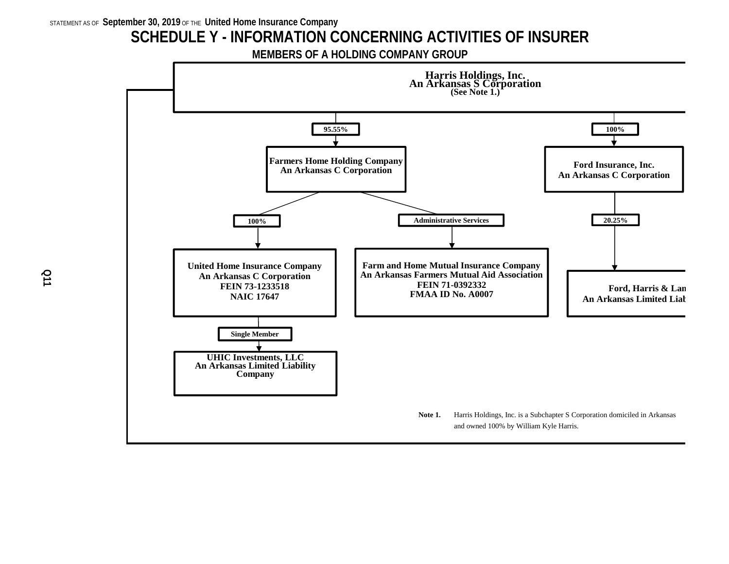## **SCHEDULE Y - INFORMATION CONCERNING ACTIVITIES OF INSURER**

**MEMBERS OF A HOLDING COMPANY GROUP**

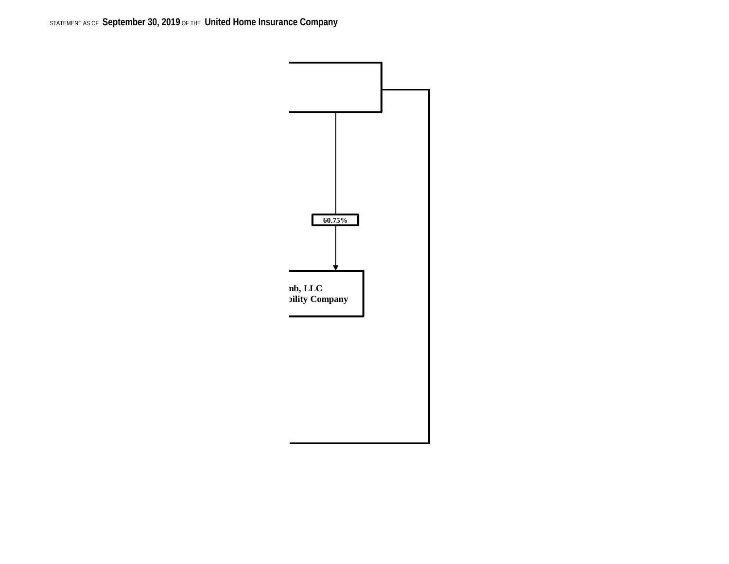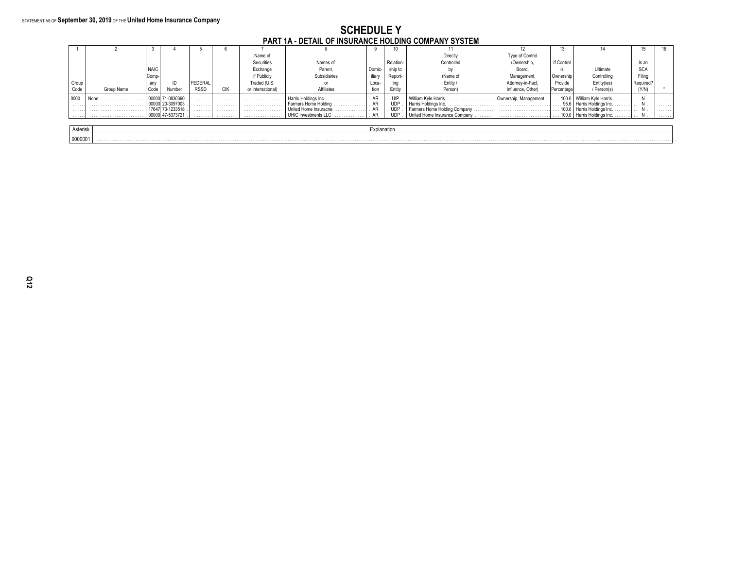#### **SCHEDULE Y** PART 1A - DETAIL OF INSURANCE HOLDING COMPANY SYSTEM

|          |            |                   |            |             |     | .                |                            |             |                  |                                   |                       |                         |                              |                       |    |
|----------|------------|-------------------|------------|-------------|-----|------------------|----------------------------|-------------|------------------|-----------------------------------|-----------------------|-------------------------|------------------------------|-----------------------|----|
|          |            |                   |            |             |     |                  |                            |             |                  |                                   |                       |                         |                              |                       | 16 |
|          |            |                   |            |             |     | Name of          |                            |             |                  | Directly                          | Type of Control       |                         |                              |                       |    |
|          |            |                   |            |             |     | Securities       | Names of                   |             | <b>Relation-</b> | Controlled                        | (Ownership,           | If Control              |                              | ls an                 |    |
|          |            | <b>NAIC</b>       |            |             |     | Exchange         | Parent,                    | Domic-      | ship to          |                                   | Board                 |                         | Ultimate                     | <b>SCA</b>            |    |
|          |            | <sub>I</sub> Comp |            |             |     | if Publicly      | Subsidiaries               | iliarv      | Report-          | (Name of                          | Management            | Ownership               | Controlling                  | Filina                |    |
| Group    |            | any               |            | FEDERAL     |     | Traded (U.S.     |                            | Loca-       | ina              | Entity                            | Attornev-in-Fact      | Provide                 | Entity(ies)                  | Required <sup>®</sup> |    |
| Code     | Group Name | Code              | Number     | <b>RSSD</b> | CIK | or International | <b>Affiliates</b>          | tion        | Entity           | Person)                           | Influence, Other)     | Percentage              | / Person(s)                  | (Y/N)                 |    |
| 0000     |            |                   |            | .           | .   | .                | Harris Holdings Inc        | AR          | $\therefore$ UIP | William Kyle Harris               | Ownership, Management | $\ldots$ 100.0 $\cdots$ | l William Kyle Harris        | IN                    | .  |
| .        |            |                   | 20-309700  | .           | .   |                  | Farmers Home Holding<br>.  | AR          | UDF              | Harris Holdings Inc.              |                       | 95.6                    | Harris Holdings Inc.<br>.    | IN                    | .  |
| .        |            |                   | 73-123351  | .           | .   | .                | United Home Insuracne<br>. |             | <b>UDF</b>       | Farmers Home Holding Company<br>. |                       | $\ldots$ 100.0 $\cdots$ | I Harris Holdings Inc.<br>.  | IN                    | .  |
| .        |            | 0000              | 47-5373721 | .           | .   |                  | UHIC Investments LLC       |             | <b>UDP</b>       | United Home Insurance Company     |                       |                         | 100.0   Harris Holdings Inc. | IN                    | .  |
|          |            |                   |            |             |     |                  |                            |             |                  |                                   |                       |                         |                              |                       |    |
| Asterisk |            |                   |            |             |     |                  |                            | Explanation |                  |                                   |                       |                         |                              |                       |    |
| 0000001  |            |                   |            |             |     |                  |                            |             |                  |                                   |                       |                         |                              |                       |    |
|          |            |                   |            |             |     |                  |                            |             |                  |                                   |                       |                         |                              |                       |    |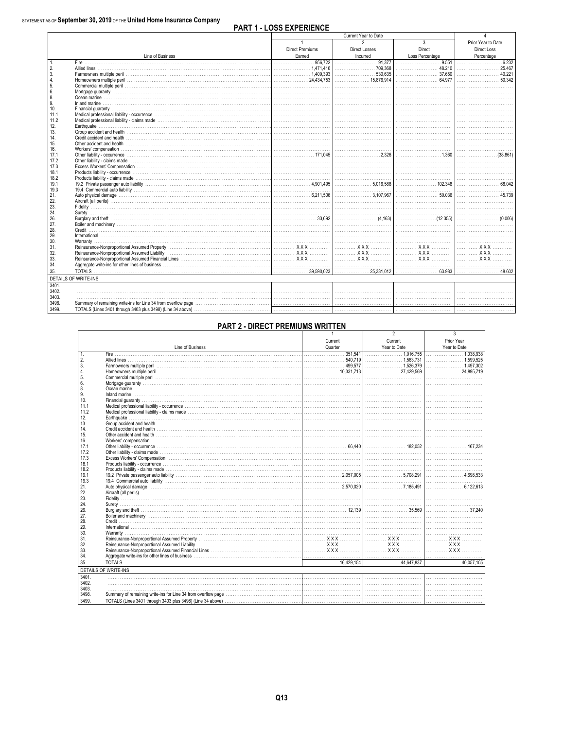|                  |                                                                                                                                                                                                                                      |                                                              | Current Year to Date                                |                                                      |                    |
|------------------|--------------------------------------------------------------------------------------------------------------------------------------------------------------------------------------------------------------------------------------|--------------------------------------------------------------|-----------------------------------------------------|------------------------------------------------------|--------------------|
|                  |                                                                                                                                                                                                                                      | $\mathbf{1}$                                                 | $\overline{2}$                                      | 3                                                    | Prior Year to Date |
|                  |                                                                                                                                                                                                                                      | <b>Direct Premiums</b>                                       | Direct Losses                                       | <b>Direct</b>                                        | Direct Loss        |
|                  | Line of Business                                                                                                                                                                                                                     | Earned                                                       | Incurred                                            | Loss Percentage                                      | Percentage         |
| 1.               | Fire entry and the second contract of the second contract of the second contract of the second contract of the                                                                                                                       |                                                              |                                                     | $\overline{0.551}$                                   |                    |
| 2.               |                                                                                                                                                                                                                                      | $\ldots \ldots \ldots \ldots \ldots \ldots 1.471.416$        |                                                     | 48.210                                               |                    |
| 3.               |                                                                                                                                                                                                                                      | $\ldots \ldots \ldots \ldots \ldots \ldots \ldots 1.409.393$ | 530.635                                             | 37.650                                               | 40.221             |
| $\overline{4}$ . |                                                                                                                                                                                                                                      |                                                              |                                                     |                                                      | 50.342             |
| 5.               |                                                                                                                                                                                                                                      |                                                              |                                                     |                                                      |                    |
| 6.               |                                                                                                                                                                                                                                      |                                                              |                                                     |                                                      |                    |
| 8.               |                                                                                                                                                                                                                                      |                                                              |                                                     |                                                      |                    |
| 9.               | <b>Inland marine</b>                                                                                                                                                                                                                 |                                                              |                                                     |                                                      |                    |
| 10.              |                                                                                                                                                                                                                                      |                                                              |                                                     |                                                      |                    |
| 11.1             |                                                                                                                                                                                                                                      |                                                              |                                                     |                                                      |                    |
| 11.2             |                                                                                                                                                                                                                                      |                                                              |                                                     |                                                      |                    |
| 12.              |                                                                                                                                                                                                                                      |                                                              |                                                     |                                                      |                    |
| 13.              |                                                                                                                                                                                                                                      |                                                              |                                                     |                                                      |                    |
| 14.              |                                                                                                                                                                                                                                      |                                                              |                                                     |                                                      |                    |
| 15.              |                                                                                                                                                                                                                                      |                                                              |                                                     |                                                      |                    |
| 16.              |                                                                                                                                                                                                                                      |                                                              |                                                     |                                                      |                    |
| 17.1             |                                                                                                                                                                                                                                      |                                                              |                                                     | 1.360                                                | (38.861)           |
| 17.2             |                                                                                                                                                                                                                                      |                                                              |                                                     |                                                      |                    |
| 17.3             |                                                                                                                                                                                                                                      |                                                              |                                                     |                                                      |                    |
| 18.1             |                                                                                                                                                                                                                                      |                                                              |                                                     |                                                      |                    |
| 18.2             |                                                                                                                                                                                                                                      |                                                              |                                                     |                                                      |                    |
| 19.1             |                                                                                                                                                                                                                                      |                                                              |                                                     |                                                      |                    |
| 19.3             |                                                                                                                                                                                                                                      |                                                              |                                                     |                                                      |                    |
| 21.              |                                                                                                                                                                                                                                      |                                                              |                                                     | 50.036                                               |                    |
| 22.              |                                                                                                                                                                                                                                      |                                                              |                                                     |                                                      |                    |
| 23.              |                                                                                                                                                                                                                                      |                                                              |                                                     |                                                      |                    |
| 24.              |                                                                                                                                                                                                                                      |                                                              |                                                     |                                                      |                    |
| 26.              |                                                                                                                                                                                                                                      |                                                              | $\ldots \ldots \ldots \ldots \ldots \ldots (4.163)$ | $\ldots \ldots \ldots \ldots \ldots \ldots (12.355)$ |                    |
| 27.              |                                                                                                                                                                                                                                      |                                                              |                                                     |                                                      |                    |
| 28.              |                                                                                                                                                                                                                                      |                                                              |                                                     |                                                      |                    |
| 29.              | International <b>Executive Contract Contract Contract Contract Contract Contract Contract Contract Contract Contract Contract Contract Contract Contract Contract Contract Contract Contract Contract Contract Contract Contract</b> |                                                              |                                                     |                                                      |                    |
| 30.              |                                                                                                                                                                                                                                      |                                                              |                                                     |                                                      |                    |
| 31.              |                                                                                                                                                                                                                                      |                                                              |                                                     |                                                      | <b>XXX</b><br>.    |
| 32.              |                                                                                                                                                                                                                                      |                                                              |                                                     |                                                      | <b>XXX</b>         |
| 33.              |                                                                                                                                                                                                                                      |                                                              |                                                     |                                                      | XXX                |
| 34.              |                                                                                                                                                                                                                                      |                                                              |                                                     |                                                      |                    |
| 35.              |                                                                                                                                                                                                                                      |                                                              |                                                     |                                                      |                    |
|                  | <b>DETAILS OF WRITE-INS</b>                                                                                                                                                                                                          |                                                              |                                                     |                                                      |                    |
| 3401.            |                                                                                                                                                                                                                                      |                                                              |                                                     |                                                      |                    |
| 3402.            |                                                                                                                                                                                                                                      |                                                              |                                                     |                                                      |                    |
| 3403.            |                                                                                                                                                                                                                                      |                                                              |                                                     |                                                      |                    |
| 3498.            |                                                                                                                                                                                                                                      |                                                              |                                                     |                                                      |                    |
| 3499             | TOTALS (Lines 3401 through 3403 plus 3498) (Line 34 above) with a series and contact the content of the content of the content of the content of the content of the content of the content of the content of the content of th       |                                                              |                                                     |                                                      |                    |
|                  |                                                                                                                                                                                                                                      |                                                              |                                                     |                                                      |                    |

#### **PART 2 - DIRECT PREMIUMS WRITTEN**

|       |                                                                                                                                                                                                                                | $\mathbf{1}$ | $\overline{2}$ | $\overline{3}$ |
|-------|--------------------------------------------------------------------------------------------------------------------------------------------------------------------------------------------------------------------------------|--------------|----------------|----------------|
|       |                                                                                                                                                                                                                                | Current      | Current        | Prior Year     |
|       | Line of Business                                                                                                                                                                                                               | Quarter      | Year to Date   | Year to Date   |
| 1.    |                                                                                                                                                                                                                                |              |                |                |
| 2.    |                                                                                                                                                                                                                                |              |                |                |
| 3.    |                                                                                                                                                                                                                                |              |                |                |
| 4.    |                                                                                                                                                                                                                                |              |                |                |
| 5.    |                                                                                                                                                                                                                                |              |                |                |
| 6.    |                                                                                                                                                                                                                                |              |                |                |
| 8.    |                                                                                                                                                                                                                                |              |                |                |
| 9.    |                                                                                                                                                                                                                                |              |                |                |
| 10.   |                                                                                                                                                                                                                                |              |                |                |
| 11.1  | Medical professional liability - occurrence www.communically.com/www.communically.com/www.communically.com/www.communically.com/www.communically.com/www.communically.com/www.communically.com/www.communically.com/www.commun |              |                |                |
| 11.2  |                                                                                                                                                                                                                                |              |                |                |
| 12.   |                                                                                                                                                                                                                                |              |                |                |
| 13.   |                                                                                                                                                                                                                                |              |                |                |
| 14.   |                                                                                                                                                                                                                                |              |                |                |
| 15.   |                                                                                                                                                                                                                                |              |                |                |
| 16.   |                                                                                                                                                                                                                                |              |                |                |
| 17.1  |                                                                                                                                                                                                                                |              |                |                |
| 17.2  |                                                                                                                                                                                                                                |              |                |                |
| 17.3  |                                                                                                                                                                                                                                |              |                |                |
| 18.1  |                                                                                                                                                                                                                                |              |                |                |
| 18.2  |                                                                                                                                                                                                                                |              |                |                |
| 19.1  |                                                                                                                                                                                                                                |              |                |                |
| 19.3  |                                                                                                                                                                                                                                |              |                |                |
| 21.   |                                                                                                                                                                                                                                |              |                |                |
| 22.   |                                                                                                                                                                                                                                |              |                |                |
| 23.   |                                                                                                                                                                                                                                |              |                |                |
| 24.   |                                                                                                                                                                                                                                |              |                |                |
| 26.   |                                                                                                                                                                                                                                |              |                |                |
| 27.   |                                                                                                                                                                                                                                |              |                |                |
| 28.   |                                                                                                                                                                                                                                |              |                |                |
| 29.   |                                                                                                                                                                                                                                |              |                |                |
| 30.   |                                                                                                                                                                                                                                |              |                |                |
| 31.   |                                                                                                                                                                                                                                |              |                | $\mathbf{XXX}$ |
| 32.   |                                                                                                                                                                                                                                |              |                |                |
| 33.   |                                                                                                                                                                                                                                |              |                | $\mathbf{XXX}$ |
| 34.   | Aggregate write-ins for other lines of business with the content of the content of the content of the content of the content of the content of the content of the content of the content of the content of the content of the  |              |                |                |
| 35.   |                                                                                                                                                                                                                                |              |                |                |
|       | <b>DETAILS OF WRITE-INS</b>                                                                                                                                                                                                    |              |                |                |
| 3401. |                                                                                                                                                                                                                                |              |                |                |
| 3402. | <u> 1999 - Johann Stein, fransk politik (f. 1989)</u>                                                                                                                                                                          |              |                |                |
| 3403. |                                                                                                                                                                                                                                |              |                |                |
| 3498. |                                                                                                                                                                                                                                |              |                |                |
| 3499. |                                                                                                                                                                                                                                |              |                |                |
|       |                                                                                                                                                                                                                                |              |                |                |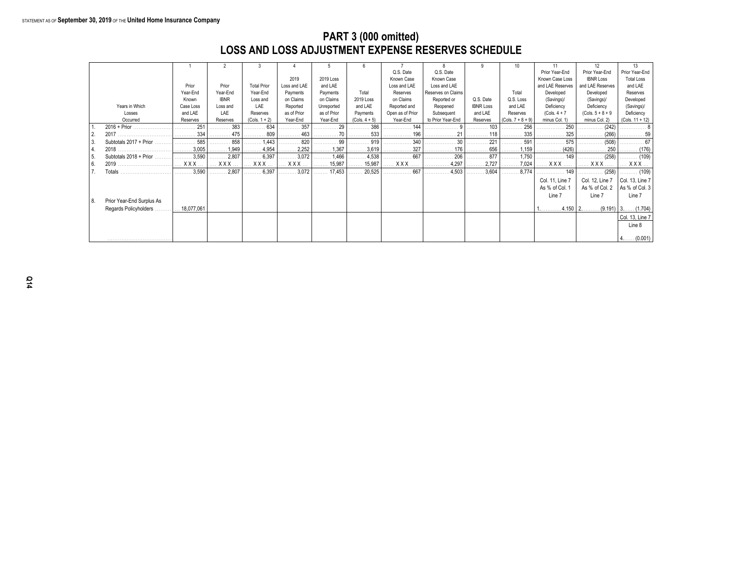### **PART 3 (000 omitted) LOSS AND LOSS ADJUSTMENT EXPENSE RESERVES SCHEDULE**

|     |                              |                       |             |                    |              |             |                       |                  |                              |                  | 10                           | 11               | 12                       | 13                |
|-----|------------------------------|-----------------------|-------------|--------------------|--------------|-------------|-----------------------|------------------|------------------------------|------------------|------------------------------|------------------|--------------------------|-------------------|
|     |                              |                       |             |                    |              |             |                       | Q.S. Date        | Q.S. Date                    |                  |                              | Prior Year-End   | Prior Year-End           | Prior Year-End    |
|     |                              |                       |             |                    | 2019         | 2019 Loss   |                       | Known Case       | Known Case                   |                  |                              | Known Case Loss  | <b>IBNR Loss</b>         | <b>Total Loss</b> |
|     |                              | Prior                 | Prior       | <b>Total Prior</b> | Loss and LAE | and LAE     |                       | Loss and LAE     | Loss and LAE                 |                  |                              | and LAE Reserves | and LAE Reserves         | and LAE           |
|     |                              | Year-End              | Year-End    | Year-End           | Payments     | Payments    | Total                 | Reserves         | Reserves on Claims           |                  | Total                        | Developed        | Developed                | Reserves          |
|     |                              | Known                 | <b>IBNR</b> | Loss and           | on Claims    | on Claims   | 2019 Loss             | on Claims        | Reported or                  | Q.S. Date        | Q.S. Loss                    | (Savings)/       | (Savings)/               | Developed         |
|     | Years in Which               | Case Loss             | Loss and    | LAE                | Reported     | Unreported  | and LAE               | Reported and     | Reopened                     | <b>IBNR Loss</b> | and LAE                      | Deficiency       | Deficiency               | (Savings)/        |
|     | Losses                       | and LAE               | LAE         | Reserves           | as of Prior  | as of Prior | Payments              | Open as of Prior | Subsequent                   | and LAE          | Reserves                     | (Cols. $4 + 7$   | $(Cols. 5 + 8 + 9)$      | Deficiency        |
|     | Occurred                     | Reserves              | Reserves    | $(Cols. 1 + 2)$    | Year-End     | Year-End    | $(Cols. 4 + 5)$       | Year-End         | to Prior Year-End            | Reserves         | $(Cols. 7 + 8 + 9)$          | minus Col. 1)    | minus Col. 2)            | (Cols. 11 + 12)   |
|     | $2016 + Prior$               | 251                   | 383         | 634                | .357         | 29          | 386                   | . 144            |                              | 103              | 256                          | 250              | (242)                    |                   |
| 2.  | 2017                         | 334                   | . 475       | 809                | 463          | . 70        | 533                   | . 196            |                              | . 118            | 335                          | 325              | (266)                    |                   |
| 3.  | Subtotals 2017 + Prior       | 585                   | 858         | $\ldots$ 1,443     | . 820        | . 99        | 919                   | 340<br>.         | .                            | 221              | 591                          | 575<br>.         | (508)<br>.               | 67                |
| 4.  | 2018                         | 3,005                 | 1,949       | . 4,954            | 2,252        | 1,367       | $\ldots \ldots 3,619$ | 327<br>.         | 176<br>.                     | . 656            | 1,159                        | (426)<br>.       | 250                      | . (176)           |
| 5.  | Subtotals 2018 + Prior       | 3,590                 | .2,807      | 6,397              | .3,072<br>.  | 1,466       | 4,538                 | .667             | 206<br>.                     | .877             | 1,750                        | . 149            |                          | . (109)           |
| 6.  | 2019                         | XXX                   | $XXX$       | XXX                | XXX          | 15,987<br>. | 15,987<br>.           | <b>XXX</b>       | $\ldots \ldots \ldots 4,297$ | 2,727<br>.       | $\ldots \ldots \ldots 7,024$ | XXX              | XXX                      | $XXX$             |
|     | Totals                       | $\ldots \ldots 3.590$ | .2,807<br>. | . 6,397            | 3,072        | 17,453      | 20,525                | . 667            | .4,503<br>.                  | 3,604            | $\ldots \ldots 8,774$        | . 149            |                          | $\ldots$ (109)    |
|     |                              |                       |             |                    |              |             |                       |                  |                              |                  |                              | Col. 11, Line 7  | Col. 12, Line 7          | Col. 13, Line 7   |
|     |                              |                       |             |                    |              |             |                       |                  |                              |                  |                              | As % of Col. 1   | As % of Col. 2           | As % of Col. 3    |
|     |                              |                       |             |                    |              |             |                       |                  |                              |                  |                              | Line 7           | Line 7                   | Line 7            |
| 18. | Prior Year-End Surplus As    |                       |             |                    |              |             |                       |                  |                              |                  |                              |                  |                          |                   |
|     | <b>Regards Policyholders</b> | 18,077,061            |             |                    |              |             |                       |                  |                              |                  |                              |                  | $.4.150$   2.<br>(9.191) | $3$ . (1.704)     |
|     |                              |                       |             |                    |              |             |                       |                  |                              |                  |                              |                  |                          | Col. 13, Line 7   |
|     |                              |                       |             |                    |              |             |                       |                  |                              |                  |                              |                  |                          | Line 8            |
|     |                              |                       |             |                    |              |             |                       |                  |                              |                  |                              |                  |                          |                   |
|     |                              |                       |             |                    |              |             |                       |                  |                              |                  |                              |                  |                          | $4$ (0.001)       |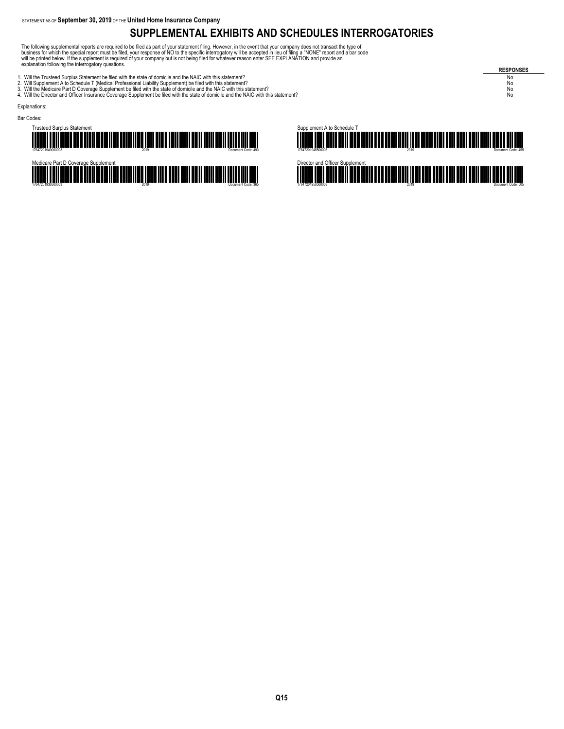### **SUPPLEMENTAL EXHIBITS AND SCHEDULES INTERROGATORIES**

The following supplemental reports are required to be filed as part of your statement filing. However, in the event that your company does not transact the type of<br>business for which the special report must be filed, your

- 
- 
- 1. Will the Trusteed Surplus Statement be filed with the state of domicile and the NAIC with this statement?<br>2. Will Supplement A to Schedule T (Medical Professional Liability Supplement) be filed with this statement?<br>3. W

**RESPONSES**

Explanations:



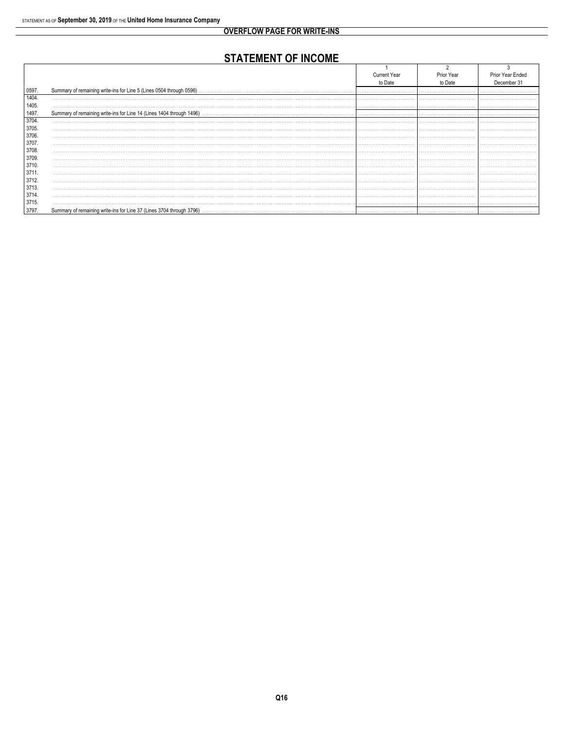### **STATEMENT OF INCOME**

|       |         | Year    | Prior Year Ended |
|-------|---------|---------|------------------|
|       | to Date | to Date | December 31      |
| 0597. |         |         |                  |
| 1404. |         |         |                  |
| 1405. | .       |         |                  |
| 1497. |         |         |                  |
| 3704. |         |         |                  |
| 3705. | .       |         |                  |
| 3706. |         |         |                  |
| 3707  | .       |         |                  |
| 3708. |         |         |                  |
| 3709. |         |         |                  |
| 3710. |         |         |                  |
| 3711. |         |         |                  |
| 3712. |         |         |                  |
| 3713. |         |         |                  |
| 3714. |         |         |                  |
| 3715. |         |         |                  |
| 3797. |         |         |                  |
|       |         |         |                  |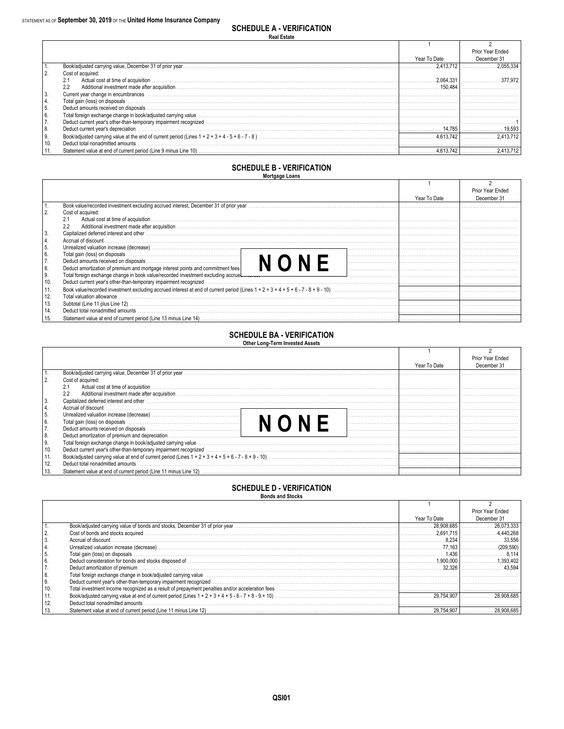|           |                                                                                                                                                                                                                                |              | Prior Year Ended |
|-----------|--------------------------------------------------------------------------------------------------------------------------------------------------------------------------------------------------------------------------------|--------------|------------------|
|           |                                                                                                                                                                                                                                | Year To Date | December 31      |
|           |                                                                                                                                                                                                                                | 2.413.712    |                  |
| 2.        | Cost of acquired:                                                                                                                                                                                                              |              |                  |
|           | Actual cost at time of acquisition with the contract of actual cost at time of acquisition with the cost at time of acquisition with the contract of the cost at time of acquisition with the cost of the cost of the cost of  | 2.064.331    | 377 972          |
|           | Additional investment made after acquisition with the content of the content of the content of the content of the content of the content of the content of the content of the content of the content of the content of the con | 150.484      |                  |
| 3.        | Current year change in encumbrances                                                                                                                                                                                            |              |                  |
| 4.        | Total gain (loss) on disposals                                                                                                                                                                                                 |              |                  |
| 5.        | Deduct amounts received on disposals                                                                                                                                                                                           |              |                  |
| 6.        | Total foreign exchange change in book/adjusted carrying value with material content to construct the content material content and the construction of the construction of the construction of the construction of the construc |              |                  |
| 7.        |                                                                                                                                                                                                                                |              |                  |
| 8.        | Deduct current year's depreciation                                                                                                                                                                                             |              |                  |
| <b>9.</b> |                                                                                                                                                                                                                                | 4.613.742    | 2.413.712        |
| 10.       | Deduct total nonadmitted amounts                                                                                                                                                                                               |              |                  |
|           |                                                                                                                                                                                                                                |              | $.4.613.742$ $.$ |

### **SCHEDULE B - VERIFICATION**

|                | --------- |  |  |  |  |  |  |  |  |  |
|----------------|-----------|--|--|--|--|--|--|--|--|--|
| Mortgage Loans |           |  |  |  |  |  |  |  |  |  |
|                |           |  |  |  |  |  |  |  |  |  |

|     |                                                                                                                                                                                                                                |              | Prior Year Ended |
|-----|--------------------------------------------------------------------------------------------------------------------------------------------------------------------------------------------------------------------------------|--------------|------------------|
|     |                                                                                                                                                                                                                                | Year To Date | December 31      |
|     | Book value/recorded investment excluding accrued interest, December 31 of prior year manufactured content to the content of the content of the content of the content of the content of the content of the content of the cont |              |                  |
|     | Cost of acquired:                                                                                                                                                                                                              |              |                  |
|     | 2.1                                                                                                                                                                                                                            |              |                  |
|     | 2.2                                                                                                                                                                                                                            |              |                  |
|     | Capitalized deferred interest and other www.communicalizations are constructed in the content of the content of the content of the content of the content of the content of the content of the content of the content of the c |              |                  |
|     | Accrual of discount                                                                                                                                                                                                            |              |                  |
| 5.  |                                                                                                                                                                                                                                |              |                  |
| 6.  |                                                                                                                                                                                                                                |              |                  |
|     |                                                                                                                                                                                                                                |              |                  |
| 8.  | Deduct amortization of premium and mortgage interest points and commitment fees                                                                                                                                                |              |                  |
| 9.  |                                                                                                                                                                                                                                |              |                  |
| 10. | Deduct current year's other-than-temporary impairment recognized manufactured contains and the contained contains and the contained contained and the contact of the contact of the contact of the contact of the contact of t |              |                  |
| 11. |                                                                                                                                                                                                                                |              |                  |
| 12. | Total valuation allowance                                                                                                                                                                                                      |              |                  |
| 13. |                                                                                                                                                                                                                                |              |                  |
| 14. | Deduct total nonadmitted amounts                                                                                                                                                                                               |              |                  |
|     |                                                                                                                                                                                                                                |              |                  |

### SCHEDULE BA VEDICICATION

| <b>SCHEDULE BA - VERIFICATION</b> |  |  |
|-----------------------------------|--|--|
| Other Long-Term Invested Assets   |  |  |

|     |                                                                                                                                                                                                                                |              | Prior Year Ended |
|-----|--------------------------------------------------------------------------------------------------------------------------------------------------------------------------------------------------------------------------------|--------------|------------------|
|     |                                                                                                                                                                                                                                | Year To Date | December 31      |
|     | Book/adjusted carrying value, December 31 of prior year                                                                                                                                                                        |              |                  |
|     | Cost of acquired:                                                                                                                                                                                                              |              |                  |
|     | Actual cost at time of acquisition<br>2.1                                                                                                                                                                                      |              |                  |
|     | Additional investment made after acquisition with the content of the content of the content of the content of the content of the content of the content of the content of the content of the content of the content of the con |              |                  |
|     | Capitalized deferred interest and other                                                                                                                                                                                        |              |                  |
|     | Accrual of discount                                                                                                                                                                                                            |              |                  |
| -5. |                                                                                                                                                                                                                                |              |                  |
|     |                                                                                                                                                                                                                                |              |                  |
|     |                                                                                                                                                                                                                                |              |                  |
| 8.  | Deduct amortization of premium and depreciation measurements are according to the contract of premium and depreciation measurements.                                                                                           |              |                  |
| 9.  | Total foreign exchange change in book/adjusted carrying value www.communities.com/www.communities.com/www.communities.com/www.communities.com/www.communities.com/www.communities.com/www.communities.com/www.communities.com/ |              |                  |
| 10. |                                                                                                                                                                                                                                |              |                  |
| 11. |                                                                                                                                                                                                                                |              |                  |
| 12. | Deduct total nonadmitted amounts                                                                                                                                                                                               |              |                  |
|     |                                                                                                                                                                                                                                |              |                  |

# **SCHEDULE D - VERIFICATION**<br>Bonds and Stocks

|     |                                                                                                                                                                                                                                |              | Prior Year Ended |
|-----|--------------------------------------------------------------------------------------------------------------------------------------------------------------------------------------------------------------------------------|--------------|------------------|
|     |                                                                                                                                                                                                                                | Year To Date | December 31      |
|     | Book/adjusted carrying value of bonds and stocks, December 31 of prior year manufactured contains and contained and stocks with the state of prior year manufactured carrying value of bonds and stocks. December 31 of prior  | 28.908.685   | 26.073.333       |
|     | Cost of bonds and stocks acquired                                                                                                                                                                                              |              |                  |
|     | Accrual of discount                                                                                                                                                                                                            |              | 33.556           |
|     | Unrealized valuation increase (decrease)                                                                                                                                                                                       | 77.163       | 209.590)         |
|     | Total gain (loss) on disposals                                                                                                                                                                                                 | .436         |                  |
|     |                                                                                                                                                                                                                                | .900.000     | 393.402          |
|     | Deduct amortization of premium with the content of the content of the content of the content of the content of the content of the content of the content of the content of the content of the content of the content of the co | 32.326       |                  |
| 8.  | Total foreign exchange change in book/adjusted carrying value with the content of the content of the content of the content of the content of the content of the content of the content of the content of the content of the c |              |                  |
| ι9. |                                                                                                                                                                                                                                |              |                  |
| 10. |                                                                                                                                                                                                                                |              |                  |
|     |                                                                                                                                                                                                                                |              |                  |
|     | Deduct total nonadmitted amounts                                                                                                                                                                                               |              |                  |
|     |                                                                                                                                                                                                                                |              |                  |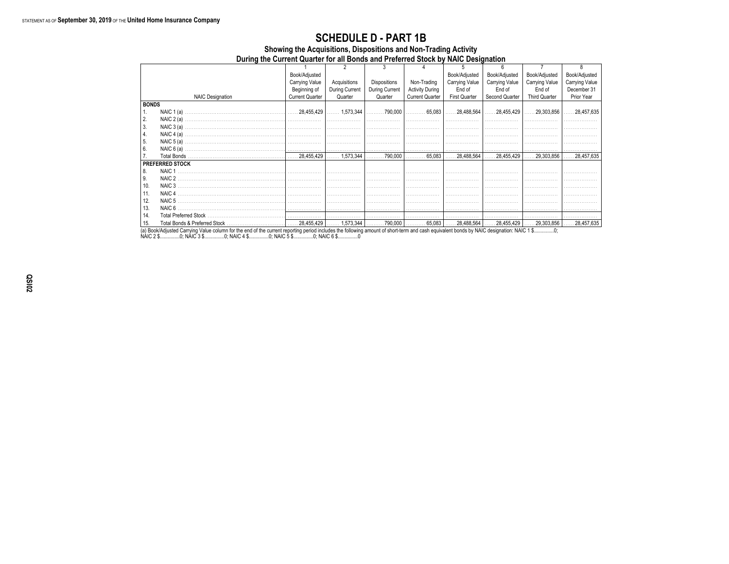#### During the Current Quarter for all Bonds and Preferred Stock by NAIC Designation  $\overline{2}$  $\overline{\mathbf{3}}$  $\overline{4}$ 5 6  $\overline{7}$  $\overline{\mathbf{8}}$ Book/Adjusted Book/Adjusted Book/Adjusted Book/Adjusted Book/Adjusted Carrying Value Acquisitions Dispositions Non-Trading Carrying Value Carrying Value Carrying Value Carrying Value During Current During Current Beginning of **Activity During** End of End of End of December 31 **NAIC Designation Current Quarter** Quarter Quarter **Current Quarter** First Quarter Second Quarter Third Quarter Prior Year **BONDS** NAIC 1 (a) 28,455,429 1,573,344 .790,000 65,083 28,488,564 28,455,429 .29,303,856 .28,457,635  $1.$  $\vert$  2. NAIC  $2(a)$ 3. NAIC  $3(a)$ .  $\vert$  4. NAIC  $4(a)$ 5. NAIC  $5(a)$ . 6. NAIC  $6(a)$ . <sup>7.</sup> Total Bonds 28.455.429 1.573.344 790.000 65.083 28.488.564 28.455.429  $.29,303,856$  $.28,457,635$ **PREFERRED STOCK** 8. NAIC 1  $9.$ NAIC<sub>2</sub>  $10.$ NAIC<sub>3</sub> NAIC 4  $11.$  $12.$ NAIC<sub>5</sub> NAIC<sub>6</sub> 13. 14. Total Preferred Stock 1,573,344 28,488,564  $.28,455,429$  $.28,457,635$ 15. Total Bonds & Preferred Stock 28,455,429  $.790,000$ 65,083  $.29,303,856$

**SCHEDULE D - PART 1B** Showing the Acquisitions, Dispositions and Non-Trading Activity

 $0080$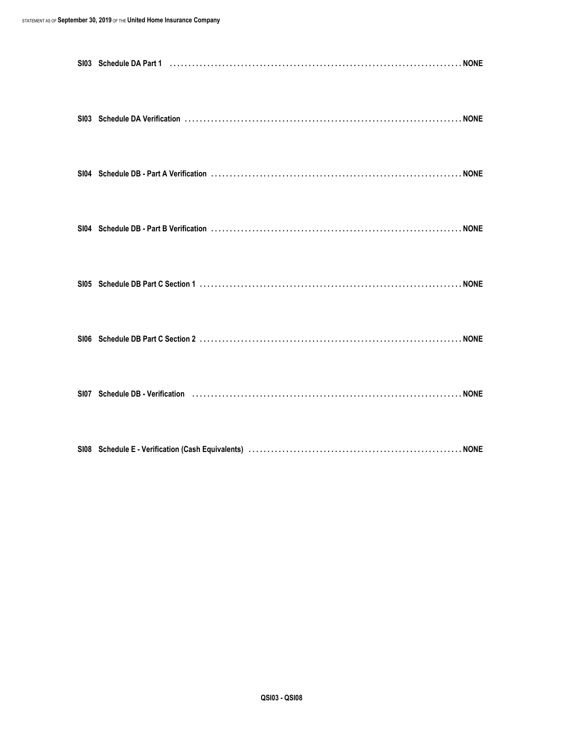| SI07 Schedule DB - Verification (1) (1) The Content of State Content of State OB - Verification (1) (1) The Co |  |
|----------------------------------------------------------------------------------------------------------------|--|
|                                                                                                                |  |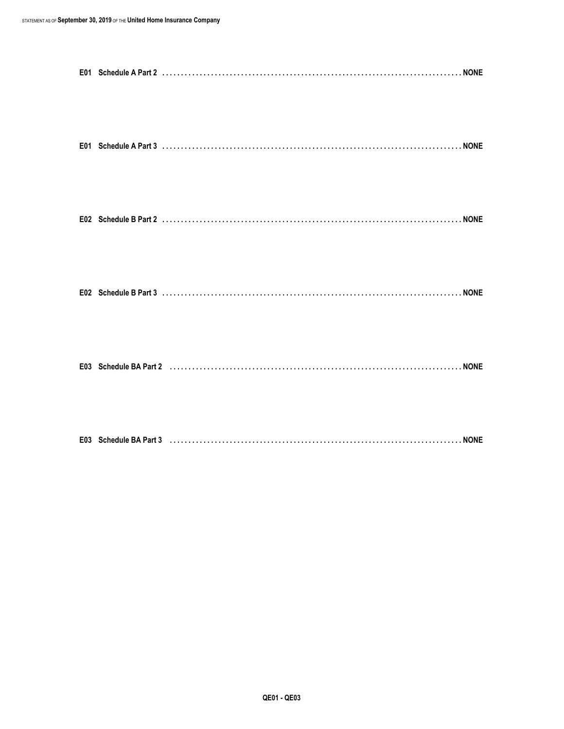| E01 Schedule A Part 3 (a) (b) Contact Contact Contact Contact Contact Contact Contact Contact Contact Contact Contact Contact Contact Contact Contact Contact Contact Contact Contact Contact Contact Contact Contact Contact |  |
|-------------------------------------------------------------------------------------------------------------------------------------------------------------------------------------------------------------------------------|--|
|                                                                                                                                                                                                                               |  |
|                                                                                                                                                                                                                               |  |
|                                                                                                                                                                                                                               |  |
|                                                                                                                                                                                                                               |  |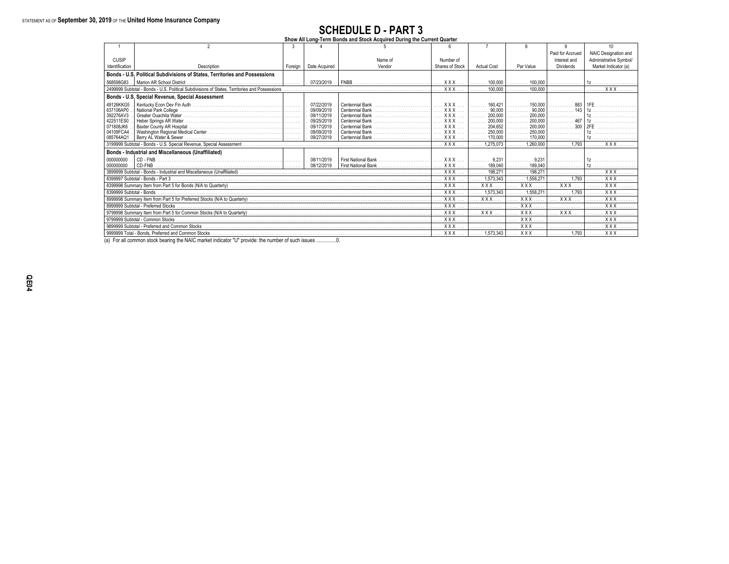### **SCHEDULE D - PART 3**

| Show All Long-Term Bonds and Stock Acquired During the Current Quarter |  |  |  |  |  |  |  |  |  |  |  |  |
|------------------------------------------------------------------------|--|--|--|--|--|--|--|--|--|--|--|--|
|------------------------------------------------------------------------|--|--|--|--|--|--|--|--|--|--|--|--|

|                          |                                                                                               |         |               |                     |                  |                      |                  | q                | 10 <sup>1</sup>        |
|--------------------------|-----------------------------------------------------------------------------------------------|---------|---------------|---------------------|------------------|----------------------|------------------|------------------|------------------------|
|                          |                                                                                               |         |               |                     |                  |                      |                  | Paid for Accrued | NAIC Designation and   |
| <b>CUSIP</b>             |                                                                                               |         |               | Name of             | Number of        |                      |                  | Interest and     | Administrative Symbol/ |
| Identification           | Description                                                                                   | Foreian | Date Acquired | Vendor              | Shares of Stock  | <b>Actual Cost</b>   | Par Value        | Dividends        | Market Indicator (a)   |
|                          | Bonds - U.S. Political Subdivisions of States, Territories and Possessions                    |         |               |                     |                  |                      |                  |                  |                        |
| 568598G83                | Marion AR School District                                                                     |         | 07/23/2019    | <b>FNBB</b>         | $XXX$            | 100,000              | 100,000          |                  |                        |
|                          | 2499999 Subtotal - Bonds - U.S. Political Subdivisions of States, Territories and Possessions |         |               |                     | $XXX$            | 100,000              | 100,000          |                  | <b>XXX</b>             |
|                          | Bonds - U.S. Special Revenue, Special Assessment                                              |         |               |                     |                  |                      |                  |                  |                        |
| 49126KKG5                |                                                                                               |         | 07/22/2019    | Centennial Bank     | XXX.             | 160.421              | 150,000          | 883              | 1FF                    |
| 637106AP0                | National Park College                                                                         |         | 09/09/2019    | Centennial Bank.    | $XXX$            | 90,000               | 90,000           |                  |                        |
| 392276AV3                |                                                                                               |         | 09/11/2019    | Centennial Bank     | $XXX$            | 200,000              | 200,000          |                  | 1z                     |
| 422511ES0                |                                                                                               |         | 09/25/2019    | Centennial Bank     | $XXX$            | 200,000<br>.         | 200,000          | 467              |                        |
| 071808JK6                |                                                                                               |         | 09/17/2019    | Centennial Bank     | $XXX$            | 204,652              | 200,000          | 300              | 2FF                    |
| 04109FCA4                |                                                                                               |         | 09/09/2019    | Centennial Bank     | $XXX$            | 250,000<br>.         | 250,000          |                  |                        |
| 085764AQ1                | Berry AL Water & Sewer                                                                        |         | 09/27/2019    | Centennial Bank     | $XXX$            | 170,000              | 170,000          |                  |                        |
|                          |                                                                                               |         | $XXX$         | 1,275,073           | 1.260.000        | 1.793                | XXX              |                  |                        |
|                          | Bonds - Industrial and Miscellaneous (Unaffiliated)                                           |         |               |                     |                  |                      |                  |                  |                        |
| 000000000                |                                                                                               |         | 08/11/2019    | First National Bank | $XXX$            | 9.231                | .9.231           |                  |                        |
| 000000000                |                                                                                               |         | . 08/12/2019  | First National Bank | $XXX$            | 189,040              | 189,040          |                  |                        |
|                          |                                                                                               |         |               |                     | $XXX$            | 198.271              | 198,271<br>.     |                  | . X X X                |
|                          | 8399997 Subtotal - Bonds - Part 3                                                             |         |               |                     | XXX              | 1.573.343            | 1,558,271        | 1,793            | <b>XXX</b>             |
|                          |                                                                                               |         |               |                     | $\overline{XXX}$ | <b>XXX</b>           | <b>XXX</b>       | <b>XXX</b>       | <b>XXX</b>             |
| 8399999 Subtotal - Bonds |                                                                                               |         |               |                     | $\overline{XXX}$ | .573.343             | 1.558.271        | 1.793            | $\overline{XX}$        |
|                          |                                                                                               |         |               |                     | XXX              | <b>XXX</b>           | <b>XXX</b>       | XXX              | <b>XXX</b>             |
|                          | 8999999 Subtotal - Preferred Stocks                                                           |         |               |                     | $\overline{XXX}$ |                      | $\overline{XXX}$ |                  | $\overline{XXX}$       |
|                          |                                                                                               |         |               |                     | $\overline{XXX}$ | <b>XXX</b>           | $\overline{XX}$  | <b>XXX</b>       | $\overline{XX}$        |
|                          | 9799999 Subtotal - Common Stocks                                                              |         |               |                     | $\overline{XXX}$ |                      | $XXX$            |                  | <b>XXX</b>             |
|                          | 9899999 Subtotal - Preferred and Common Stocks                                                |         |               |                     | $\overline{XXX}$ |                      | $\overline{XXX}$ |                  | $\overline{XX}$        |
|                          |                                                                                               |         |               |                     | $XXX$            | $\ldots$ . 1,573,343 | XXX              |                  | XXX                    |

(a) For all common stock bearing the NAIC market indicator "U" provide: the number of such issues ...............0.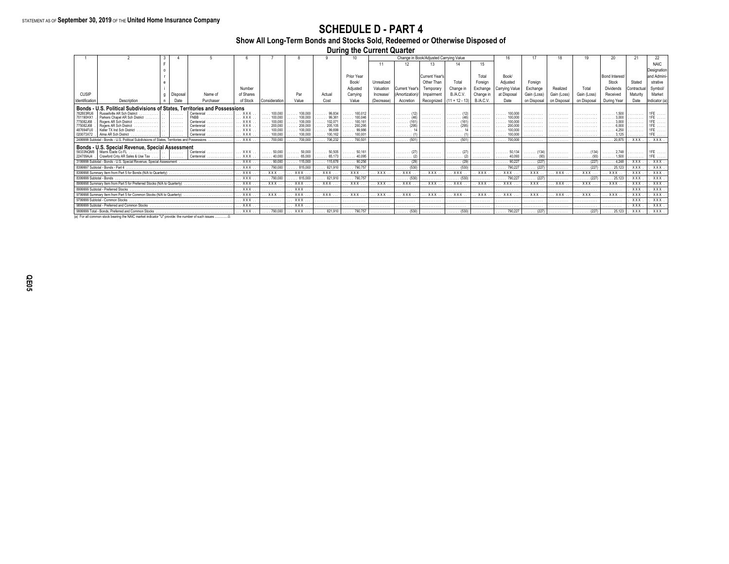### **SCHEDULE D - PART 4**

Show All Long-Term Bonds and Stocks Sold, Redeemed or Otherwise Disposed of

**During the Current Quarter** 

|                                                                            |                                                                                                                                                                                                                                                                                                                                        |                                                                                                   |                                                                                                                                                                                                                                                                            |                                                                                                                                                                                                                 |                                                                                                                                                                                                                                      |                                                                                                                                                                                                                                             |                                                                                                                                                                                            | 10                                                                                                                                                                                      |                                                                                                                                                                                                                                    |                                                                                                             |                                                                                                                                                                                                                        |                                                                                     |                                                                                                                                                                                                               |                                                                                                   |                                                                                                                                                                                                  |                                                                                                                                                                           |                                                                     |                                                                                                                |                                                                                                                                                                                                                                     |                                                                                                                                                  |
|----------------------------------------------------------------------------|----------------------------------------------------------------------------------------------------------------------------------------------------------------------------------------------------------------------------------------------------------------------------------------------------------------------------------------|---------------------------------------------------------------------------------------------------|----------------------------------------------------------------------------------------------------------------------------------------------------------------------------------------------------------------------------------------------------------------------------|-----------------------------------------------------------------------------------------------------------------------------------------------------------------------------------------------------------------|--------------------------------------------------------------------------------------------------------------------------------------------------------------------------------------------------------------------------------------|---------------------------------------------------------------------------------------------------------------------------------------------------------------------------------------------------------------------------------------------|--------------------------------------------------------------------------------------------------------------------------------------------------------------------------------------------|-----------------------------------------------------------------------------------------------------------------------------------------------------------------------------------------|------------------------------------------------------------------------------------------------------------------------------------------------------------------------------------------------------------------------------------|-------------------------------------------------------------------------------------------------------------|------------------------------------------------------------------------------------------------------------------------------------------------------------------------------------------------------------------------|-------------------------------------------------------------------------------------|---------------------------------------------------------------------------------------------------------------------------------------------------------------------------------------------------------------|---------------------------------------------------------------------------------------------------|--------------------------------------------------------------------------------------------------------------------------------------------------------------------------------------------------|---------------------------------------------------------------------------------------------------------------------------------------------------------------------------|---------------------------------------------------------------------|----------------------------------------------------------------------------------------------------------------|-------------------------------------------------------------------------------------------------------------------------------------------------------------------------------------------------------------------------------------|--------------------------------------------------------------------------------------------------------------------------------------------------|
|                                                                            |                                                                                                                                                                                                                                                                                                                                        |                                                                                                   |                                                                                                                                                                                                                                                                            |                                                                                                                                                                                                                 |                                                                                                                                                                                                                                      |                                                                                                                                                                                                                                             |                                                                                                                                                                                            |                                                                                                                                                                                         | 11                                                                                                                                                                                                                                 |                                                                                                             |                                                                                                                                                                                                                        |                                                                                     | 15                                                                                                                                                                                                            |                                                                                                   |                                                                                                                                                                                                  |                                                                                                                                                                           |                                                                     |                                                                                                                |                                                                                                                                                                                                                                     | <b>NAIC</b>                                                                                                                                      |
|                                                                            |                                                                                                                                                                                                                                                                                                                                        |                                                                                                   |                                                                                                                                                                                                                                                                            |                                                                                                                                                                                                                 |                                                                                                                                                                                                                                      |                                                                                                                                                                                                                                             |                                                                                                                                                                                            |                                                                                                                                                                                         |                                                                                                                                                                                                                                    |                                                                                                             |                                                                                                                                                                                                                        |                                                                                     |                                                                                                                                                                                                               |                                                                                                   |                                                                                                                                                                                                  |                                                                                                                                                                           |                                                                     |                                                                                                                |                                                                                                                                                                                                                                     | Designation                                                                                                                                      |
|                                                                            |                                                                                                                                                                                                                                                                                                                                        |                                                                                                   |                                                                                                                                                                                                                                                                            |                                                                                                                                                                                                                 |                                                                                                                                                                                                                                      |                                                                                                                                                                                                                                             |                                                                                                                                                                                            |                                                                                                                                                                                         |                                                                                                                                                                                                                                    |                                                                                                             |                                                                                                                                                                                                                        |                                                                                     |                                                                                                                                                                                                               |                                                                                                   |                                                                                                                                                                                                  |                                                                                                                                                                           |                                                                     |                                                                                                                |                                                                                                                                                                                                                                     | land Admini-                                                                                                                                     |
|                                                                            |                                                                                                                                                                                                                                                                                                                                        |                                                                                                   |                                                                                                                                                                                                                                                                            |                                                                                                                                                                                                                 |                                                                                                                                                                                                                                      |                                                                                                                                                                                                                                             |                                                                                                                                                                                            |                                                                                                                                                                                         |                                                                                                                                                                                                                                    |                                                                                                             |                                                                                                                                                                                                                        |                                                                                     |                                                                                                                                                                                                               |                                                                                                   |                                                                                                                                                                                                  |                                                                                                                                                                           |                                                                     |                                                                                                                |                                                                                                                                                                                                                                     | strative                                                                                                                                         |
|                                                                            |                                                                                                                                                                                                                                                                                                                                        |                                                                                                   |                                                                                                                                                                                                                                                                            |                                                                                                                                                                                                                 |                                                                                                                                                                                                                                      |                                                                                                                                                                                                                                             |                                                                                                                                                                                            |                                                                                                                                                                                         |                                                                                                                                                                                                                                    |                                                                                                             |                                                                                                                                                                                                                        |                                                                                     |                                                                                                                                                                                                               |                                                                                                   |                                                                                                                                                                                                  |                                                                                                                                                                           |                                                                     |                                                                                                                |                                                                                                                                                                                                                                     |                                                                                                                                                  |
|                                                                            |                                                                                                                                                                                                                                                                                                                                        |                                                                                                   |                                                                                                                                                                                                                                                                            |                                                                                                                                                                                                                 |                                                                                                                                                                                                                                      |                                                                                                                                                                                                                                             |                                                                                                                                                                                            |                                                                                                                                                                                         |                                                                                                                                                                                                                                    |                                                                                                             |                                                                                                                                                                                                                        |                                                                                     |                                                                                                                                                                                                               |                                                                                                   |                                                                                                                                                                                                  |                                                                                                                                                                           |                                                                     |                                                                                                                |                                                                                                                                                                                                                                     | Symbol/                                                                                                                                          |
|                                                                            |                                                                                                                                                                                                                                                                                                                                        |                                                                                                   |                                                                                                                                                                                                                                                                            |                                                                                                                                                                                                                 |                                                                                                                                                                                                                                      |                                                                                                                                                                                                                                             |                                                                                                                                                                                            |                                                                                                                                                                                         |                                                                                                                                                                                                                                    |                                                                                                             |                                                                                                                                                                                                                        |                                                                                     |                                                                                                                                                                                                               |                                                                                                   |                                                                                                                                                                                                  |                                                                                                                                                                           |                                                                     |                                                                                                                |                                                                                                                                                                                                                                     | Market                                                                                                                                           |
|                                                                            |                                                                                                                                                                                                                                                                                                                                        |                                                                                                   |                                                                                                                                                                                                                                                                            |                                                                                                                                                                                                                 |                                                                                                                                                                                                                                      |                                                                                                                                                                                                                                             |                                                                                                                                                                                            |                                                                                                                                                                                         |                                                                                                                                                                                                                                    |                                                                                                             |                                                                                                                                                                                                                        |                                                                                     |                                                                                                                                                                                                               |                                                                                                   |                                                                                                                                                                                                  |                                                                                                                                                                           |                                                                     |                                                                                                                |                                                                                                                                                                                                                                     | Indicator (a)                                                                                                                                    |
| Bonds - U.S. Political Subdivisions of States, Territories and Possessions |                                                                                                                                                                                                                                                                                                                                        |                                                                                                   |                                                                                                                                                                                                                                                                            |                                                                                                                                                                                                                 |                                                                                                                                                                                                                                      |                                                                                                                                                                                                                                             |                                                                                                                                                                                            |                                                                                                                                                                                         |                                                                                                                                                                                                                                    |                                                                                                             |                                                                                                                                                                                                                        |                                                                                     |                                                                                                                                                                                                               |                                                                                                   |                                                                                                                                                                                                  |                                                                                                                                                                           |                                                                     |                                                                                                                |                                                                                                                                                                                                                                     |                                                                                                                                                  |
| Russellville AR Sch District                                               |                                                                                                                                                                                                                                                                                                                                        |                                                                                                   | Centennial                                                                                                                                                                                                                                                                 | <b>XXX</b>                                                                                                                                                                                                      | $\ldots$ 100.000                                                                                                                                                                                                                     | 100,000                                                                                                                                                                                                                                     | $\ldots$ 99.834                                                                                                                                                                            | 100.012                                                                                                                                                                                 | .                                                                                                                                                                                                                                  |                                                                                                             |                                                                                                                                                                                                                        |                                                                                     |                                                                                                                                                                                                               | 100,000                                                                                           | .                                                                                                                                                                                                |                                                                                                                                                                           |                                                                     |                                                                                                                |                                                                                                                                                                                                                                     |                                                                                                                                                  |
|                                                                            |                                                                                                                                                                                                                                                                                                                                        |                                                                                                   |                                                                                                                                                                                                                                                                            |                                                                                                                                                                                                                 |                                                                                                                                                                                                                                      |                                                                                                                                                                                                                                             |                                                                                                                                                                                            |                                                                                                                                                                                         | .                                                                                                                                                                                                                                  |                                                                                                             |                                                                                                                                                                                                                        |                                                                                     |                                                                                                                                                                                                               |                                                                                                   | .                                                                                                                                                                                                |                                                                                                                                                                           |                                                                     |                                                                                                                |                                                                                                                                                                                                                                     |                                                                                                                                                  |
|                                                                            |                                                                                                                                                                                                                                                                                                                                        |                                                                                                   |                                                                                                                                                                                                                                                                            |                                                                                                                                                                                                                 |                                                                                                                                                                                                                                      |                                                                                                                                                                                                                                             |                                                                                                                                                                                            |                                                                                                                                                                                         |                                                                                                                                                                                                                                    |                                                                                                             |                                                                                                                                                                                                                        |                                                                                     |                                                                                                                                                                                                               |                                                                                                   |                                                                                                                                                                                                  |                                                                                                                                                                           |                                                                     |                                                                                                                |                                                                                                                                                                                                                                     |                                                                                                                                                  |
| Keller TX Ind Sch District                                                 |                                                                                                                                                                                                                                                                                                                                        |                                                                                                   | Centennia                                                                                                                                                                                                                                                                  | <b>XXX</b>                                                                                                                                                                                                      | $\ldots$ , 100,000                                                                                                                                                                                                                   | 100,000                                                                                                                                                                                                                                     | $\ldots$ 99.699                                                                                                                                                                            | $\ldots$ 99.986                                                                                                                                                                         | .                                                                                                                                                                                                                                  |                                                                                                             |                                                                                                                                                                                                                        |                                                                                     |                                                                                                                                                                                                               | 100,000                                                                                           | .                                                                                                                                                                                                |                                                                                                                                                                           |                                                                     | 4 250                                                                                                          |                                                                                                                                                                                                                                     |                                                                                                                                                  |
| Alma AR Sch District                                                       |                                                                                                                                                                                                                                                                                                                                        |                                                                                                   | Centennial                                                                                                                                                                                                                                                                 | XXX .                                                                                                                                                                                                           |                                                                                                                                                                                                                                      |                                                                                                                                                                                                                                             | $\ldots$ . 100,162                                                                                                                                                                         |                                                                                                                                                                                         | .                                                                                                                                                                                                                                  | . (1)                                                                                                       | .                                                                                                                                                                                                                      |                                                                                     | .                                                                                                                                                                                                             | $\ldots$ . 100,000                                                                                | .                                                                                                                                                                                                | .                                                                                                                                                                         |                                                                     |                                                                                                                |                                                                                                                                                                                                                                     | $1FE$                                                                                                                                            |
|                                                                            |                                                                                                                                                                                                                                                                                                                                        |                                                                                                   |                                                                                                                                                                                                                                                                            | . . XXX                                                                                                                                                                                                         |                                                                                                                                                                                                                                      |                                                                                                                                                                                                                                             |                                                                                                                                                                                            |                                                                                                                                                                                         | .                                                                                                                                                                                                                                  |                                                                                                             | .                                                                                                                                                                                                                      |                                                                                     | .                                                                                                                                                                                                             | $\ldots$ . 700.000                                                                                | .                                                                                                                                                                                                | .                                                                                                                                                                         | .                                                                   |                                                                                                                | XXX                                                                                                                                                                                                                                 | $XXX$ .                                                                                                                                          |
|                                                                            |                                                                                                                                                                                                                                                                                                                                        |                                                                                                   |                                                                                                                                                                                                                                                                            |                                                                                                                                                                                                                 |                                                                                                                                                                                                                                      |                                                                                                                                                                                                                                             |                                                                                                                                                                                            |                                                                                                                                                                                         |                                                                                                                                                                                                                                    |                                                                                                             |                                                                                                                                                                                                                        |                                                                                     |                                                                                                                                                                                                               |                                                                                                   |                                                                                                                                                                                                  |                                                                                                                                                                           |                                                                     |                                                                                                                |                                                                                                                                                                                                                                     |                                                                                                                                                  |
| Miami Dade Co Fl                                                           |                                                                                                                                                                                                                                                                                                                                        |                                                                                                   |                                                                                                                                                                                                                                                                            | $.$ $XXX$                                                                                                                                                                                                       | $\ldots 50.000$                                                                                                                                                                                                                      | 50,000                                                                                                                                                                                                                                      | $\ldots 50.505$                                                                                                                                                                            | 50.161                                                                                                                                                                                  | .                                                                                                                                                                                                                                  | .                                                                                                           | .                                                                                                                                                                                                                      | .                                                                                   | .                                                                                                                                                                                                             | .50.134                                                                                           | $\ldots$ (134)                                                                                                                                                                                   | .                                                                                                                                                                         |                                                                     | $\ldots$ . 2.748                                                                                               |                                                                                                                                                                                                                                     | $1FE$                                                                                                                                            |
|                                                                            |                                                                                                                                                                                                                                                                                                                                        |                                                                                                   |                                                                                                                                                                                                                                                                            |                                                                                                                                                                                                                 |                                                                                                                                                                                                                                      |                                                                                                                                                                                                                                             |                                                                                                                                                                                            |                                                                                                                                                                                         | .                                                                                                                                                                                                                                  |                                                                                                             |                                                                                                                                                                                                                        | .                                                                                   |                                                                                                                                                                                                               |                                                                                                   |                                                                                                                                                                                                  |                                                                                                                                                                           |                                                                     |                                                                                                                |                                                                                                                                                                                                                                     | $1FE$                                                                                                                                            |
|                                                                            |                                                                                                                                                                                                                                                                                                                                        |                                                                                                   |                                                                                                                                                                                                                                                                            |                                                                                                                                                                                                                 |                                                                                                                                                                                                                                      |                                                                                                                                                                                                                                             |                                                                                                                                                                                            |                                                                                                                                                                                         | .                                                                                                                                                                                                                                  |                                                                                                             | .                                                                                                                                                                                                                      | .                                                                                   |                                                                                                                                                                                                               |                                                                                                   |                                                                                                                                                                                                  | .                                                                                                                                                                         |                                                                     |                                                                                                                |                                                                                                                                                                                                                                     | XXX                                                                                                                                              |
|                                                                            |                                                                                                                                                                                                                                                                                                                                        |                                                                                                   |                                                                                                                                                                                                                                                                            |                                                                                                                                                                                                                 |                                                                                                                                                                                                                                      |                                                                                                                                                                                                                                             |                                                                                                                                                                                            |                                                                                                                                                                                         | .                                                                                                                                                                                                                                  |                                                                                                             | .                                                                                                                                                                                                                      | .                                                                                   |                                                                                                                                                                                                               |                                                                                                   |                                                                                                                                                                                                  | .                                                                                                                                                                         |                                                                     |                                                                                                                |                                                                                                                                                                                                                                     | <b>XXX</b>                                                                                                                                       |
|                                                                            |                                                                                                                                                                                                                                                                                                                                        |                                                                                                   |                                                                                                                                                                                                                                                                            |                                                                                                                                                                                                                 |                                                                                                                                                                                                                                      |                                                                                                                                                                                                                                             |                                                                                                                                                                                            |                                                                                                                                                                                         |                                                                                                                                                                                                                                    |                                                                                                             |                                                                                                                                                                                                                        |                                                                                     |                                                                                                                                                                                                               |                                                                                                   |                                                                                                                                                                                                  |                                                                                                                                                                           |                                                                     |                                                                                                                |                                                                                                                                                                                                                                     | XXX                                                                                                                                              |
|                                                                            |                                                                                                                                                                                                                                                                                                                                        |                                                                                                   |                                                                                                                                                                                                                                                                            |                                                                                                                                                                                                                 |                                                                                                                                                                                                                                      |                                                                                                                                                                                                                                             |                                                                                                                                                                                            |                                                                                                                                                                                         | .                                                                                                                                                                                                                                  |                                                                                                             | .                                                                                                                                                                                                                      |                                                                                     | .                                                                                                                                                                                                             | .                                                                                                 |                                                                                                                                                                                                  | .                                                                                                                                                                         |                                                                     |                                                                                                                |                                                                                                                                                                                                                                     | <b>XXX</b>                                                                                                                                       |
|                                                                            |                                                                                                                                                                                                                                                                                                                                        |                                                                                                   |                                                                                                                                                                                                                                                                            |                                                                                                                                                                                                                 |                                                                                                                                                                                                                                      |                                                                                                                                                                                                                                             |                                                                                                                                                                                            |                                                                                                                                                                                         |                                                                                                                                                                                                                                    |                                                                                                             |                                                                                                                                                                                                                        |                                                                                     |                                                                                                                                                                                                               |                                                                                                   |                                                                                                                                                                                                  |                                                                                                                                                                           |                                                                     |                                                                                                                |                                                                                                                                                                                                                                     | <b>XXX</b>                                                                                                                                       |
|                                                                            |                                                                                                                                                                                                                                                                                                                                        |                                                                                                   |                                                                                                                                                                                                                                                                            |                                                                                                                                                                                                                 | .                                                                                                                                                                                                                                    |                                                                                                                                                                                                                                             | .                                                                                                                                                                                          | .                                                                                                                                                                                       | .                                                                                                                                                                                                                                  | .                                                                                                           | .                                                                                                                                                                                                                      | .                                                                                   | .                                                                                                                                                                                                             | .                                                                                                 | .                                                                                                                                                                                                | .                                                                                                                                                                         | .                                                                   | .                                                                                                              |                                                                                                                                                                                                                                     | <b>XXX</b>                                                                                                                                       |
|                                                                            |                                                                                                                                                                                                                                                                                                                                        |                                                                                                   |                                                                                                                                                                                                                                                                            |                                                                                                                                                                                                                 |                                                                                                                                                                                                                                      |                                                                                                                                                                                                                                             |                                                                                                                                                                                            |                                                                                                                                                                                         |                                                                                                                                                                                                                                    |                                                                                                             |                                                                                                                                                                                                                        |                                                                                     |                                                                                                                                                                                                               |                                                                                                   |                                                                                                                                                                                                  |                                                                                                                                                                           |                                                                     |                                                                                                                |                                                                                                                                                                                                                                     | <b>XXX</b>                                                                                                                                       |
|                                                                            |                                                                                                                                                                                                                                                                                                                                        |                                                                                                   |                                                                                                                                                                                                                                                                            |                                                                                                                                                                                                                 | .                                                                                                                                                                                                                                    |                                                                                                                                                                                                                                             | .                                                                                                                                                                                          |                                                                                                                                                                                         | .                                                                                                                                                                                                                                  | .                                                                                                           | .                                                                                                                                                                                                                      | .                                                                                   |                                                                                                                                                                                                               | .                                                                                                 | .                                                                                                                                                                                                |                                                                                                                                                                           | .                                                                   | .                                                                                                              |                                                                                                                                                                                                                                     | XXX                                                                                                                                              |
|                                                                            |                                                                                                                                                                                                                                                                                                                                        |                                                                                                   |                                                                                                                                                                                                                                                                            |                                                                                                                                                                                                                 |                                                                                                                                                                                                                                      |                                                                                                                                                                                                                                             |                                                                                                                                                                                            |                                                                                                                                                                                         | .                                                                                                                                                                                                                                  | .                                                                                                           |                                                                                                                                                                                                                        |                                                                                     |                                                                                                                                                                                                               |                                                                                                   | .                                                                                                                                                                                                |                                                                                                                                                                           |                                                                     | .                                                                                                              |                                                                                                                                                                                                                                     | <b>XXX</b>                                                                                                                                       |
|                                                                            |                                                                                                                                                                                                                                                                                                                                        |                                                                                                   |                                                                                                                                                                                                                                                                            |                                                                                                                                                                                                                 |                                                                                                                                                                                                                                      |                                                                                                                                                                                                                                             |                                                                                                                                                                                            | .                                                                                                                                                                                       | .                                                                                                                                                                                                                                  |                                                                                                             | .                                                                                                                                                                                                                      | .                                                                                   | .                                                                                                                                                                                                             |                                                                                                   |                                                                                                                                                                                                  |                                                                                                                                                                           | (227)<br>.                                                          |                                                                                                                | XXX                                                                                                                                                                                                                                 | XXX                                                                                                                                              |
| Identification                                                             | Description<br>Parkers Chapel AR Sch District<br>Rogers AR Sch District<br>Rogers AR Sch District<br>59333NQM8<br>8399997 Subtotal - Bonds - Part 4<br>8999999 Subtotal - Preferred Stocks<br>9799999 Subtotal - Common Stocks<br>9899999 Subtotal - Preferred and Common Stocks<br>9999999 Total - Bonds, Preferred and Common Stocks | Crawford Cnty AR Sales & Use Tax<br>8399998 Summary Item from Part 5 for Bonds (N/A to Quarterly) | Disposal<br>Date<br>.<br>.<br>.<br>.<br>.<br>.<br>3199999 Subtotal - Bonds - U.S. Special Revenue. Special Assessment<br>8999998 Summary Item from Part 5 for Preferred Stocks (N/A to Quarterly)<br>9799998 Summary Item from Part 5 for Common Stocks (N/A to Quarterly) | Name of<br>Purchaser<br><b>FNRR</b><br>Centennia<br>Centennia<br>- Bonds - U.S. Political Subdivisions of States, Territories and Possessions<br>Bonds - U.S. Special Revenue, Special Assessment<br>Centennial | Number<br>of Shares<br>of Stock<br><b>XXX</b><br><b>XXX</b><br><b>XXX</b><br><b>XXX</b><br>$\ldots$ XXX $\ldots$<br>$.$ $XXX$<br>$.$ XXX<br>$\ldots$ XXX<br>$\ldots$ XXX<br>$.$ XXX<br>$.$ XXX<br>. . XXX<br>. XXX<br>. . <b>XXX</b> | l Consideration<br>$\ldots$ 100.000<br>$\ldots$ 100.000<br>200,000<br>$\ldots$ 100,000<br>$\ldots$ 700.000<br>$\ldots$ . 40.000<br>$\ldots$ . 90.000<br>790.000<br><b>XXX</b><br>.790.000<br><b>XXX</b><br><b>XXX</b><br>$\ldots$ . 790,000 | Par<br>Value<br>100,000<br>100,000<br>200,000<br>$\ldots$ 100,000<br>700,000<br>65,000<br>115,000<br>815,000<br>XXX<br>815,000<br><b>XXX</b><br>XXX<br>$.$ XXX<br>XXX<br><b>XXX</b><br>XXX | Actual<br>Cost<br>$\ldots$ 99.361<br>102.07<br>205,105<br>$\ldots$ . 706.232<br>65,173<br>$\ldots$ 115.678<br>821.910<br><b>XXX</b><br>821.910<br>$\ldots$ XXX<br><b>XXX</b><br>821,910 | Prior Year<br>Book/<br>Adjusted<br>Carrving<br>Value<br>100,046<br>100.161<br>200,295<br>$\ldots$ . 100.001<br>$\ldots \ldots$ 700,501<br>40.095<br>90.256<br>790.757<br><b>XXX</b><br>$\ldots$ . 790.757<br>XXX<br>XXX<br>790,757 | Unrealized<br>Valuation<br>Increase/<br>(Decrease)<br>.<br>.<br>. . <b>XXX</b><br>. . XXX<br>. . <b>XXX</b> | Current Year's<br>(Amortization)<br>Accretion<br>.<br>(295)<br>$\ldots \ldots \ldots$ (501)<br>$\ldots \ldots \ldots$ (29)<br>$\ldots$ (530)<br>$.$ $XXX$<br>. (530)<br>$\ldots$ XXX<br>$\ldots$ XXX<br>$\ldots$ (530) | Other Than<br>Temporarv<br>Impairment<br>Recognized<br>. XXX<br>XXX<br>$\ldots$ XXX | Change in Book/Adjusted Carrying Value<br>Current Year's<br>Total<br>Change in<br>B./A.C.V.<br>$\ldots \ldots (501)$<br>(29)<br>(530)<br>$.$ $XXX$<br>$\ldots$ (530)<br>$\ldots$ XXX<br>$\ldots$ XXX<br>(530) | Total<br>Foreian<br>Exchange<br>Change in<br>$11 + 12 - 13$<br>BJA.C.V<br>. XXX<br>. XXX<br>. XXX | Book/<br>Adjusted<br>Carrying Value<br>at Disposal<br>Date<br>100,000<br>100,000<br>200,000<br>40.093<br>.90.227<br>790.227<br><b>XXX</b><br>790.227<br>$\cdot$ XXX<br>XXX<br>$\ldots$ . 790,227 | Foreian<br>Exchange<br>Gain (Loss)<br>on Disposal<br>.<br>.<br>$\ldots$ (227)<br>$\ldots$ (227)<br><b>XXX</b><br>$\ldots$ (227)<br>$.$ XXX<br>$.$ $XXX$<br>$\ldots$ (227) | Realized<br>Gain (Loss)<br>on Disposal<br>. XXX<br>. XXX<br>$.$ XXX | Total<br>Gain (Loss)<br>on Disposal<br>(227)<br>(227)<br>XXX<br>$\ldots \ldots \ldots (227)$<br>XXX<br>$.$ XXX | <b>Bond Interest/</b><br>Stock<br>Dividends<br>Received<br>During Year<br>. 3,125<br>$\ldots$ . 20.875<br>$\ldots$ . 4.248<br>. 25,123<br><b>XXX</b><br>$\ldots$ 25.123<br>$\cdot$ XXX<br>$\overline{X}$ x x x<br>$\ldots$ . 25,123 | Stated<br>Contractu<br>Maturity<br>Date<br><b>XXX</b><br><b>XXX</b><br>XXX<br>XXX<br><b>XXX</b><br><b>XXX</b><br><b>XXX</b><br>XXX<br><b>XXX</b> |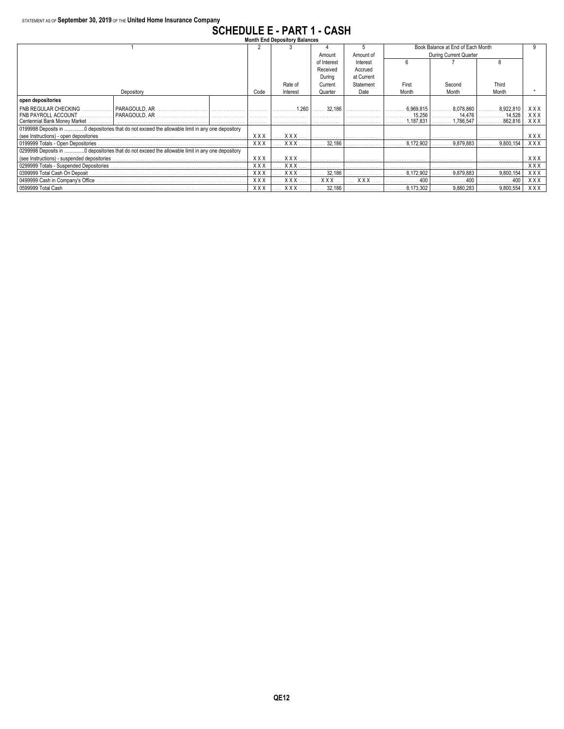# **SCHEDULE E - PART 1 - CASH Month End Depository Balances**

|                                  | <b>Month End Depository Balances</b>                                                            |          |            |            |             |            |                |                                   |           |            |  |  |  |
|----------------------------------|-------------------------------------------------------------------------------------------------|----------|------------|------------|-------------|------------|----------------|-----------------------------------|-----------|------------|--|--|--|
|                                  |                                                                                                 |          |            |            |             |            |                | Book Balance at End of Each Month |           |            |  |  |  |
|                                  |                                                                                                 |          |            |            | Amount      | Amount of  |                | During Current Quarter            |           |            |  |  |  |
|                                  |                                                                                                 |          |            |            | of Interest | Interest   |                |                                   |           |            |  |  |  |
|                                  |                                                                                                 |          |            | Received   | Accrued     |            |                |                                   |           |            |  |  |  |
|                                  |                                                                                                 |          |            |            | During      | at Current |                |                                   |           |            |  |  |  |
|                                  |                                                                                                 |          |            | Rate of    | Current     | Statement  | First          | Second                            | Third     |            |  |  |  |
|                                  | Code                                                                                            | Interest | Quarter    | Date       | Month       | Month      | Month          |                                   |           |            |  |  |  |
| open depositories                |                                                                                                 |          |            |            |             |            |                |                                   |           |            |  |  |  |
| <b>FNB REGULAR CHECKING</b><br>. | l PARAGOULD. AR                                                                                 |          | .          | 1.260      | 32,186      |            | 6,969,815      | 8.078.860                         | 8,922,810 | XXX        |  |  |  |
| <b>FNB PAYROLL ACCOUNT</b><br>.  | PARAGOULD, AR                                                                                   |          | .          |            |             |            | 15,256         | 14,476                            | 3.14.528  | XXX        |  |  |  |
| Centennial Bank Money Market     | .                                                                                               |          |            |            | 1.187.831   | 1.786.547  | 862,816        | <b>XXX</b>                        |           |            |  |  |  |
|                                  | 0199998 Deposits in 0 depositories that do not exceed the allowable limit in any one depository |          |            |            |             |            |                |                                   |           |            |  |  |  |
|                                  |                                                                                                 |          | . XXX      | XXX        |             |            |                |                                   |           | <b>XXX</b> |  |  |  |
|                                  |                                                                                                 |          | <b>XXX</b> | XXX        | 32,186      | .          | 8.172.902<br>. | 9,879,883                         | 9,800,154 | <b>XXX</b> |  |  |  |
|                                  | 0299998 Deposits in 0 depositories that do not exceed the allowable limit in any one depository |          |            |            |             |            |                |                                   |           |            |  |  |  |
|                                  |                                                                                                 |          | <b>XXX</b> | XXX        |             |            |                |                                   |           | <b>XXX</b> |  |  |  |
|                                  |                                                                                                 |          | <b>XXX</b> | XXX        |             |            |                |                                   |           | <b>XXX</b> |  |  |  |
|                                  |                                                                                                 |          | <b>XXX</b> | <b>XXX</b> | 32.186      |            | 8.172.902      | 9.879.883                         | 9,800,154 | <b>XXX</b> |  |  |  |
|                                  |                                                                                                 |          | <b>XXX</b> | <b>XXX</b> | XXX.        | XXX.       | 400            |                                   | 400       | XXX        |  |  |  |
| 0599999 Total Cash               |                                                                                                 |          | <b>XXX</b> | <b>XXX</b> | 32,186      |            | 8.173.302<br>. | 9,880,283                         | 9,800,554 | XXX        |  |  |  |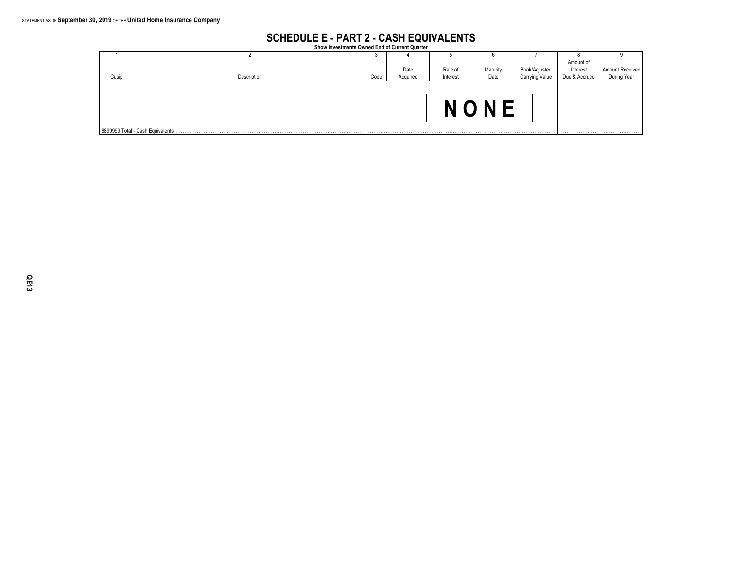## **SCHEDULE E - PART 2 - CASH EQUIVALENTS Show Investments Owned End of Current Quarter**

|       |                                  | - 1  |          |          | O        |                       |               |                 |
|-------|----------------------------------|------|----------|----------|----------|-----------------------|---------------|-----------------|
|       |                                  |      |          |          |          |                       | Amount of     |                 |
|       |                                  |      | Date     | Rate of  | Maturity | Book/Adjusted         | Interest      | Amount Received |
| Cusip | Description                      | Code | Acquired | Interest | Date     | <b>Carrying Value</b> | Due & Accrued | During Year     |
|       |                                  |      |          |          |          |                       |               |                 |
|       |                                  |      |          |          |          |                       |               |                 |
|       |                                  |      |          |          |          |                       |               |                 |
|       |                                  |      |          |          |          |                       |               |                 |
|       |                                  |      |          |          |          |                       |               |                 |
|       |                                  |      |          |          |          |                       |               |                 |
|       | 8899999 Total - Cash Equivalents |      |          |          |          |                       |               |                 |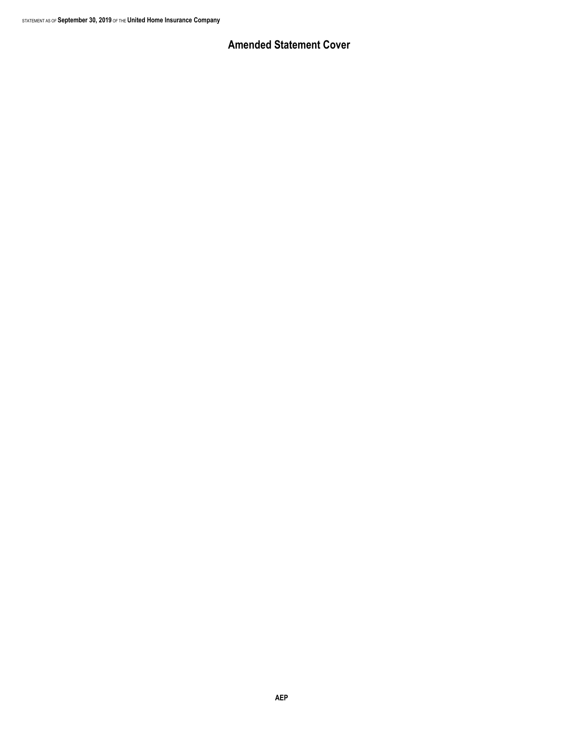### **Amended Statement Cover**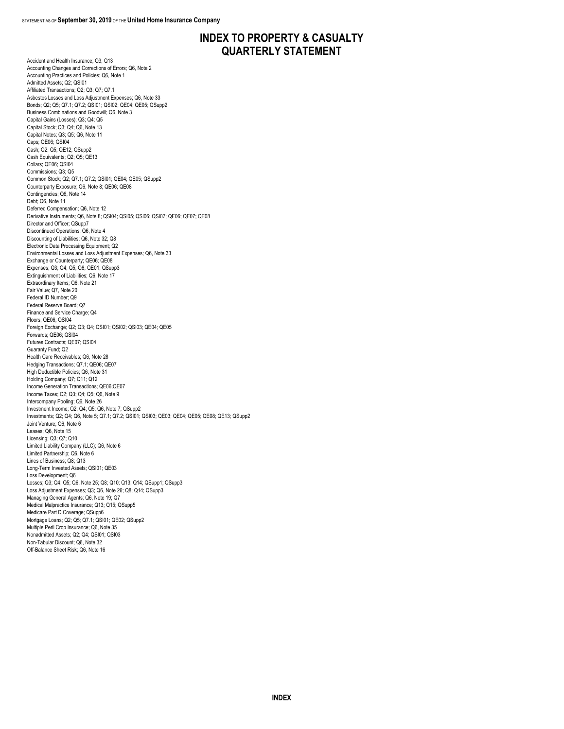### **INDEX TO PROPERTY & CASUALTY QUARTERLY STATEMENT**

Accident and Health Insurance; Q3; Q13 Accounting Changes and Corrections of Errors; Q6, Note 2 Accounting Practices and Policies; Q6, Note 1 Admitted Assets; Q2; QSI01 Affiliated Transactions; Q2; Q3; Q7; Q7.1 Asbestos Losses and Loss Adjustment Expenses; Q6, Note 33 Bonds; Q2; Q5; Q7.1; Q7.2; QSI01; QSI02; QE04; QE05; QSupp2 Business Combinations and Goodwill; Q6, Note 3 Capital Gains (Losses); Q3; Q4; Q5 Capital Stock; Q3; Q4; Q6, Note 13 Capital Notes; Q3; Q5; Q6, Note 11 Caps; OE06; OSI04 Cash; Q2; Q5; QE12; QSupp2 Cash Equivalents; Q2; Q5; QE13 Collars; QE06; QSI04 Commissions; Q3; Q5 Common Stock; Q2; Q7.1; Q7.2; QSI01; QE04; QE05; QSupp2 Counterparty Exposure; Q6, Note 8; QE06; QE08 Contingencies; Q6, Note 14 Debt; Q6, Note 11 Deferred Compensation; Q6, Note 12 Derivative Instruments; Q6, Note 8; QSI04; QSI05; QSI06; QSI07; QE06; QE07; QE08 Director and Officer; QSupp7 Discontinued Operations; Q6, Note 4 Discounting of Liabilities; Q6, Note 32; Q8 Electronic Data Processing Equipment; Q2 Environmental Losses and Loss Adjustment Expenses; Q6, Note 33 Exchange or Counterparty; QE06; QE08 Expenses; Q3; Q4; Q5; Q8; QE01; QSupp3 Extinguishment of Liabilities; Q6, Note 17 Extraordinary Items; Q6, Note 21 Fair Value; Q7, Note 20 Federal ID Number; Q9 Federal Reserve Board; Q7 Finance and Service Charge; Q4 Floors; QE06; QSI04 Foreign Exchange; Q2; Q3; Q4; QSI01; QSI02; QSI03; QE04; QE05 Forwards; QE06; QSI04 Futures Contracts; QE07; QSI04 Guaranty Fund; Q2 Health Care Receivables; Q6, Note 28 Hedging Transactions; Q7.1; QE06; QE07 High Deductible Policies; Q6, Note 31 Holding Company; Q7; Q11; Q12 Income Generation Transactions; QE06;QE07 Income Taxes; Q2; Q3; Q4; Q5; Q6, Note 9 Intercompany Pooling; Q6, Note 26 Investment Income; Q2; Q4; Q5; Q6, Note 7; QSupp2 Investments; Q2; Q4; Q6, Note 5; Q7.1; Q7.2; QSI01; QSI03; QE03; QE04; QE05; QE08; QE13; QSupp2 Joint Venture; Q6, Note 6 Leases; Q6, Note 15 Licensing; Q3; Q7; Q10 Limited Liability Company (LLC); Q6, Note 6 Limited Partnership; Q6, Note 6 Lines of Business; Q8; Q13 Long-Term Invested Assets; QSI01; QE03 Loss Development; Q6 Losses; Q3; Q4; Q5; Q6, Note 25; Q8; Q10; Q13; Q14; QSupp1; QSupp3 Loss Adjustment Expenses; Q3; Q6, Note 26; Q8; Q14; QSupp3 Managing General Agents; Q6, Note 19; Q7 Medical Malpractice Insurance; Q13; Q15; QSupp5 Medicare Part D Coverage; QSupp6 Mortgage Loans; Q2; Q5; Q7.1; QSI01; QE02; QSupp2 Multiple Peril Crop Insurance; Q6, Note 35 Nonadmitted Assets; Q2; Q4; QSI01; QSI03 Non-Tabular Discount; Q6, Note 32 Off-Balance Sheet Risk; Q6, Note 16